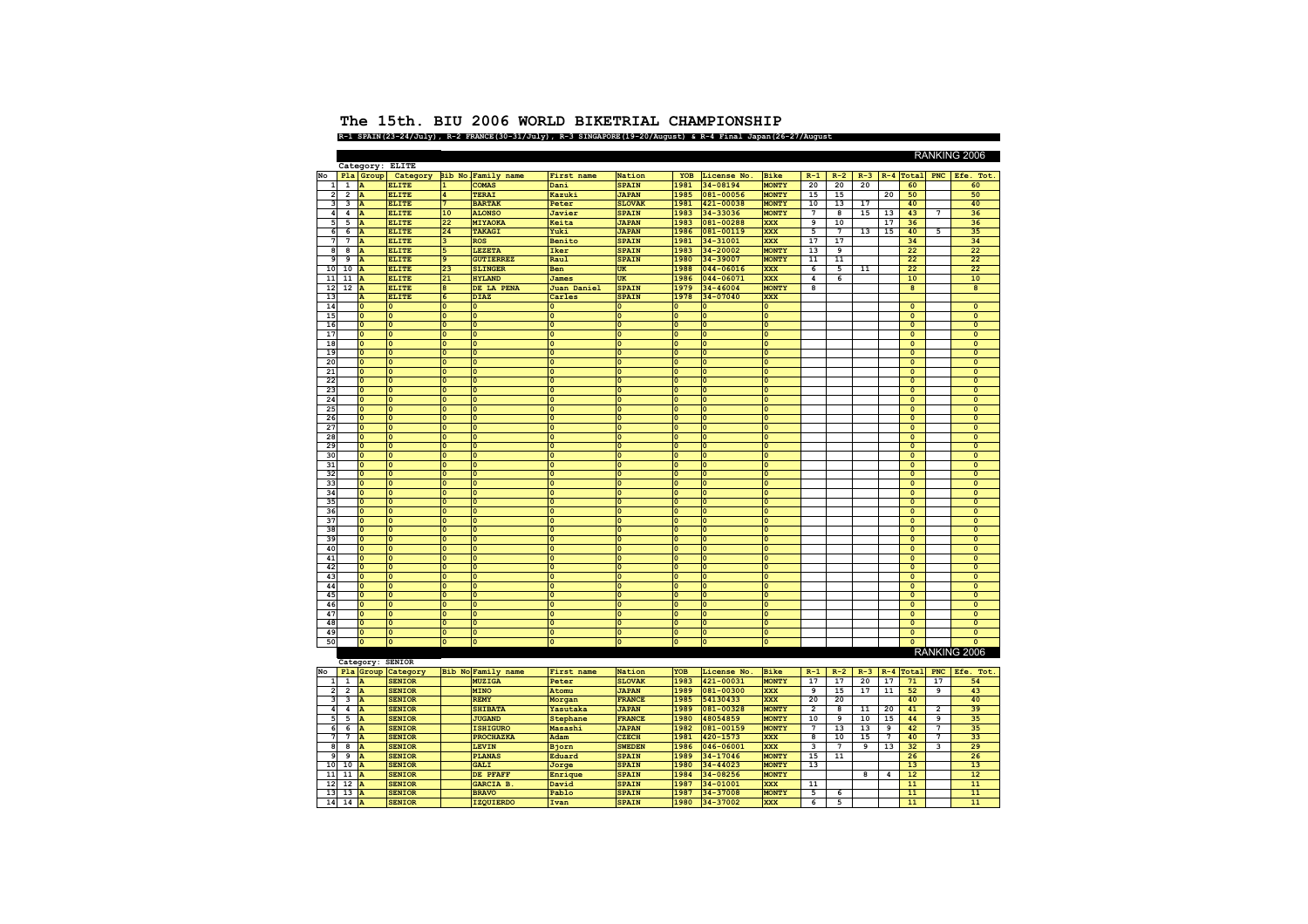#### **The 15th. BIU 2006 WORLD BIKETRIAL CHAMPIONSHIP**

### **R-1 SPAIN(23-24/July), R-2 FRANCE(30-31/July), R-3 SINGAPORE(19-20/August) & R-4 Final Japan(26-27/August**

|                         |                                |                                  |                                    |                                                    |                                 |                              |                              |                                        |                                        |                              |                         |                |            |        |                                        |                         | RANKING 2006                           |
|-------------------------|--------------------------------|----------------------------------|------------------------------------|----------------------------------------------------|---------------------------------|------------------------------|------------------------------|----------------------------------------|----------------------------------------|------------------------------|-------------------------|----------------|------------|--------|----------------------------------------|-------------------------|----------------------------------------|
|                         |                                |                                  | Category: ELITE                    |                                                    |                                 |                              |                              |                                        |                                        |                              |                         |                |            |        |                                        |                         |                                        |
| No                      |                                | Pla Group                        | Category                           |                                                    | Bib No. Family name             | First name                   | Nation                       | YOB                                    | License No.                            | <b>Bike</b>                  | $R-1$                   | $R-2$          | $R-3$      |        | $R-4$ Total                            | PNC                     | Efe.<br>Tot.                           |
| J.<br>$\overline{2}$    | $\mathbf{1}$<br>$\overline{2}$ |                                  | ELITE<br>ELITE                     | $\overline{\mathbf{4}}$                            | COMAS<br>TERAI                  | Dani<br>Kazuki               | <b>SPAIN</b><br><b>JAPAN</b> | 1981<br>1985                           | 34-08194<br>081-00056                  | MONTY<br><b>MONTY</b>        | 20<br>15                | 20<br>15       | 20         | 20     | 60<br>50                               |                         | 60<br>50                               |
| 3                       | $\overline{\mathbf{3}}$        | А<br>А                           | ELITE                              | 7                                                  | <b>BARTAK</b>                   | Peter                        | <b>SLOVAK</b>                | 1981                                   | 421-00038                              | MONTY                        | 10                      | 13             | 17         |        | 40                                     |                         | 40                                     |
| 4                       | 4                              | A                                | ELITE                              | 10                                                 | <b>ALONSO</b>                   | Javier                       | <b>SPAIN</b>                 | 1983                                   | 34-33036                               | <b>MONTY</b>                 | 7                       | 8              | 15         | 13     | 43                                     | $\scriptstyle\rm 7$     | 36                                     |
| 5                       | 5                              | A                                | <b>ELITE</b>                       | 22                                                 | MIYAOKA                         | Keita                        | <b>JAPAN</b>                 | 1983                                   | 081-00288                              | <b>XXX</b>                   | 9                       | 10             |            | 17     | 36                                     |                         | 36                                     |
| 6                       | 6                              | A                                | ELITE                              | 24                                                 | <b>TAKAGI</b>                   | Yuki                         | <b>JAPAN</b>                 | 1986                                   | 081-00119                              | <b>XXX</b>                   | 5                       | $\overline{7}$ | 13         | 15     | 40                                     | 5                       | 35                                     |
| $\overline{7}$          | 7                              | A                                | <b>ELITE</b>                       | 3                                                  | <b>ROS</b>                      | Benito                       | <b>SPAIN</b>                 | 1981                                   | 34-31001                               | <b>XXX</b>                   | 17                      | 17             |            |        | 34                                     |                         | 34                                     |
| 8                       | 8                              | A                                | ELITE                              | 5                                                  | <b>LEZETA</b>                   | Iker                         | <b>SPAIN</b>                 | 1983                                   | 34-20002                               | <b>MONTY</b>                 | 13                      | 9              |            |        | 22                                     |                         | 22                                     |
| 9                       | 9                              |                                  | ELITE                              | $\overline{9}$                                     | <b>GUTIERREZ</b>                | Raul                         | <b>SPAIN</b>                 | 1980                                   | 34-39007                               | <b>MONTY</b>                 | 11                      | 11             |            |        | 22                                     |                         | 22                                     |
| 10                      | 10                             | A                                | ELITE                              | 23                                                 | <b>SLINGER</b>                  | Ben                          | UK                           | 1988                                   | 044-06016                              | <b>XXX</b>                   | 6                       | 5              | ${\bf 11}$ |        | 22                                     |                         | 22                                     |
| 11                      | ${\bf 11}$                     |                                  | <b>ELITE</b>                       | 21                                                 | <b>HYLAND</b>                   | <b>James</b>                 | UK                           | 1986                                   | 044-06071                              | <b>XXX</b>                   | 4                       | 6              |            |        | 10                                     |                         | 10                                     |
| 12                      | 12                             | A                                | ELITE                              | 8                                                  | DE LA PENA                      | Juan Daniel                  | <b>SPAIN</b>                 | 1979                                   | 34-46004                               | <b>MONTY</b>                 | 8                       |                |            |        | 8                                      |                         | 8                                      |
| 13                      |                                | Α                                | ELITE                              | $6\phantom{.}6$                                    | <b>DIAZ</b>                     | Carles                       | <b>SPAIN</b>                 | 1978                                   | 34-07040                               | <b>XXX</b>                   |                         |                |            |        |                                        |                         |                                        |
| 14                      |                                | $\Omega$                         | $\Omega$                           | $\overline{\mathbf{0}}$                            | $\circ$                         | O                            | O                            | $\mathbf 0$                            | $\mathbf{0}$                           | O                            |                         |                |            |        | $\mathbf 0$                            |                         | $\mathbf 0$                            |
| 15                      |                                | $\Omega$<br>$\Omega$             | $\overline{0}$                     | $\bullet$                                          | I٥                              | ١o<br>lo                     | o                            | $\mathbf{0}$<br>$\overline{0}$         | $\pmb{\mathsf{o}}$                     | l o<br>$\overline{0}$        |                         |                |            |        | $\mathbf{0}$                           |                         | $\mathbf{0}$                           |
| 16<br>17                |                                | $\Omega$                         | $\overline{0}$                     | $\overline{\mathbf{0}}$<br>$\overline{\mathbf{0}}$ | ١o                              | ١o                           | l o<br>o                     | $\pmb{\mathsf{o}}$                     | $\overline{\mathbf{0}}$                | o                            |                         |                |            |        | $\mathbf{0}$<br>$\pmb{\mathsf{o}}$     |                         | $\pmb{\mathsf{o}}$                     |
| 18                      |                                | $\Omega$                         | $\circ$<br>$\overline{0}$          | $\overline{0}$                                     | ١o<br>$\Omega$                  | $\overline{\mathbf{0}}$      | $\overline{\mathbf{0}}$      | $\overline{0}$                         | $\mathbf 0$<br>$\overline{\mathbf{0}}$ | $\overline{\mathsf{0}}$      |                         |                |            |        | $\mathbf 0$                            |                         | $\mathbf 0$<br>$\overline{\mathbf{0}}$ |
| 19                      |                                | $\Omega$                         | $\overline{0}$                     | $\overline{0}$                                     | $\Omega$                        | $\overline{0}$               | $\overline{0}$               | $\overline{0}$                         | $\overline{0}$                         | $\overline{0}$               |                         |                |            |        | $\overline{0}$                         |                         | $\overline{0}$                         |
| 20                      |                                | $\mathbf 0$                      | 0                                  | $\bullet$                                          | $\mathbf{0}$                    | ١o                           | $\mathbf 0$                  | $\mathbf 0$                            | $\pmb{\mathsf{o}}$                     | $\circ$                      |                         |                |            |        | $\mathbf 0$                            |                         | $\overline{\mathbf{0}}$                |
| 21                      |                                | $\pmb{\mathsf{o}}$               | $\circ$                            | $\overline{\mathbf{0}}$                            | ١o                              | O                            | O                            | $\mathbf 0$                            | $\circ$                                | ١o                           |                         |                |            |        | $\pmb{\mathsf{o}}$                     |                         | $\mathbf 0$                            |
| 22                      |                                | $\Omega$                         | $\overline{\mathbf{0}}$            | $\overline{0}$                                     | $\Omega$                        | $\overline{\mathbf{0}}$      | $\overline{\mathbf{0}}$      | $\overline{\mathbf{0}}$                | $\overline{\mathbf{0}}$                | $\overline{\mathbf{0}}$      |                         |                |            |        | $\mathbf 0$                            |                         | $\overline{\mathbf{0}}$                |
| 23                      |                                | $\overline{0}$                   | $\overline{0}$                     | $\overline{0}$                                     | $\overline{0}$                  | lo                           | $\overline{0}$               | $\overline{0}$                         | $\overline{0}$                         | lo                           |                         |                |            |        | $\overline{0}$                         |                         | $\overline{0}$                         |
| 24                      |                                | $\overline{0}$                   | $\overline{0}$                     | $\overline{\mathbf{0}}$                            | lo                              | $\overline{\mathbf{0}}$      | $\overline{\mathbf{0}}$      | $\overline{\mathbf{0}}$                | $\overline{\mathbf{0}}$                | $\overline{\mathsf{0}}$      |                         |                |            |        | $\overline{0}$                         |                         | $\overline{\mathbf{0}}$                |
| 25                      |                                | $\Omega$                         | $\overline{0}$                     | $\circ$                                            | ١o                              | O                            | O                            | $\mathbf 0$                            | $\circ$                                | ١o                           |                         |                |            |        | $\mathbf 0$                            |                         | $\mathbf 0$                            |
| 26                      |                                | $\Omega$                         | $\mathbf 0$                        | $\overline{0}$                                     | $\Omega$                        | $\overline{\mathbf{0}}$      | $\overline{\mathbf{0}}$      | $\overline{0}$                         | $\overline{\mathbf{0}}$                | $\circ$                      |                         |                |            |        | $\mathbf 0$                            |                         | $\overline{\mathbf{0}}$                |
| 27                      |                                | $\Omega$                         | $\overline{0}$                     | $\overline{0}$                                     | $\Omega$                        | $\overline{0}$               | $\overline{0}$               | $\overline{0}$                         | $\overline{0}$                         | $\overline{0}$               |                         |                |            |        | $\overline{0}$                         |                         | $\overline{0}$                         |
| 28                      |                                | $\mathbf 0$                      | 0                                  | $\pmb{\mathsf{o}}$                                 | $\mathbf{0}$                    | O                            | $\mathbf 0$                  | $\pmb{\mathsf{o}}$                     | $\mathbf 0$                            | ١o                           |                         |                |            |        | $\Omega$                               |                         | $\overline{\mathbf{0}}$                |
| 29                      |                                | $\mathbf 0$                      | $\circ$                            | $\bullet$                                          | O                               | O                            | O                            | $\mathbf 0$                            | $\circ$                                | I٥                           |                         |                |            |        | $\mathbf 0$                            |                         | $\mathbf 0$                            |
| 30                      |                                | $\Omega$                         | $\overline{\mathbf{0}}$            | $\overline{\mathbf{0}}$                            | $\circ$                         | $\overline{\mathbf{0}}$      | $\overline{\mathbf{0}}$      | $\overline{\mathbf{0}}$                | $\overline{\mathbf{0}}$                | $\overline{\mathbf{0}}$      |                         |                |            |        | $\Omega$                               |                         | $\mathbf 0$                            |
| 31                      |                                | $\overline{0}$<br>$\overline{0}$ | $\overline{0}$                     | $\overline{\mathbf{0}}$                            | lo                              | lo                           | $\overline{0}$               | $\overline{0}$                         | $\overline{0}$                         | $\overline{0}$               |                         |                |            |        | $\overline{0}$                         |                         | $\overline{0}$                         |
| 32<br>33                |                                |                                  | $\overline{\mathbf{0}}$            | $\overline{\mathbf{0}}$                            | lo                              | $\overline{\mathbf{0}}$      | $\overline{\mathbf{0}}$      | $\overline{0}$                         | $\overline{\mathbf{0}}$                | $\overline{\mathbf{0}}$      |                         |                |            |        | $\overline{0}$                         |                         | $\overline{\mathbf{0}}$                |
| 34                      |                                | $\mathbf 0$<br>$\Omega$          | $\circ$<br>$\overline{\mathbf{0}}$ | $\pmb{\mathsf{o}}$<br>$\overline{\mathbf{0}}$      | ١o<br>$\Omega$                  | O<br>$\overline{\mathbf{0}}$ | O<br>$\overline{\mathbf{0}}$ | $\mathbf 0$<br>$\overline{\mathbf{0}}$ | $\circ$<br>$\overline{\mathbf{0}}$     | O<br>$\overline{\mathbf{0}}$ |                         |                |            |        | $\mathbf 0$<br>$\overline{\mathbf{0}}$ |                         | $\mathbf 0$<br>$\overline{\mathbf{0}}$ |
| 35                      |                                | $\overline{0}$                   | $\overline{0}$                     | $\overline{0}$                                     | $\overline{0}$                  | $\overline{0}$               | $\overline{0}$               | $\overline{0}$                         | $\overline{0}$                         | $\overline{0}$               |                         |                |            |        | $\overline{0}$                         |                         | $\overline{0}$                         |
| 36                      |                                | $\mathbf 0$                      | $\mathbf 0$                        | $\bullet$                                          | $\mathbf 0$                     | $\Omega$                     | $\circ$                      | $\mathbf 0$                            | $\mathbf 0$                            | $\circ$                      |                         |                |            |        | $\Omega$                               |                         | $\overline{\mathbf{0}}$                |
| 37                      |                                | $\pmb{\mathsf{o}}$               | $\circ$                            | $\overline{\mathbf{0}}$                            | $\circ$                         | O                            | O                            | $\mathbf 0$                            | $\circ$                                | O                            |                         |                |            |        | $\mathbf 0$                            |                         | $\mathbf 0$                            |
| 38                      |                                | $\Omega$                         | $\overline{\mathbf{0}}$            | $\overline{\mathbf{0}}$                            | $\Omega$                        | $\overline{\mathbf{0}}$      | $\overline{\mathbf{0}}$      | $\overline{\mathbf{0}}$                | $\overline{\mathbf{0}}$                | $\overline{\mathbf{0}}$      |                         |                |            |        | $\overline{0}$                         |                         | $\overline{\mathbf{0}}$                |
| 39                      |                                | $\overline{0}$                   | $\overline{0}$                     | $\overline{0}$                                     | $\overline{0}$                  | $\overline{0}$               | $\overline{0}$               | $\overline{0}$                         | $\overline{0}$                         | $\overline{0}$               |                         |                |            |        | $\overline{0}$                         |                         | $\overline{0}$                         |
| 40                      |                                | $\Omega$                         | $\circ$                            | $\overline{0}$                                     | ١o                              | l o                          | O                            | $\mathbf{0}$                           | $\mathbf 0$                            | O                            |                         |                |            |        | $\mathbf{0}$                           |                         | $\mathbf 0$                            |
| 41                      |                                | $\mathbf 0$                      | $\circ$                            | $\pmb{\mathsf{o}}$                                 | ١o                              | O                            | O                            | $\mathbf 0$                            | $\circ$                                | O                            |                         |                |            |        | $\mathbf 0$                            |                         | $\mathbf 0$                            |
| 42                      |                                | $\Omega$                         | $\circ$                            | $\overline{0}$                                     | $\Omega$                        | O                            | $\circ$                      | $\mathbf 0$                            | $\mathbf 0$                            | $\circ$                      |                         |                |            |        | $\Omega$                               |                         | $\pmb{\mathsf{o}}$                     |
| 43                      |                                | $\Omega$                         | $\mathbf{0}$                       | $\circ$                                            | $\mathbf{0}$                    | $\mathbf{0}$                 | $\mathbf{0}$                 | $\mathbf{0}$                           | $\mathbf{0}$                           | $\mathbf{0}$                 |                         |                |            |        | $\mathbf{0}$                           |                         | $\mathbf{0}$                           |
| 44                      |                                | $\Omega$                         | $\overline{0}$                     | $\pmb{\mathsf{o}}$                                 | $\circ$                         | ١o                           | $\circ$                      | $\mathbf 0$                            | $\circ$                                | $\circ$                      |                         |                |            |        | $\Omega$                               |                         | $\mathbf 0$                            |
| 45                      |                                | $\mathbf 0$                      | $\circ$                            | $\mathbf 0$                                        | O                               | O                            | O                            | $\pmb{\mathsf{o}}$                     | $\circ$                                | O                            |                         |                |            |        | $\mathbf{o}$                           |                         | $\mathbf 0$                            |
| 46                      |                                | $\Omega$                         | $\circ$                            | $\overline{\mathbf{0}}$                            | $\Omega$                        | O                            | $\circ$                      | $\mathbf 0$                            | $\circ$                                | O                            |                         |                |            |        | $\Omega$                               |                         | $\mathbf 0$                            |
| 47                      |                                | $\mathbf{0}$<br>$\Omega$         | $\mathbf{0}$                       | $\overline{\mathbf{0}}$<br>$\overline{\mathbf{0}}$ | $\mathbf{0}$<br>l0              | l o<br>l o                   | l0<br>l0                     | $\mathbf{0}$<br>$\mathbf{0}$           | $\mathbf{0}$                           | l0                           |                         |                |            |        | $\mathbf{0}$<br>$\mathbf{0}$           |                         | $\mathbf{0}$<br>$\mathbf{0}$           |
| 48<br>49                |                                | $\mathbf 0$                      | $\circ$<br>$\circ$                 | $\mathbf 0$                                        | 0                               | I٥                           | O                            | $\mathbf 0$                            | $\circ$                                | O<br>I٥                      |                         |                |            |        | $\mathbf{o}$                           |                         | $\mathbf 0$                            |
| 50                      |                                | $\Omega$                         | $\circ$                            | $\overline{\mathbf{0}}$                            | $\circ$                         | O                            | O                            | $\mathbf 0$                            | $\circ$<br>$\circ$                     | O                            |                         |                |            |        | $\mathbf{0}$                           |                         | $\Omega$                               |
|                         |                                |                                  |                                    |                                                    |                                 |                              |                              |                                        |                                        |                              |                         |                |            |        |                                        |                         | RANKING 2006                           |
|                         |                                | Category: SENIOR                 |                                    |                                                    |                                 |                              |                              |                                        |                                        |                              |                         |                |            |        |                                        |                         |                                        |
| No                      |                                | Pla Group                        | Category                           |                                                    | Bib No Family name              | First name                   | Nation                       | YOB                                    | License No                             | <b>Bike</b>                  | $R-1$                   | $R-2$          | $R-3$      |        | $R-4$ Total                            | PNC                     | Efe. Tot.                              |
| $\mathbf 1$             | $\mathbf 1$                    | A                                | <b>SENIOR</b>                      |                                                    | MUZIGA                          | Peter                        | <b>SLOVAK</b>                | 1983                                   | 421-00031                              | <b>MONTY</b>                 | 17                      | 17             | 20         | 17     | 71                                     | 17                      | 54                                     |
| $\mathbf 2$             | $\overline{\mathbf{c}}$        |                                  | <b>SENIOR</b>                      |                                                    | <b>MINO</b>                     | Atomu                        | <b>JAPAN</b>                 | 1989                                   | 081-00300                              | <b>XXX</b>                   | 9                       | 15             | 17         | $11\,$ | 52                                     | 9                       | 43                                     |
| 3                       | 3                              | A                                | <b>SENIOR</b>                      |                                                    | <b>REMY</b>                     | Morgan                       | <b>FRANCE</b>                | 1985                                   | 54130433                               | <b>XXX</b>                   | 20                      | 20             |            |        | 40                                     |                         | 40                                     |
| $\overline{\mathbf{4}}$ | 4                              | A                                | <b>SENIOR</b>                      |                                                    | <b>SHIBATA</b>                  | Yasutaka                     | <b>JAPAN</b>                 | 1989                                   | 081-00328                              | <b>MONTY</b>                 | $\overline{\mathbf{2}}$ | 8              | 11         | 20     | 41                                     | $\overline{\mathbf{2}}$ | 39                                     |
| 5                       | 5                              | A                                | <b>SENIOR</b>                      |                                                    | <b>JUGAND</b>                   | Stephane                     | <b>FRANCE</b>                | 1980                                   | 48054859                               | <b>MONTY</b>                 | 10                      | 9              | 10         | 15     | 44                                     | 9                       | 35                                     |
| 6                       | 6                              | A                                | <b>SENIOR</b>                      |                                                    | <b>ISHIGURO</b>                 | Masashi                      | <b>JAPAN</b>                 | 1982                                   | 081-00159                              | <b>MONTY</b>                 | 7                       | 13             | 13         | 9      | 42                                     | $\overline{7}$          | 35                                     |
| $\overline{7}$          | 7                              | A                                | <b>SENIOR</b>                      |                                                    | PROCHAZKA                       | Adam                         | <b>CZECH</b>                 | 1981                                   | $420 - 1573$                           | <b>XXX</b>                   | 8                       | 10             | 15         | 7      | 40                                     | 7                       | 33                                     |
| 8                       | 8                              |                                  | <b>SENIOR</b>                      |                                                    | LEVIN                           | Bjorn                        | <b>SWEDEN</b>                | 1986                                   | 046-06001                              | <b>XXX</b>                   | 3                       | 7              | 9          | 13     | 32                                     | 3                       | 29                                     |
| 9                       | 9                              | A                                | <b>SENIOR</b>                      |                                                    | <b>PLANAS</b>                   | Eduard                       | <b>SPAIN</b>                 | 1989                                   | 34-17046                               | <b>MONTY</b>                 | 15                      | 11             |            |        | 26                                     |                         | 26                                     |
| 10                      | 10                             |                                  | <b>SENIOR</b>                      |                                                    | <b>GALI</b>                     | Jorge                        | <b>SPAIN</b>                 | 1980                                   | 34-44023                               | MONTY                        | 13                      |                |            |        | 13                                     |                         | 13                                     |
| 11                      | 11                             |                                  | <b>SENIOR</b>                      |                                                    | DE PFAFF                        | Enrique                      | <b>SPAIN</b>                 | 1984                                   | 34-08256                               | MONTY                        |                         |                | 8          | 4      | 12                                     |                         | 12                                     |
| 12<br>13                | 12<br>13                       | A<br>A                           | <b>SENIOR</b><br><b>SENIOR</b>     |                                                    | <b>GARCIA B</b><br><b>BRAVO</b> | David<br>Pablo               | <b>SPAIN</b><br><b>SPAIN</b> | 1987<br>1987                           | 34-01001<br>34-37008                   | <b>XXX</b><br><b>MONTY</b>   | 11<br>5                 | 6              |            |        | 11<br>11                               |                         | 11<br>$\overline{11}$                  |
| 14                      | 14                             | A                                | <b>SENIOR</b>                      |                                                    | IZQUIERDO                       | Ivan                         | <b>SPAIN</b>                 | 1980                                   | 34-37002                               | <b>XXX</b>                   | 6                       | 5              |            |        | 11                                     |                         | $\overline{11}$                        |
|                         |                                |                                  |                                    |                                                    |                                 |                              |                              |                                        |                                        |                              |                         |                |            |        |                                        |                         |                                        |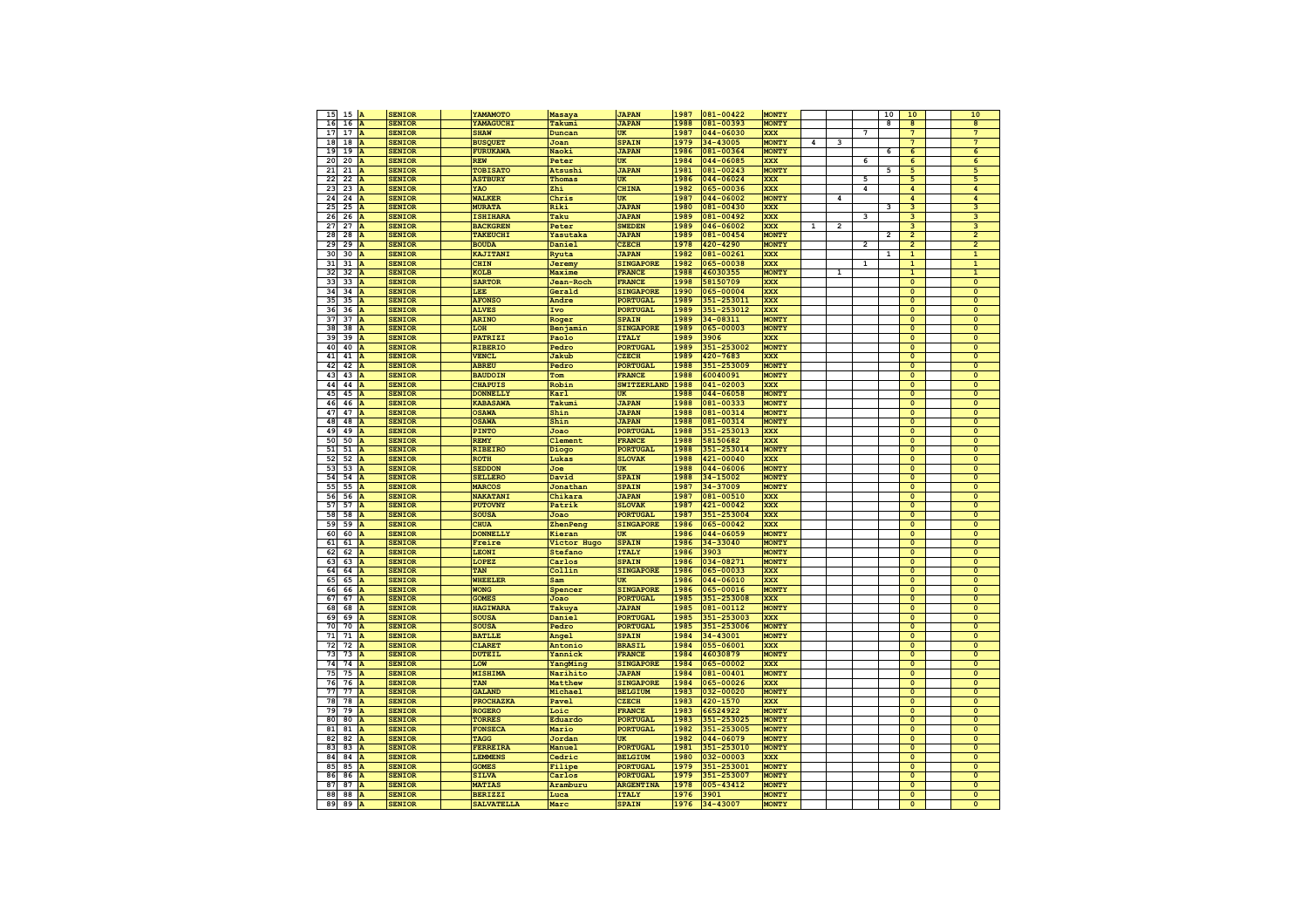| 15<br>A<br>15             | <b>SENIOR</b> | YAMAMOTO          | Masaya          | <b>JAPAN</b>     | 1987 | 081-00422     | <b>MONTY</b> |             |                |                         | 10                      | 10                      | 10                      |
|---------------------------|---------------|-------------------|-----------------|------------------|------|---------------|--------------|-------------|----------------|-------------------------|-------------------------|-------------------------|-------------------------|
| 16<br>16<br>A             | <b>SENIOR</b> | YAMAGUCHI         | Takumi          | <b>JAPAN</b>     | 1988 | 081-00393     | <b>MONTY</b> |             |                |                         | 8                       | 8                       | 8                       |
| 17<br>17<br>Ä             |               | <b>SHAW</b>       |                 | UK               | 1987 | 044-06030     | <b>XXX</b>   |             |                | 7                       |                         | $\overline{7}$          | $\overline{7}$          |
|                           | <b>SENIOR</b> |                   | Duncan          |                  |      |               |              |             |                |                         |                         | $\overline{7}$          | $\overline{7}$          |
| 18<br>18<br>A             | <b>SENIOR</b> | <b>BUSQUET</b>    | Joan            | <b>SPAIN</b>     | 1979 | 34-43005      | <b>MONTY</b> | 4           | з              |                         |                         |                         |                         |
| 19<br>19<br>A             | <b>SENIOR</b> | <b>FURUKAWA</b>   | Naoki           | <b>JAPAN</b>     | 1986 | 081-00364     | <b>MONTY</b> |             |                |                         | 6                       | 6                       | 6                       |
| 20<br>20<br>A             | <b>SENIOR</b> | REW               | Peter           | UK               | 1984 | 044-06085     | <b>XXX</b>   |             |                | 6                       |                         | 6                       | 6                       |
| 21<br>21<br>A             | <b>SENIOR</b> | <b>TOBISATO</b>   | Atsushi         | <b>JAPAN</b>     | 1981 | 081-00243     | <b>MONTY</b> |             |                |                         | 5                       | 5                       | 5                       |
| 22<br>22<br>A             | <b>SENIOR</b> | <b>ASTBURY</b>    | Thomas          | <b>UK</b>        | 1986 | 044-06024     | <b>XXX</b>   |             |                | 5                       |                         | 5                       | 5                       |
| 23<br>23<br>A             | <b>SENIOR</b> | YAO               | Zhi             | <b>CHINA</b>     | 1982 | 065-00036     | <b>XXX</b>   |             |                | 4                       |                         | $\overline{\mathbf{4}}$ | 4                       |
| 24<br>A                   |               | WALKER            |                 |                  |      | 044-06002     | <b>MONTY</b> |             | 4              |                         |                         | $\overline{\mathbf{4}}$ | 4                       |
| 24                        | <b>SENIOR</b> |                   | Chris           | UK               | 1987 |               |              |             |                |                         |                         |                         |                         |
| 25<br>25<br>A             | <b>SENIOR</b> | <b>MURATA</b>     | Riki            | <b>JAPAN</b>     | 1980 | 081-00430     | <b>XXX</b>   |             |                |                         | 3                       | $\overline{\mathbf{3}}$ | 3                       |
| 26<br>26<br>IA            | <b>SENIOR</b> | <b>ISHIHARA</b>   | Taku            | <b>JAPAN</b>     | 1989 | 081-00492     | <b>XXX</b>   |             |                | 3                       |                         | ্ব                      | $\overline{\mathbf{a}}$ |
| 27<br>27<br>la            | <b>SENIOR</b> | <b>BACKGREN</b>   | Peter           | <b>SWEDEN</b>    | 1989 | 046-06002     | <b>XXX</b>   | $\mathbf 1$ | $\overline{2}$ |                         |                         | $\overline{\mathbf{3}}$ | ঽ                       |
| 28<br>28<br>A             | <b>SENIOR</b> | <b>TAKEUCHI</b>   | Yasutaka        | <b>JAPAN</b>     | 1989 | 081-00454     | <b>MONTY</b> |             |                |                         | $\overline{\mathbf{2}}$ | $\overline{2}$          | $\overline{ }$          |
| 29<br>29<br>A             | <b>SENIOR</b> | <b>BOUDA</b>      | Daniel          | <b>CZECH</b>     | 1978 | 420-4290      | <b>MONTY</b> |             |                | $\overline{\mathbf{2}}$ |                         | $\overline{2}$          | $\overline{2}$          |
|                           |               |                   |                 |                  | 1982 | $081 - 00261$ | <b>XXX</b>   |             |                |                         |                         |                         | $\mathbf{1}$            |
| 30<br>30<br>A             | <b>SENIOR</b> | KAJITANI          | Ryuta           | <b>JAPAN</b>     |      |               |              |             |                |                         | 1                       | $\mathbf 1$             |                         |
| 31<br>31<br>A             | <b>SENIOR</b> | <b>CHIN</b>       | Jeremy          | <b>SINGAPORE</b> | 1982 | 065-00038     | <b>XXX</b>   |             |                | $\mathbf 1$             |                         | $\mathbf 1$             | $\mathbf{1}$            |
| 32<br>32<br>A             | <b>SENIOR</b> | <b>KOLB</b>       | Maxime          | <b>FRANCE</b>    | 1988 | 46030355      | <b>MONTY</b> |             | 1              |                         |                         | $\mathbf 1$             | $\mathbf{1}$            |
| 33<br>33<br>A             | <b>SENIOR</b> | <b>SARTOR</b>     | Jean-Roch       | <b>FRANCE</b>    | 1998 | 58150709      | <b>XXX</b>   |             |                |                         |                         | $\overline{\mathbf{0}}$ | $\overline{0}$          |
| 34<br>34<br>A             | <b>SENIOR</b> | LEE               | Gerald          | <b>SINGAPORE</b> | 1990 | 065-00004     | <b>XXX</b>   |             |                |                         |                         | $\overline{\mathbf{0}}$ | $\overline{0}$          |
| 35<br>35<br>A             | <b>SENIOR</b> | <b>AFONSO</b>     | Andre           | PORTUGAL         | 1989 | 351-253011    | <b>XXX</b>   |             |                |                         |                         | $\overline{\mathbf{0}}$ | $\overline{0}$          |
| 36<br>36<br>A             | <b>SENIOR</b> | <b>ALVES</b>      | Ivo             | PORTUGAL         | 1989 | 351-253012    | <b>XXX</b>   |             |                |                         |                         | $\overline{\mathbf{0}}$ | $\overline{0}$          |
|                           |               |                   |                 |                  |      |               |              |             |                |                         |                         |                         |                         |
| 37<br>37<br>A             | <b>SENIOR</b> | <b>ARINO</b>      | Roger           | <b>SPAIN</b>     | 1989 | 34-08311      | <b>MONTY</b> |             |                |                         |                         | $\overline{\mathbf{0}}$ | $\overline{\mathbf{0}}$ |
| 38<br>38<br>A             | <b>SENIOR</b> | LOH               | Benjamin        | <b>SINGAPORE</b> | 1989 | 065-00003     | <b>MONTY</b> |             |                |                         |                         | $\mathbf 0$             | $\mathbf 0$             |
| 39<br>39<br>A             | <b>SENIOR</b> | PATRIZI           | Paolo           | <b>ITALY</b>     | 1989 | 3906          | <b>XXX</b>   |             |                |                         |                         | $\mathbf 0$             | $\Omega$                |
| 40<br>40<br>A             | <b>SENIOR</b> | <b>RIBERIO</b>    | Pedro           | <b>PORTUGAL</b>  | 1989 | 351-253002    | <b>MONTY</b> |             |                |                         |                         | $\mathbf 0$             | $\Omega$                |
| 41<br>41<br>A             | <b>SENIOR</b> | <b>VENCL</b>      | Jakub           | <b>CZECH</b>     | 1989 | $420 - 7683$  | <b>XXX</b>   |             |                |                         |                         | $\Omega$                | $\Omega$                |
| 42<br>42<br>A             | <b>SENIOR</b> | <b>ABREU</b>      | Pedro           | <b>PORTUGAL</b>  | 1988 | 351-253009    | <b>MONTY</b> |             |                |                         |                         | $\Omega$                | $\overline{0}$          |
|                           |               |                   |                 |                  |      |               |              |             |                |                         |                         |                         |                         |
| 43<br>43<br>A             | <b>SENIOR</b> | <b>BAUDOIN</b>    | Tom             | <b>FRANCE</b>    | 1988 | 60040091      | <b>MONTY</b> |             |                |                         |                         | $\Omega$                | $\Omega$                |
| 44<br>44<br>A             | <b>SENIOR</b> | <b>CHAPUIS</b>    | Robin           | SWITZERLAND      | 1988 | $041 - 02003$ | <b>XXX</b>   |             |                |                         |                         | $\mathbf 0$             | $\mathbf 0$             |
| 45<br>45<br>A             | <b>SENIOR</b> | <b>DONNELLY</b>   | Karl            | UK               | 1988 | 044-06058     | <b>MONTY</b> |             |                |                         |                         | $\mathbf 0$             | $\mathbf 0$             |
| 46<br>46<br>A             | <b>SENIOR</b> | <b>KABASAWA</b>   | Takumi          | <b>JAPAN</b>     | 1988 | 081-00333     | <b>MONTY</b> |             |                |                         |                         | $\mathbf 0$             | $\mathbf{o}$            |
| 47<br>47<br>A             | <b>SENIOR</b> | <b>OSAWA</b>      | Shin            | <b>JAPAN</b>     | 1988 | 081-00314     | <b>MONTY</b> |             |                |                         |                         | $\mathbf 0$             | $\mathbf 0$             |
| 48<br>48<br>A             | <b>SENIOR</b> |                   | Shin            |                  | 1988 | 081-00314     | <b>MONTY</b> |             |                |                         |                         | $\mathbf 0$             | $\mathbf 0$             |
|                           |               | <b>OSAWA</b>      |                 | <b>JAPAN</b>     |      |               |              |             |                |                         |                         |                         |                         |
| 49<br>49<br>A             | <b>SENIOR</b> | <b>PINTO</b>      | Joao            | <b>PORTUGAL</b>  | 1988 | 351-253013    | <b>XXX</b>   |             |                |                         |                         | $\mathbf{o}$            | $\mathbf 0$             |
| 50<br>50<br>A             | <b>SENIOR</b> | <b>REMY</b>       | Clement         | <b>FRANCE</b>    | 1988 | 58150682      | <b>XXX</b>   |             |                |                         |                         | $\mathbf{o}$            | $\mathbf 0$             |
| 51<br>51<br>A             | <b>SENIOR</b> | <b>RIBEIRO</b>    | Diogo           | <b>PORTUGAL</b>  | 1988 | 351-253014    | <b>MONTY</b> |             |                |                         |                         | $\mathbf 0$             | $\Omega$                |
| 52<br>52<br>A             | <b>SENIOR</b> | <b>ROTH</b>       | Lukas           | <b>SLOVAK</b>    | 1988 | 421-00040     | <b>XXX</b>   |             |                |                         |                         | $\mathbf{0}$            | $\mathbf{0}$            |
| 53<br>53<br>A             | <b>SENIOR</b> | <b>SEDDON</b>     | Joe             | UK               | 1988 | 044-06006     | <b>MONTY</b> |             |                |                         |                         | $\mathbf{0}$            | $\mathbf{0}$            |
|                           |               |                   |                 |                  |      |               |              |             |                |                         |                         |                         |                         |
| 54<br>54<br>A             | <b>SENIOR</b> | <b>SELLERO</b>    | David           | <b>SPAIN</b>     | 1988 | 34-15002      | <b>MONTY</b> |             |                |                         |                         | $\mathbf 0$             | $\mathbf{0}$            |
| 55<br>55<br>A             | <b>SENIOR</b> | <b>MARCOS</b>     | Jonathan        | <b>SPAIN</b>     | 1987 | 34-37009      | <b>MONTY</b> |             |                |                         |                         | $\mathbf 0$             | $\Omega$                |
| 56<br>56<br>la            | <b>SENIOR</b> | <b>NAKATANI</b>   | Chikara         | <b>JAPAN</b>     | 1987 | 081-00510     | <b>XXX</b>   |             |                |                         |                         | $\Omega$                | $\Omega$                |
| 57<br>57 A                | <b>SENIOR</b> | <b>PUTOVNY</b>    | Patrik          | <b>SLOVAK</b>    | 1987 | 421-00042     | <b>XXX</b>   |             |                |                         |                         | $\Omega$                | $\overline{0}$          |
| 58<br>58<br>A             | <b>SENIOR</b> | <b>SOUSA</b>      | Joao            | PORTUGAL         | 1987 | 351-253004    | <b>XXX</b>   |             |                |                         |                         | $\Omega$                | $\overline{0}$          |
| 59<br>59 A                | <b>SENIOR</b> | <b>CHUA</b>       | <b>ZhenPeng</b> | <b>SINGAPORE</b> | 1986 | 065-00042     | <b>XXX</b>   |             |                |                         |                         | $\overline{0}$          | $\overline{0}$          |
|                           |               |                   |                 |                  |      |               |              |             |                |                         |                         |                         | $\Omega$                |
| 60<br>60 <sub>A</sub>     | <b>SENIOR</b> | <b>DONNELLY</b>   | Kieran          | UK               | 1986 | 044-06059     | <b>MONTY</b> |             |                |                         |                         | $\mathbf{o}$            |                         |
| 61<br>$61$ $A$            | <b>SENIOR</b> | <b>Freire</b>     | Victor Hugo     | <b>SPAIN</b>     | 1986 | 34-33040      | <b>MONTY</b> |             |                |                         |                         | $\mathbf{o}$            | $\mathbf 0$             |
| 62<br>$62$ $\overline{A}$ | <b>SENIOR</b> | <b>LEONI</b>      | Stefano         | <b>ITALY</b>     | 1986 | 3903          | <b>MONTY</b> |             |                |                         |                         | $\mathbf{o}$            | $\overline{\mathbf{0}}$ |
| 63<br>63<br>A             | <b>SENIOR</b> | <b>LOPEZ</b>      | Carlos          | <b>SPAIN</b>     | 1986 | 034-08271     | <b>MONTY</b> |             |                |                         |                         | $\mathbf{o}$            | $\overline{0}$          |
| 64<br>64<br>A             | <b>SENIOR</b> | TAN               | Collin          | <b>SINGAPORE</b> | 1986 | 065-00033     | <b>XXX</b>   |             |                |                         |                         | $\mathbf{o}$            | $\overline{0}$          |
| 65<br>65<br>A             | <b>SENIOR</b> | WHEELER           | Sam             | UK               | 1986 | 044-06010     | <b>XXX</b>   |             |                |                         |                         | $\Omega$                | $\overline{0}$          |
| 66<br>66<br>A             | SENIOR        | <b>WONG</b>       |                 |                  | 1986 |               | <b>MONTY</b> |             |                |                         |                         | $\overline{0}$          | $\overline{0}$          |
|                           |               |                   | Spencer         | <b>SINGAPORE</b> |      | 065-00016     |              |             |                |                         |                         |                         |                         |
| 67<br>67<br>A             | <b>SENIOR</b> | <b>GOMES</b>      | Joao            | PORTUGAL         | 1985 | 351-253008    | <b>XXX</b>   |             |                |                         |                         | $\overline{0}$          | $\overline{\mathbf{0}}$ |
| 68<br>68<br>A             | <b>SENIOR</b> | <b>HAGIWARA</b>   | Takuya          | <b>JAPAN</b>     | 1985 | 081-00112     | <b>MONTY</b> |             |                |                         |                         | $\mathbf 0$             | $\pmb{\mathsf{o}}$      |
| 69<br>69<br>A             | <b>SENIOR</b> | <b>SOUSA</b>      | Daniel          | <b>PORTUGAL</b>  | 1985 | 351-253003    | <b>XXX</b>   |             |                |                         |                         | $\mathbf 0$             | $\pmb{\mathsf{o}}$      |
| 70<br>70<br>A             | <b>SENIOR</b> | <b>SOUSA</b>      | Pedro           | <b>PORTUGAL</b>  | 1985 | 351-253006    | <b>MONTY</b> |             |                |                         |                         | $\overline{0}$          | $\mathbf 0$             |
| 71<br>71<br>A             | <b>SENIOR</b> | <b>BATLLE</b>     | Angel           | <b>SPAIN</b>     | 1984 | 34-43001      | <b>MONTY</b> |             |                |                         |                         | $\Omega$                | $\Omega$                |
| 72<br>72<br>A             | <b>SENIOR</b> | <b>CLARET</b>     | Antonio         | <b>BRASIL</b>    | 1984 | 055-06001     | <b>XXX</b>   |             |                |                         |                         | $\Omega$                | $\overline{0}$          |
|                           |               |                   |                 |                  |      |               |              |             |                |                         |                         |                         | $\overline{0}$          |
| 73<br>73<br>A             | <b>SENIOR</b> | <b>DUTEIL</b>     | Yannick         | <b>FRANCE</b>    | 1984 | 46030879      | <b>MONTY</b> |             |                |                         |                         | $\Omega$                |                         |
| 74<br>74<br>A             | <b>SENIOR</b> | LOW               | YangMing        | <b>SINGAPORE</b> | 1984 | 065-00002     | <b>XXX</b>   |             |                |                         |                         | $\Omega$                | $\overline{0}$          |
| 75<br>75<br>A             | <b>SENIOR</b> | <b>MISHIMA</b>    | Narihito        | <b>JAPAN</b>     | 1984 | 081-00401     | <b>MONTY</b> |             |                |                         |                         | $\mathbf 0$             | $\mathbf 0$             |
| 76<br>76<br>A             | <b>SENIOR</b> | TAN               | Matthew         | <b>SINGAPORE</b> | 1984 | 065-00026     | <b>XXX</b>   |             |                |                         |                         | $\mathbf{o}$            | $\mathbf 0$             |
| 77<br>77<br>A             | <b>SENIOR</b> | <b>GALAND</b>     | Michael         | <b>BELGIUM</b>   | 1983 | 032-00020     | <b>MONTY</b> |             |                |                         |                         | $\mathbf{o}$            | $\mathbf 0$             |
| 78<br>78<br>Ä             | <b>SENIOR</b> | <b>PROCHAZKA</b>  | Pavel           | <b>CZECH</b>     | 1983 | 420-1570      | <b>XXX</b>   |             |                |                         |                         | $\mathbf 0$             | $\mathbf 0$             |
|                           |               |                   |                 |                  |      |               |              |             |                |                         |                         |                         |                         |
| 79<br>79<br>Ä             | <b>SENIOR</b> | <b>ROGERO</b>     | Loic            | <b>FRANCE</b>    | 1983 | 66524922      | <b>MONTY</b> |             |                |                         |                         | $\mathbf 0$             | $\mathbf 0$             |
| 80<br>80<br>A             |               | <b>TORRES</b>     | Eduardo         | <b>PORTUGAL</b>  | 1983 | 351-253025    | <b>MONTY</b> |             |                |                         |                         | $\mathbf 0$             | $\mathbf 0$             |
|                           | <b>SENIOR</b> |                   |                 | <b>PORTUGAL</b>  | 1982 | 351-253005    | <b>MONTY</b> |             |                |                         |                         |                         | $\mathbf 0$             |
| 81<br>81<br>A             | <b>SENIOR</b> | <b>FONSECA</b>    | Mario           |                  |      |               |              |             |                |                         |                         | $\overline{\mathbf{0}}$ |                         |
| 82<br>82<br>A             | <b>SENIOR</b> | TAGG              |                 | UK               | 1982 | 044-06079     | <b>MONTY</b> |             |                |                         |                         | $\overline{\mathbf{0}}$ | $\mathbf{0}$            |
| A                         |               |                   | Jordan          |                  |      |               |              |             |                |                         |                         |                         | $\mathbf 0$             |
| 83<br>83                  | <b>SENIOR</b> | FERREIRA          | Manuel          | <b>PORTUGAL</b>  | 1981 | 351-253010    | <b>MONTY</b> |             |                |                         |                         | $\mathbf 0$             |                         |
| 84<br>84<br>A             | <b>SENIOR</b> | <b>LEMMENS</b>    | Cedric          | <b>BELGIUM</b>   | 1980 | 032-00003     | <b>XXX</b>   |             |                |                         |                         | $\overline{\mathbf{0}}$ | $\Omega$                |
| 85<br>85<br>A             | <b>SENIOR</b> | <b>GOMES</b>      | Filipe          | <b>PORTUGAL</b>  | 1979 | 351-253001    | <b>MONTY</b> |             |                |                         |                         | $\overline{\mathbf{0}}$ | $\Omega$                |
| 86<br>86<br>A             | <b>SENIOR</b> | <b>SILVA</b>      | Carlos          | <b>PORTUGAL</b>  | 1979 | 351-253007    | <b>MONTY</b> |             |                |                         |                         | $\overline{\mathbf{0}}$ | $\Omega$                |
| 87<br>87<br><b>A</b>      | <b>SENIOR</b> | <b>MATIAS</b>     | Aramburu        | <b>ARGENTINA</b> | 1978 | $005 - 43412$ | <b>MONTY</b> |             |                |                         |                         | $\overline{\mathbf{0}}$ | $\Omega$                |
| 88<br>88<br>A             | <b>SENIOR</b> | <b>BERIZZI</b>    | Luca            | <b>ITALY</b>     | 1976 | 3901          | <b>MONTY</b> |             |                |                         |                         | $\overline{\mathbf{0}}$ | $\overline{0}$          |
| 89<br>89<br>A             | <b>SENIOR</b> | <b>SALVATELLA</b> | Marc            | <b>SPAIN</b>     | 1976 | $34 - 43007$  | <b>MONTY</b> |             |                |                         |                         | $\overline{\mathbf{0}}$ | $\overline{0}$          |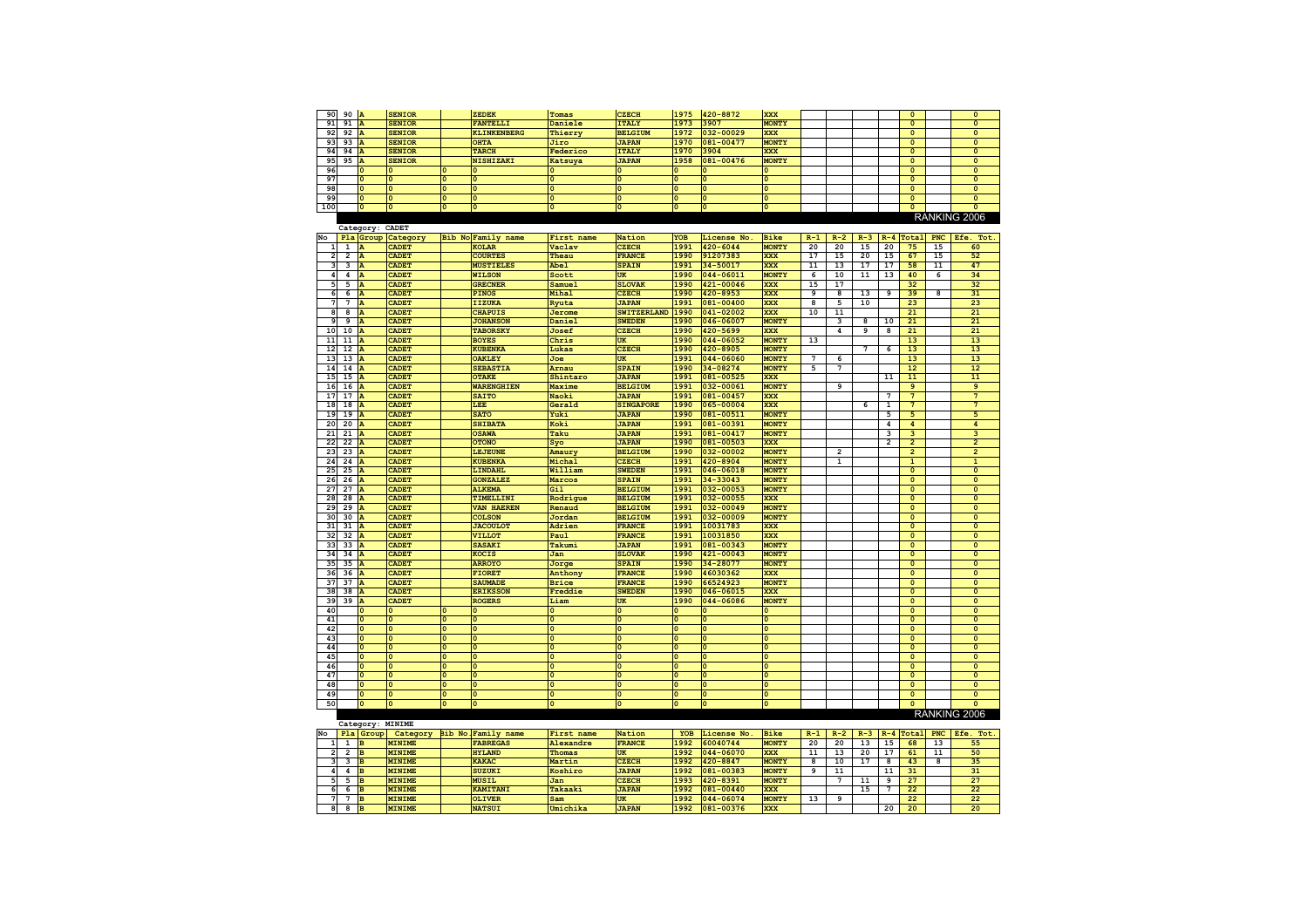| 90                                         | 90                       | A                       | <b>SENIOR</b>                  |                | ZEDEK                          | <b>Tomas</b>            | <b>CZECH</b>       | 1975                    | 420-8872               | <b>XXX</b>                 |                |                         |       |                | $\mathbf 0$               |     | $\pmb{\mathsf{o}}$      |
|--------------------------------------------|--------------------------|-------------------------|--------------------------------|----------------|--------------------------------|-------------------------|--------------------|-------------------------|------------------------|----------------------------|----------------|-------------------------|-------|----------------|---------------------------|-----|-------------------------|
| 91                                         | 91                       | A                       | <b>SENIOR</b>                  |                | <b>FANTELLI</b>                | Daniele                 | <b>ITALY</b>       | 1973                    | 3907                   | <b>MONTY</b>               |                |                         |       |                | $\mathbf{0}$              |     | $\mathbf 0$             |
| 92                                         | 92                       | A                       | <b>SENIOR</b>                  |                | <b>KLINKENBERG</b>             | Thierry                 | <b>BELGIUM</b>     | 1972                    | 032-00029              | <b>XXX</b>                 |                |                         |       |                | $\mathbf 0$               |     | $\overline{\mathbf{0}}$ |
| 93                                         | 93                       | A                       | <b>SENIOR</b>                  |                | <b>OHTA</b>                    | Jiro                    | <b>JAPAN</b>       | 1970                    | 081-00477              | <b>MONTY</b>               |                |                         |       |                | $\overline{\mathbf{0}}$   |     | $\overline{\mathbf{0}}$ |
| 94                                         |                          |                         |                                |                |                                |                         |                    | 1970                    |                        |                            |                |                         |       |                | $\overline{0}$            |     | $\overline{0}$          |
|                                            | 94                       | A                       | <b>SENIOR</b>                  |                | <b>TARCH</b>                   | Federico                | <b>ITALY</b>       |                         | 3904                   | <b>XXX</b>                 |                |                         |       |                |                           |     |                         |
| 95                                         | 95                       | A                       | <b>SENIOR</b>                  |                | <b>NISHIZAKI</b>               | Katsuya                 | <b>JAPAN</b>       | 1958                    | 081-00476              | <b>MONTY</b>               |                |                         |       |                | $\overline{0}$            |     | $\overline{0}$          |
| 96                                         |                          | Ó                       | $\mathbf{0}$                   |                | $\overline{0}$                 | $\mathbf{0}$            | Ō                  | $\overline{0}$          | $\overline{0}$         | $\mathbf 0$                |                |                         |       |                | $\overline{0}$            |     | $\overline{\mathbf{0}}$ |
| 97                                         |                          | Ō                       | ١o                             | $\mathbf 0$    | $\overline{0}$                 | $\mathbf 0$             | $\mathbf 0$        | $\overline{0}$          | $\mathbf 0$            | $\mathbf 0$                |                |                         |       |                | $\mathbf{0}$              |     | $\mathbf 0$             |
| 98                                         |                          | $\mathbf 0$             | ١o                             | $\mathbf 0$    | $\bullet$                      | $\mathbf 0$             | $\mathbf 0$        | $\overline{0}$          | $\mathbf 0$            | $\overline{0}$             |                |                         |       |                | $\mathbf 0$               |     | 0                       |
| 99                                         |                          | $\mathbf 0$             | O                              | $\mathbf 0$    | 0                              | $\bullet$               | $\mathbf 0$        | O                       | $\mathbf 0$            | $\overline{0}$             |                |                         |       |                | $\mathbf 0$               |     | 0                       |
| 100                                        |                          | $\Omega$                | O                              | $\Omega$       | lo                             | $\bullet$               | $\mathbf 0$        | $\bullet$               | $\mathbf 0$            | $\circ$                    |                |                         |       |                | $\mathbf 0$               |     | $\mathbf 0$             |
|                                            |                          |                         |                                |                |                                |                         |                    |                         |                        |                            |                |                         |       |                |                           |     | RANKING 2006            |
|                                            |                          |                         |                                |                |                                |                         |                    |                         |                        |                            |                |                         |       |                |                           |     |                         |
|                                            |                          | Category: CADET         |                                |                |                                |                         |                    |                         |                        |                            |                |                         |       |                |                           |     |                         |
| No                                         | Pla                      | Group                   | Category                       |                | Bib No Family name             | First name              | Nation             | YOB                     | License No.            | <b>Bike</b>                | $R-1$          | $R-2$                   | $R-3$ | $R - 4$        | Total                     | PNC | Tot<br>Efe.             |
| 1                                          | 1                        |                         | <b>CADET</b>                   |                | <b>KOLAR</b>                   | Vaclav                  | <b>CZECH</b>       | 1991                    | $420 - 6044$           | <b>MONTY</b>               | 20             | 20                      | 15    | 20             | 75                        | 15  | 60                      |
| $\overline{\mathbf{2}}$                    | $\mathbf 2$              | A                       | <b>CADET</b>                   |                | <b>COURTES</b>                 | Theau                   | <b>FRANCE</b>      | 1990                    | 91207383               | <b>XXX</b>                 | 17             | 15                      | 20    | 15             | 67                        | 15  | 52                      |
| $\overline{\mathbf{3}}$                    | 3                        | A                       | <b>CADET</b>                   |                | <b>MUSTIELES</b>               | Abel                    | <b>SPAIN</b>       | 1991                    | 34-50017               | <b>XXX</b>                 | 11             | 13                      | 17    | 17             | 58                        | 11  | 47                      |
| 4 <sup>1</sup>                             | 4                        | A                       | <b>CADET</b>                   |                | <b>WILSON</b>                  | Scott                   | UK                 | 1990                    | 044-06011              | <b>MONTY</b>               | 6              | 10                      | 11    | 13             | 40                        | 6   | 34                      |
| 5                                          | 5                        | A                       | CADET                          |                | <b>GRECNER</b>                 | <b>Samuel</b>           | <b>SLOVAK</b>      | 1990                    | 421-00046              | <b>XXX</b>                 | 15             | 17                      |       |                | 32                        |     | 32                      |
| 6                                          | 6                        | $\overline{\mathbf{a}}$ | CADET                          |                | <b>PINOS</b>                   | Mihal                   | <b>CZECH</b>       | 1990                    | 420-8953               | <b>XXX</b>                 | 9              | 8                       | 13    | $\overline{9}$ | 39                        | 8   | 31                      |
| $\overline{7}$                             | 7                        | A                       | CADET                          |                | IIZUKA                         | Ryuta                   | <b>JAPAN</b>       | 1991                    | 081-00400              | <b>XXX</b>                 | 8              | 5                       | 10    |                | 23                        |     | 23                      |
| 8                                          | 8                        | A                       | CADET                          |                | <b>CHAPUIS</b>                 |                         | <b>SWITZERLAND</b> | 1990                    | 041-02002              | <b>XXX</b>                 | 10             | 11                      |       |                | 21                        |     | 21                      |
|                                            |                          |                         |                                |                |                                | Jerome                  |                    |                         |                        |                            |                |                         |       |                |                           |     |                         |
| 9                                          | 9                        | A                       | CADET                          |                | <b>JOHANSON</b>                | Daniel                  | <b>SWEDEN</b>      | 1990                    | 046-06007              | <b>MONTY</b>               |                | 3                       | 8     | 10             | 21                        |     | 21                      |
| 10                                         | 10                       | A                       | CADET                          |                | <b>TABORSKY</b>                | Josef                   | <b>CZECH</b>       | 1990                    | 420-5699               | <b>XXX</b>                 |                | 4                       | 9     | 8              | 21                        |     | 21                      |
| 11                                         | 11                       | A                       | <b>CADET</b>                   |                | <b>BOYES</b>                   | Chris                   | UK                 | 1990                    | 044-06052              | <b>MONTY</b>               | 13             |                         |       |                | 13                        |     | 13                      |
| 12                                         | 12                       | A                       | CADET                          |                | <b>KUBENKA</b>                 | Lukas                   | <b>CZECH</b>       | 1990                    | 420-8905               | <b>MONTY</b>               |                |                         | 7     | 6              | 13                        |     | 13                      |
| 13                                         | 13                       | A                       | CADET                          |                | <b>OAKLEY</b>                  | Joe                     | UK                 | 1991                    | 044-06060              | <b>MONTY</b>               | $\overline{7}$ | 6                       |       |                | 13                        |     | 13                      |
| 14                                         | 14                       | А                       | <b>CADET</b>                   |                | <b>SEBASTIA</b>                | Arnau                   | <b>SPAIN</b>       | 1990                    | 34-08274               | <b>MONTY</b>               | 5              | 7                       |       |                | 12                        |     | 12                      |
| 15                                         | 15                       | А                       | <b>CADET</b>                   |                | <b>OTAKE</b>                   | Shintaro                | <b>JAPAN</b>       | 1991                    | 081-00525              | <b>XXX</b>                 |                |                         |       | 11             | 11                        |     | 11                      |
| 16                                         | 16                       | А                       | CADET                          |                | <b>WARENGHIEN</b>              | Maxime                  | <b>BELGIUM</b>     | 1991                    | 032-00061              | <b>MONTY</b>               |                | 9                       |       |                | $\mathbf 9$               |     | 9                       |
| 17                                         | 17                       | А                       | CADET                          |                | <b>SAITO</b>                   | Naoki                   | <b>JAPAN</b>       | 1991                    | 081-00457              | <b>XXX</b>                 |                |                         |       | 7              | $\overline{7}$            |     | 7                       |
| 18                                         | 18                       | A                       | CADET                          |                | LEE                            | Gerald                  | <b>SINGAPORE</b>   | 1990                    | 065-00004              | <b>XXX</b>                 |                |                         | 6     | $\mathbf{1}$   | $\overline{7}$            |     | $\overline{7}$          |
| 19 <sup>1</sup>                            |                          |                         |                                |                |                                |                         |                    |                         |                        |                            |                |                         |       | 5              |                           |     | 5                       |
|                                            | 19                       | IA                      | <b>CADET</b>                   |                | <b>SATO</b>                    | Yuki                    | <b>JAPAN</b>       | 1990                    | 081-00511              | <b>MONTY</b>               |                |                         |       |                | 5                         |     |                         |
| 20 <sub>1</sub>                            | $20$ A                   |                         | <b>CADET</b>                   |                | <b>SHIBATA</b>                 | Koki                    | <b>JAPAN</b>       | 1991                    | 081-00391              | <b>MONTY</b>               |                |                         |       | 4              | $\overline{4}$            |     | $\overline{4}$          |
| 21                                         | 21                       | IA                      | <b>CADET</b>                   |                | <b>OSAWA</b>                   | Taku                    | <b>JAPAN</b>       | 1991                    | 081-00417              | <b>MONTY</b>               |                |                         |       | 3              | $\ensuremath{\mathsf{3}}$ |     | 3                       |
| 22                                         | 22                       | IA                      | <b>CADET</b>                   |                | <b>OTONO</b>                   | Syo                     | <b>JAPAN</b>       | 1990                    | 081-00503              | <b>XXX</b>                 |                |                         |       | $\overline{2}$ | $\mathbf{2}$              |     | $\overline{a}$          |
| 23                                         | $23$ $\overline{A}$      |                         | <b>CADET</b>                   |                | <b>LEJEUNE</b>                 | Amaury                  | <b>BELGIUM</b>     | 1990                    | 032-00002              | <b>MONTY</b>               |                | $\overline{\mathbf{2}}$ |       |                | $\mathbf{2}$              |     | $\overline{a}$          |
| 24                                         | $24$ A                   |                         | <b>CADET</b>                   |                | <b>KUBENKA</b>                 | Michal                  | <b>CZECH</b>       | 1991                    | 420-8904               | <b>MONTY</b>               |                | 1                       |       |                | $\mathbf 1$               |     | $\mathbf{1}$            |
| 25                                         | $25$ A                   |                         | <b>CADET</b>                   |                | <b>LINDAHL</b>                 | William                 | <b>SWEDEN</b>      | 1991                    | 046-06018              | <b>MONTY</b>               |                |                         |       |                | $\mathbf 0$               |     | $\mathbf 0$             |
| 26                                         | $26$ A                   |                         | <b>CADET</b>                   |                | <b>GONZALEZ</b>                | Marcos                  | <b>SPAIN</b>       | 1991                    | 34-33043               | <b>MONTY</b>               |                |                         |       |                | $\mathbf 0$               |     | $\mathbf 0$             |
| 27                                         | 27 <sup>h</sup>          |                         | <b>CADET</b>                   |                | <b>ALKEMA</b>                  | Gi1                     | <b>BELGIUM</b>     | 1991                    | 032-00053              | <b>MONTY</b>               |                |                         |       |                | $\mathbf 0$               |     | $\mathbf 0$             |
|                                            |                          |                         |                                |                |                                |                         |                    | 1991                    |                        |                            |                |                         |       |                |                           |     |                         |
| 28                                         | $28$ $\overline{A}$      |                         | <b>CADET</b>                   |                | TIMELLINI                      | Rodrigue                | <b>BELGIUM</b>     |                         | 032-00055              | <b>XXX</b>                 |                |                         |       |                | $\mathbf 0$               |     | 0                       |
| 29                                         | $29$ $\overline{A}$      |                         | <b>CADET</b>                   |                | <b>VAN HAEREN</b>              | Renaud                  | <b>BELGIUM</b>     | 1991                    | 032-00049              | <b>MONTY</b>               |                |                         |       |                | $\mathbf 0$               |     | 0                       |
| 30 <sup>1</sup>                            | 30                       | A                       | <b>CADET</b>                   |                | <b>COLSON</b>                  | Jordan                  | <b>BELGIUM</b>     | 1991                    | 032-00009              | <b>MONTY</b>               |                |                         |       |                | $\mathbf 0$               |     | $\mathbf 0$             |
| 31                                         | 31                       | A                       | <b>CADET</b>                   |                | <b>JACOULOT</b>                | Adrien                  | <b>FRANCE</b>      | 1991                    | 10031783               | <b>XXX</b>                 |                |                         |       |                | $\mathbf 0$               |     | $\mathbf 0$             |
| 32                                         | 32                       | Æ                       | <b>CADET</b>                   |                | <b>VILLOT</b>                  | Paul                    | <b>FRANCE</b>      | 1991                    | 10031850               | <b>XXX</b>                 |                |                         |       |                | $\mathbf 0$               |     | $\mathbf 0$             |
| 33                                         | 33                       | Þ                       | CADET                          |                | <b>SASAKI</b>                  | Takumi                  | <b>JAPAN</b>       | 1991                    | 081-00343              | MONTY                      |                |                         |       |                | $\mathbf 0$               |     | $\mathbf 0$             |
| 34                                         | 34                       | A                       | CADET                          |                | <b>KOCIS</b>                   | Jan                     | <b>SLOVAK</b>      | 1990                    | 421-00043              | <b>MONTY</b>               |                |                         |       |                | $\overline{\mathbf{0}}$   |     | $\overline{\mathbf{0}}$ |
| 35                                         | 35                       | A                       | CADET                          |                | <b>ARROYO</b>                  | Jorge                   | <b>SPAIN</b>       | 1990                    | 34-28077               | <b>MONTY</b>               |                |                         |       |                | $\overline{\mathbf{0}}$   |     | $\overline{\mathbf{0}}$ |
| 36                                         | 36                       | A                       | CADET                          |                | <b>FIORET</b>                  | Anthony                 | <b>FRANCE</b>      | 1990                    | 46030362               | <b>XXX</b>                 |                |                         |       |                | $\overline{\mathbf{0}}$   |     | $\overline{\mathbf{0}}$ |
| 37                                         | 37                       | A                       | CADET                          |                | <b>SAUMADE</b>                 | <b>Brice</b>            | FRANCE             | 1990                    | 66524923               | MONTY                      |                |                         |       |                | $\overline{\mathbf{0}}$   |     | $\overline{\mathbf{0}}$ |
| 38                                         | 38                       | A                       | CADET                          |                | <b>ERIKSSON</b>                | Freddie                 | <b>SWEDEN</b>      | 1990                    | 046-06015              | <b>XXX</b>                 |                |                         |       |                | $\overline{\mathbf{0}}$   |     | $\overline{\mathbf{0}}$ |
| 39                                         | 39                       | A                       | CADET                          |                | <b>ROGERS</b>                  | Liam                    | UK                 | 1990                    | 044-06086              | MONTY                      |                |                         |       |                | $\overline{0}$            |     | $\overline{\mathbf{0}}$ |
| 40                                         |                          | O                       | $\Omega$                       |                | $\Omega$                       | $\bullet$               | Ō                  | $\Omega$                | n                      | $\Omega$                   |                |                         |       |                | $\overline{0}$            |     | $\overline{0}$          |
| 41                                         |                          |                         | $\overline{\mathbf{0}}$        | $\overline{0}$ | $\overline{0}$                 | $\overline{\mathbf{0}}$ | Ō                  | $\overline{\mathbf{0}}$ | Ō                      | $\Omega$                   |                |                         |       |                | $\overline{\mathbf{0}}$   |     | $\overline{\mathbf{0}}$ |
|                                            |                          | Ō                       |                                |                |                                |                         |                    |                         |                        |                            |                |                         |       |                |                           |     |                         |
| 42                                         |                          | Ō                       | $\circ$                        | O              | $\mathbf 0$                    | 0                       | Ō                  | $\mathbf 0$             | $\overline{0}$         | $\Omega$                   |                |                         |       |                | $\mathbf 0$               |     | $\pmb{\mathsf{o}}$      |
| 43                                         |                          | Ō                       | $\circ$                        | $\Omega$       | $\mathbf 0$                    | 0                       | $\Omega$           | $\mathbf 0$             | $\overline{0}$         | $\Omega$                   |                |                         |       |                | $\mathbf{0}$              |     | $\pmb{\mathsf{o}}$      |
| 44                                         |                          | $\Omega$                | $\circ$                        | $\Omega$       | $\overline{0}$                 | 0                       | $\Omega$           | $\mathbf 0$             | $\Omega$               | $\Omega$                   |                |                         |       |                | $\overline{0}$            |     | $\pmb{\mathsf{o}}$      |
| 45                                         |                          | $\Omega$                | $\Omega$                       | $\Omega$       | $\overline{0}$                 | $\Omega$                | $\Omega$           | $\bullet$               | $\Omega$               | $\Omega$                   |                |                         |       |                | $\overline{0}$            |     | $\overline{0}$          |
| 46                                         |                          | $\Omega$                | ١o                             | $\Omega$       | $\overline{0}$                 | $\overline{0}$          | $\Omega$           | $\overline{0}$          | $\overline{0}$         | $\Omega$                   |                |                         |       |                | $\overline{0}$            |     | $\overline{0}$          |
| 47                                         |                          | $\Omega$                | $\Omega$                       | $\Omega$       | $\overline{0}$                 | $\overline{0}$          | $\Omega$           | $\Omega$                | $\overline{0}$         | $\Omega$                   |                |                         |       |                | $\overline{0}$            |     | $\overline{0}$          |
| 48                                         |                          | $\overline{0}$          | $\mathbf{0}$                   | $\mathbf 0$    | $\overline{\mathbf{0}}$        | $\overline{\mathbf{0}}$ | $\mathbf 0$        | $\mathbf 0$             | $\overline{0}$         | $\overline{0}$             |                |                         |       |                | $\overline{\mathbf{0}}$   |     | $\overline{\mathbf{0}}$ |
| 49                                         |                          | $\mathbf 0$             | $\mathbf{0}$                   | $\mathbf 0$    | $\circ$                        | $\mathbf 0$             | $\mathbf 0$        | $\mathbf 0$             | $\mathbf 0$            | $\overline{0}$             |                |                         |       |                | $\pmb{\mathsf{0}}$        |     | 0                       |
| 50                                         |                          | O                       | $\mathbf 0$                    |                | $\overline{0}$                 | 0                       | $\mathbf 0$        | $\mathbf 0$             | $\mathbf 0$            | $\overline{0}$             |                |                         |       |                | $\mathbf 0$               |     | $\mathbf 0$             |
|                                            |                          |                         |                                |                |                                |                         |                    |                         |                        |                            |                |                         |       |                |                           |     | RANKING 2006            |
|                                            |                          |                         |                                |                |                                |                         |                    |                         |                        |                            |                |                         |       |                |                           |     |                         |
|                                            |                          | Category: MINIME        |                                |                |                                |                         |                    |                         |                        |                            |                |                         |       |                |                           |     |                         |
| No                                         |                          |                         | Category                       |                | Bib No. Family name            | First name              | Nation             | <b>YOB</b>              | License No.            | Bike                       | $R-1$          | $R-2$                   | $R-3$ |                | $R-4$ Total               | PNC | Efe.<br>Tot.            |
|                                            | Pla                      | Group                   |                                |                |                                | Alexandre               | FRANCE             | 1992                    | 60040744               | <b>MONTY</b>               | 20             | 20                      | 13    | 15             | 68                        | 13  | 55                      |
| $\mathbf{1}$                               | $\mathbf 1$              | B                       | <b>MINIME</b>                  |                | <b>FABREGAS</b>                |                         |                    |                         |                        |                            |                |                         |       |                |                           |     |                         |
| $\overline{2}$                             | $\overline{2}$           | в                       | <b>MINIME</b>                  |                | <b>HYLAND</b>                  | Thomas                  | UK                 | 1992                    | 044-06070              | <b>XXX</b>                 | 11             | 13                      | 20    | 17             | 61                        | 11  | 50                      |
|                                            |                          |                         |                                |                |                                |                         |                    |                         |                        |                            |                |                         |       |                |                           |     |                         |
| $\overline{\mathbf{3}}$                    | 3                        | B                       | <b>MINIME</b>                  |                | <b>KAKAC</b>                   | Martin                  | <b>CZECH</b>       | 1992                    | 420-8847               | <b>MONTY</b>               | 8              | 10                      | 17    | 8              | 43                        | 8   | 35                      |
| 4 <sup>1</sup>                             | $\overline{\mathbf{4}}$  | B                       | <b>MINIME</b>                  |                | <b>SUZUKI</b>                  | Koshiro                 | <b>JAPAN</b>       | 1992                    | 081-00383              | <b>MONTY</b>               | 9              | 11                      |       | 11             | 31                        |     | 31                      |
| 5 <sub>1</sub>                             | 5                        | B                       | <b>MINIME</b>                  |                | <b>MUSIL</b>                   | Jan                     | <b>CZECH</b>       | 1993                    | 420-8391               | <b>MONTY</b>               |                | 7                       | 11    | 9              | 27                        |     | 27                      |
| 6                                          | 6                        | B                       | <b>MINIME</b>                  |                | KAMITANI                       | Takaaki                 | <b>JAPAN</b>       | 1992                    | 081-00440              | <b>XXX</b>                 |                |                         | 15    | 7              | 22                        |     | 22                      |
| $7\overline{ }$<br>$\overline{\mathbf{a}}$ | $\scriptstyle\rm 7$<br>8 | B<br>B                  | <b>MINIME</b><br><b>MTNTME</b> |                | <b>OLIVER</b><br><b>NATSUI</b> | Sam<br>Umichika         | UK<br><b>JAPAN</b> | 1992<br>1992            | 044-06074<br>081-00376 | <b>MONTY</b><br><b>YYY</b> | 13             | 9                       |       | 20             | 22<br>20                  |     | 22<br>20                |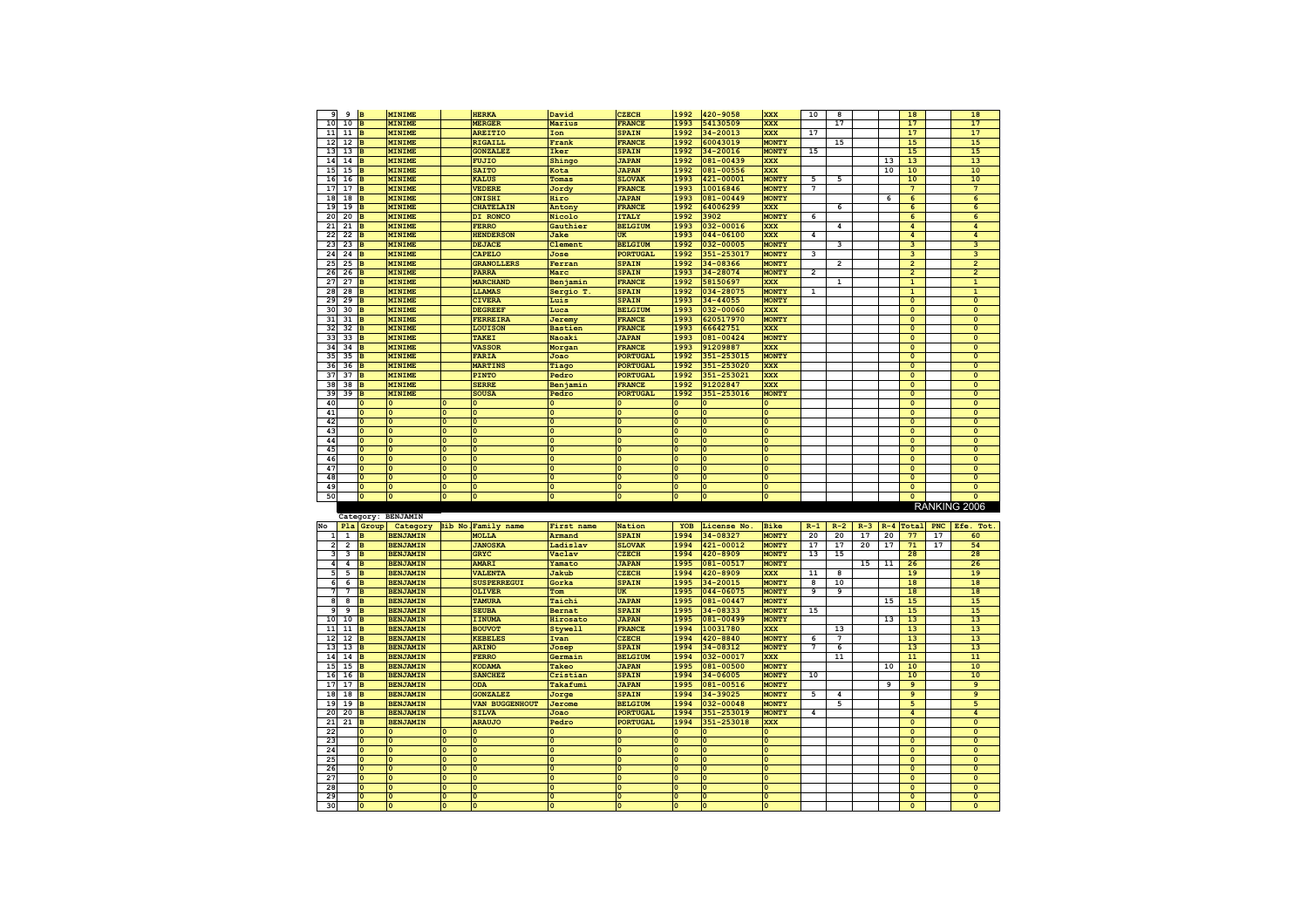| 9                       | 9                       | B                          | <b>MINIME</b>           |                         | <b>HERKA</b>                                  | David                   | <b>CZECH</b>                   | 1992                    | 420-9058                | <b>XXX</b>              | 10             | 8              |       |         | 18                             |     | 18                      |
|-------------------------|-------------------------|----------------------------|-------------------------|-------------------------|-----------------------------------------------|-------------------------|--------------------------------|-------------------------|-------------------------|-------------------------|----------------|----------------|-------|---------|--------------------------------|-----|-------------------------|
| 10                      | 10                      | B                          | <b>MINIME</b>           |                         | <b>MERGER</b>                                 | Marius                  | <b>FRANCE</b>                  | 1993                    | 54130509                | <b>XXX</b>              |                | 17             |       |         | 17                             |     | 17                      |
| 11                      | 11                      | B                          | <b>MINIME</b>           |                         | <b>AREITIO</b>                                | Ion                     | <b>SPAIN</b>                   | 1992                    | 34-20013                | <b>XXX</b>              | 17             |                |       |         | 17                             |     | 17                      |
| 12                      | 12                      | B                          | <b>MINIME</b>           |                         | <b>RIGAILL</b>                                | Frank                   | <b>FRANCE</b>                  | 1992                    | 60043019                | <b>MONTY</b>            |                | 15             |       |         | 15                             |     | 15                      |
| 13                      | 13                      | B                          | <b>MINIME</b>           |                         | <b>GONZALEZ</b>                               | <b>Iker</b>             | <b>SPAIN</b>                   | 1992                    | 34-20016                | <b>MONTY</b>            | 15             |                |       |         | 15                             |     | 15                      |
| 14                      | 14                      | B                          | <b>MINIME</b>           |                         | <b>FUJIO</b>                                  | Shingo                  | <b>JAPAN</b>                   | 1992                    | 081-00439               | <b>XXX</b>              |                |                |       | 13      | 13                             |     | 13                      |
| 15                      | 15                      | <b>IR</b>                  | <b>MINIME</b>           |                         | <b>SAITO</b>                                  | Kota                    | <b>JAPAN</b>                   | 1992                    | 081-00556               | <b>XXX</b>              |                |                |       | 10      | 10                             |     | 10                      |
| 16                      | 16                      | <b>I</b> R                 | <b>MINIME</b>           |                         | <b>KALUS</b>                                  | Tomas                   | <b>SLOVAK</b>                  | 1993                    | 421-00001               | <b>MONTY</b>            | 5              | 5              |       |         | 10                             |     | 10                      |
| 17                      | 17                      | B                          | <b>MINIME</b>           |                         | <b>VEDERE</b>                                 | Jordy                   | <b>FRANCE</b>                  | 1993                    | 10016846                | <b>MONTY</b>            | $\overline{7}$ |                |       |         | $\overline{7}$                 |     | $\overline{7}$          |
| 18                      | 18                      | B                          | <b>MINIME</b>           |                         | ONISHI                                        | Hiro                    | <b>JAPAN</b>                   | 1993                    | 081-00449               | <b>MONTY</b>            |                |                |       | 6       | $\boldsymbol{6}$               |     | 6                       |
| 19                      | 19                      | B                          | <b>MINIME</b>           |                         | <b>CHATELAIN</b>                              | Antony                  | FRANCE                         | 1992                    | 64006299                | <b>XXX</b>              |                | 6              |       |         | 6                              |     | 6                       |
| 20                      | 20                      | B                          | <b>MINIME</b>           |                         | DI RONCO                                      | Nicolo                  | <b>ITALY</b>                   | 1992                    | 3902                    | <b>MONTY</b>            | $\overline{6}$ |                |       |         | 6                              |     | 6                       |
| 21                      | 21                      | B                          | <b>MINIME</b>           |                         | <b>FERRO</b>                                  | Gauthier                | <b>BELGIUM</b>                 | 1993                    | $032 - 00016$           | <b>XXX</b>              |                | 4              |       |         | $\overline{\mathbf{4}}$        |     | $\overline{4}$          |
| 22                      | 22                      | B                          | <b>MINIME</b>           |                         | <b>HENDERSON</b>                              | Jake                    | UK                             | 1993                    | 044-06100               | <b>XXX</b>              | 4              |                |       |         | $\overline{a}$                 |     | $\overline{a}$          |
| 23                      | 23                      | B                          | <b>MINIME</b>           |                         | <b>DEJACE</b>                                 | Clement                 | <b>BELGIUM</b>                 | 1992                    | 032-00005               | <b>MONTY</b>            |                | з              |       |         | 3                              |     | 3                       |
| 24                      | $24$ B                  |                            | <b>MINIME</b>           |                         | <b>CAPELO</b>                                 | Jose                    | PORTUGAL                       | 1992                    | 351-253017              | <b>MONTY</b>            | з              |                |       |         | 3                              |     | 3                       |
| 25                      | $25$ B                  |                            | <b>MINIME</b>           |                         | <b>GRANOLLERS</b>                             | Ferran                  | <b>SPAIN</b>                   | 1992                    | 34-08366                | <b>MONTY</b>            |                | $\overline{2}$ |       |         | $\overline{2}$                 |     | $\overline{2}$          |
| 26                      | 26                      | B                          | <b>MINIME</b>           |                         | <b>PARRA</b>                                  | Marc                    | <b>SPAIN</b>                   | 1993                    | 34-28074                | <b>MONTY</b>            | $\overline{2}$ |                |       |         | $\overline{2}$                 |     | $\overline{2}$          |
| 27                      | $27$ B                  |                            | <b>MINIME</b>           |                         | <b>MARCHAND</b>                               | Benjamin                | <b>FRANCE</b>                  | 1992                    | 58150697                | <b>XXX</b>              |                | 1              |       |         | $\mathbf{1}$                   |     | $\mathbf 1$             |
| 28                      | $28$ B                  |                            | <b>MINIME</b>           |                         | <b>LLAMAS</b>                                 | Sergio T.               | <b>SPAIN</b>                   | 1992                    | 034-28075               | <b>MONTY</b>            | $\mathbf{1}$   |                |       |         | $\mathbf{1}$                   |     | $\mathbf 1$             |
| 29                      | $29$ B                  |                            | <b>MINIME</b>           |                         | <b>CIVERA</b>                                 | Luis                    | <b>SPAIN</b>                   | 1993                    | 34-44055                | <b>MONTY</b>            |                |                |       |         | $\mathbf{0}$                   |     | $\mathbf{0}$            |
| 30                      | $30$ B                  |                            | <b>MINIME</b>           |                         | <b>DEGREEF</b>                                | Luca                    | <b>BELGIUM</b>                 | 1993                    | 032-00060               | <b>XXX</b>              |                |                |       |         | $\mathbf 0$                    |     | $\mathbf 0$             |
| 31                      | $31$ B                  |                            | <b>MINIME</b>           |                         | FERREIRA                                      |                         |                                | 1993                    | 620517970               | <b>MONTY</b>            |                |                |       |         | $\Omega$                       |     | $\mathbf 0$             |
| 32                      | $32$ B                  |                            | <b>MINIME</b>           |                         | LOUISON                                       | Jeremy                  | <b>FRANCE</b><br><b>FRANCE</b> | 1993                    | 66642751                | <b>XXX</b>              |                |                |       |         | $\Omega$                       |     | $\Omega$                |
| 33                      |                         |                            | <b>MINIME</b>           |                         | <b>TAKEI</b>                                  | <b>Bastien</b>          |                                | 1993                    |                         | MONTY                   |                |                |       |         | $\Omega$                       |     | $\overline{0}$          |
|                         | $33$ B                  |                            |                         |                         |                                               | Naoaki                  | <b>JAPAN</b>                   |                         | $081 - 00424$           |                         |                |                |       |         |                                |     |                         |
| 34                      | $34$ B                  |                            | <b>MINIME</b>           |                         | <b>VASSOR</b>                                 | Morgan                  | FRANCE                         | 1993                    | 91209887                | <b>XXX</b>              |                |                |       |         | $\pmb{\mathsf{o}}$             |     | $\mathbf 0$             |
| 35                      | 35                      | B                          | MINIME                  |                         | FARIA                                         | Joao                    | PORTUGAL                       | 1992                    | 351-253015              | MONTY                   |                |                |       |         | $\pmb{\mathsf{o}}$             |     | $\overline{\mathbf{0}}$ |
| 36                      | 36                      | E                          | MINIME                  |                         | <b>MARTINS</b>                                | Tiago                   | PORTUGAL                       | 1992                    | 351-253020              | <b>XXX</b>              |                |                |       |         | $\Omega$                       |     | $\overline{0}$          |
| 37                      | 37                      | B                          | MINIME                  |                         | <b>PINTO</b>                                  | Pedro                   | PORTUGAL                       | 1992                    | 351-253021              | <b>XXX</b>              |                |                |       |         | $\overline{0}$                 |     | $\overline{0}$          |
| 38                      | 38                      | B                          | <b>MINIME</b>           |                         | <b>SERRE</b>                                  | Benjamin                | <b>FRANCE</b>                  | 1992                    | 91202847                | <b>XXX</b>              |                |                |       |         | $\Omega$                       |     | $\mathbf{0}$            |
| 39                      | 39                      | Iв                         | <b>MINIME</b>           |                         | <b>SOUSA</b>                                  | Pedro                   | <b>PORTUGAL</b>                | 1992                    | 351-253016              | MONTY                   |                |                |       |         | $\Omega$                       |     | $\mathbf{0}$            |
| 40                      |                         |                            |                         |                         | $\Omega$                                      |                         |                                |                         |                         |                         |                |                |       |         | $\Omega$                       |     | $\Omega$                |
| 41                      |                         | $\Omega$                   | $\Omega$                | $\overline{0}$          | $\Omega$                                      | $\overline{0}$          | lo                             |                         | $\Omega$                | $\Omega$                |                |                |       |         | $\Omega$                       |     | $\overline{0}$          |
| 42                      |                         | $\pmb{\mathsf{o}}$         | $\mathbf{0}$            | $\mathbf 0$             | $\mathbf 0$                                   | $\overline{0}$          | O                              |                         | $\mathbf 0$             | $\Omega$                |                |                |       |         | $\mathbf{0}$                   |     | $\overline{\mathbf{0}}$ |
| 43                      |                         | $\mathbf 0$                | $\mathbf{0}$            | $\mathbf 0$             | $\mathbf 0$                                   | 0                       | ١o                             |                         | $\mathbf 0$             |                         |                |                |       |         | $\mathbf 0$                    |     | $\pmb{\mathsf{o}}$      |
| 44                      |                         | $\mathbf 0$                | $\mathbf{0}$            | $\overline{0}$          | $\mathbf 0$                                   | 0                       | ١a                             |                         | $\mathbf 0$             | $\Omega$                |                |                |       |         | $\mathbf 0$                    |     | $\mathbf{0}$            |
| 45                      |                         | $\circ$                    | $\Omega$                | $\Omega$                | $\mathbf 0$                                   | $\Omega$                | ١a                             | $\Omega$                | $\mathbf 0$             | $\Omega$                |                |                |       |         | $\mathbf 0$                    |     | $\mathbf{0}$            |
| 46                      |                         | $\circ$                    | $\mathbf{0}$            | $\Omega$                | $\mathbf 0$                                   |                         |                                |                         |                         |                         |                |                |       |         | $\mathbf{0}$                   |     | $\mathbf 0$             |
|                         |                         |                            |                         |                         |                                               | $\Omega$                | ١a                             | $\Omega$                | $\mathbf 0$             | $\Omega$                |                |                |       |         |                                |     |                         |
| 47                      |                         | $\overline{0}$             | $\Omega$                | $\Omega$                | $\mathbf 0$                                   | $\Omega$                | I٥                             | $\Omega$                | $\Omega$                | $\Omega$                |                |                |       |         | $\Omega$                       |     | $\Omega$                |
|                         |                         | $\Omega$                   | I۵                      | ۱n                      | $\Omega$                                      | $\Omega$                | l٥                             | $\overline{0}$          | $\Omega$                | $\Omega$                |                |                |       |         | $\overline{0}$                 |     | $\Omega$                |
| 48<br>49                |                         | $\overline{0}$             | ١n                      | ۱n                      | $\overline{0}$                                | $\Omega$                | l٥                             | $\Omega$                | $\overline{0}$          | $\overline{0}$          |                |                |       |         | $\overline{0}$                 |     | $\overline{0}$          |
|                         |                         | $\overline{\mathbf{0}}$    | $\overline{\mathbf{0}}$ | $\overline{0}$          | $\overline{\mathbf{0}}$                       | $\overline{\mathbf{0}}$ | $\overline{0}$                 | $\Omega$                |                         | $\overline{\mathbf{0}}$ |                |                |       |         | $\overline{0}$                 |     | $\overline{0}$          |
| 50                      |                         |                            |                         |                         |                                               |                         |                                |                         | $\overline{\mathbf{0}}$ |                         |                |                |       |         |                                |     |                         |
|                         |                         |                            |                         |                         |                                               |                         |                                |                         |                         |                         |                |                |       |         |                                |     | RANKING 2006            |
|                         |                         |                            | Category: BENJAMIN      |                         |                                               |                         |                                |                         |                         |                         |                |                |       |         |                                |     |                         |
| No                      |                         | Pla Group                  | Category                |                         | Bib No. Family name                           | First name              | Nation                         | YOB                     | License No              | <b>Bike</b>             | $R-1$          | $R-2$          | $R-3$ | $R - 4$ | Total                          | PNC | Efe.<br>Tot.            |
| 1                       | $\mathbf 1$             | B                          | <b>BENJAMIN</b>         |                         | <b>MOLLA</b>                                  | Armand                  | <b>SPAIN</b>                   | 1994                    | 34-08327                | <b>MONTY</b>            | 20             | 20             | 17    | 20      | 77                             | 17  | 60                      |
| $\overline{\mathbf{2}}$ | $\overline{\mathbf{2}}$ | B                          | <b>BENJAMIN</b>         |                         | <b>JANOSKA</b>                                | Ladislav                | <b>SLOVAK</b>                  | 1994                    | 421-00012               | <b>MONTY</b>            | 17             | 17             | 20    | 17      | 71                             | 17  | 54                      |
| з                       | з                       | B                          | <b>BENJAMIN</b>         |                         | <b>GRYC</b>                                   | Vaclav                  | CZECH                          | 1994                    | 420-8909                | <b>MONTY</b>            | 13             | 15             |       |         | 28                             |     | 28                      |
| $\boldsymbol{4}$        | 4                       | B                          | <b>BENJAMIN</b>         |                         | <b>AMARI</b>                                  | Yamato                  | <b>JAPAN</b>                   | 1995                    | 081-00517               | MONTY                   |                |                | 15    | 11      | 26                             |     | 26                      |
| 5                       | 5                       | B                          | <b>BENJAMIN</b>         |                         | VALENTA                                       | Jakub                   | CZECH                          | 1994                    | $420 - 8909$            | <b>XXX</b>              | 11             | 8              |       |         | 19                             |     | 19                      |
| 6                       | 6                       | B                          | <b>BENJAMIN</b>         |                         | <b>SUSPERREGUI</b>                            | Gorka                   | <b>SPAIN</b>                   | 1995                    | 34-20015                | <b>MONTY</b>            | 8              | 10             |       |         | 18                             |     | 18                      |
| $7\phantom{.0}$         | 7                       | B                          | <b>BENJAMIN</b>         |                         | <b>OLIVER</b>                                 | Tom                     | UK                             | 1995                    | 044-06075               | <b>MONTY</b>            | 9              | 9              |       |         | 18                             |     | 18                      |
| 8                       | 8                       | B                          | <b>BENJAMIN</b>         |                         | TAMURA                                        | Taichi                  | <b>JAPAN</b>                   | 1995                    | 081-00447               | <b>MONTY</b>            |                |                |       | 15      | 15                             |     | 15                      |
| 9                       | 9                       | B                          | <b>BENJAMIN</b>         |                         | <b>SEUBA</b>                                  | <b>Bernat</b>           | <b>SPAIN</b>                   | 1995                    | 34-08333                | <b>MONTY</b>            | 15             |                |       |         | 15                             |     | 15                      |
| 10                      | 10                      | B                          | <b>BENJAMIN</b>         |                         | IINUMA                                        | Hirosato                | <b>JAPAN</b>                   | 1995                    | 081-00499               | <b>MONTY</b>            |                |                |       | 13      | 13                             |     | 13                      |
| 11                      | 11                      | B                          | <b>BENJAMIN</b>         |                         | <b>BOUVOT</b>                                 | Stywell                 | <b>FRANCE</b>                  | 1994                    | 10031780                | <b>XXX</b>              |                | 13             |       |         | 13                             |     | 13                      |
| 12                      | 12                      | Iв                         | <b>BENJAMIN</b>         |                         | <b>KEBELES</b>                                | Ivan                    | CZECH                          | 1994                    | $420 - 8840$            | <b>MONTY</b>            | $\overline{6}$ | 7              |       |         | 13                             |     | 13                      |
| 13                      | 13                      | <b>IR</b>                  | <b>BENJAMIN</b>         |                         | <b>ARINO</b>                                  | Josep                   | <b>SPAIN</b>                   | 1994                    | 34-08312                | <b>MONTY</b>            | $\overline{7}$ | $\overline{6}$ |       |         | 13                             |     | 13                      |
| 14                      | 14                      | <b>B</b>                   | <b>BENJAMIN</b>         |                         | <b>FERRO</b>                                  | Germain                 | <b>BELGIUM</b>                 | 1994                    | 032-00017               | <b>XXX</b>              |                | 11             |       |         | 11                             |     | $\overline{11}$         |
| 15                      | $15$ B                  |                            | <b>BENJAMIN</b>         |                         | <b>KODAMA</b>                                 | Takeo                   | <b>JAPAN</b>                   | 1995                    | 081-00500               | <b>MONTY</b>            |                |                |       | 10      | 10                             |     | 10                      |
| 16                      | 16                      | B                          | <b>BENJAMIN</b>         |                         | <b>SANCHEZ</b>                                | Cristian                | <b>SPAIN</b>                   | 1994                    | 34-06005                | <b>MONTY</b>            | 10             |                |       |         | 10                             |     | 10                      |
| 17                      | 17                      | B                          | <b>BENJAMIN</b>         |                         | <b>ODA</b>                                    | Takafumi                | <b>JAPAN</b>                   | 1995                    | $081 - 00516$           | <b>MONTY</b>            |                |                |       | 9       | $\overline{9}$                 |     | $\overline{9}$          |
| 18                      | 18                      | $\overline{B}$             | <b>BENJAMIN</b>         |                         | <b>GONZALEZ</b>                               | Jorge                   | <b>SPAIN</b>                   | 1994                    | 34-39025                | <b>MONTY</b>            | 5              | 4              |       |         | $\overline{9}$                 |     | $\overline{9}$          |
| 19                      | 19                      | B                          | <b>BENJAMIN</b>         |                         | <b>VAN BUGGENHOUT</b>                         | Jerome                  | <b>BELGIUM</b>                 | 1994                    | 032-00048               | <b>MONTY</b>            |                | 5              |       |         | 5                              |     | 5                       |
| 20                      | 20                      | B                          | <b>BENJAMIN</b>         |                         | <b>SILVA</b>                                  | Joao                    | <b>PORTUGAL</b>                | 1994                    | 351-253019              | <b>MONTY</b>            | 4              |                |       |         | $\overline{a}$                 |     | $\overline{a}$          |
| 21                      | 21                      | B                          | <b>BENJAMIN</b>         |                         | <b>ARAUJO</b>                                 | Pedro                   | PORTUGAL                       | 1994                    | 351-253018              | <b>XXX</b>              |                |                |       |         | $\Omega$                       |     | $\overline{0}$          |
| 22                      |                         |                            | Ō                       |                         | $\Omega$                                      | Ō                       | $\overline{0}$                 |                         | $\Omega$                | $\Omega$                |                |                |       |         | $\Omega$                       |     | $\overline{0}$          |
| 23                      |                         | $\mathbf 0$                | $\mathbf{0}$            | $\mathbf 0$             | $\mathbf 0$                                   | $\mathbf 0$             | ١o                             |                         | $\mathbf 0$             | $\mathbf 0$             |                |                |       |         | $\mathbf 0$                    |     | $\mathbf{0}$            |
| 24                      |                         | $\mathbf 0$                | $\mathbf{0}$            | $\mathbf 0$             | $\mathbf 0$                                   | 0                       | I٥                             | $\mathbf 0$             | $\mathbf 0$             | $\mathbf 0$             |                |                |       |         | $\pmb{\mathsf{o}}$             |     | $\mathbf 0$             |
|                         |                         | $\mathbf 0$                | $\mathbf{0}$            | $\overline{0}$          |                                               | $\mathbf 0$             |                                | $\mathbf 0$             | $\mathbf 0$             | $\mathbf 0$             |                |                |       |         |                                |     |                         |
| 25                      |                         |                            |                         |                         | $\pmb{\mathsf{o}}$                            | $\Omega$                | ١o<br>١o                       | $\Omega$                | $\Omega$                |                         |                |                |       |         | $\pmb{\mathsf{o}}$<br>$\Omega$ |     | $\mathbf 0$             |
| 26                      |                         | $\circ$                    | 0                       | $\mathbf 0$             | $\pmb{\mathsf{o}}$                            | $\Omega$                | ١o                             |                         |                         | $\pmb{\mathsf{o}}$      |                |                |       |         |                                |     | $\mathbf 0$             |
| 27                      |                         | $\circ$                    | $\mathbf 0$             | $\mathbf 0$             | $\circ$                                       | $\Omega$                | ١o                             | $\mathbf 0$             | $\mathbf 0$             | $\mathbf 0$             |                |                |       |         | $\mathbf 0$<br>$\Omega$        |     | $\mathbf 0$             |
| 28                      |                         | $\mathbf 0$                | $\mathbf 0$             | $\mathbf 0$             | 0                                             | $\Omega$                |                                | $\mathbf 0$             | $\mathbf 0$             | $\mathbf 0$             |                |                |       |         |                                |     | $\mathbf 0$             |
| 29<br>30                |                         | $\mathbf 0$<br>$\mathbf 0$ | $\mathbf 0$<br>0        | $\Omega$<br>$\mathbf 0$ | $\pmb{\mathsf{o}}$<br>$\overline{\mathbf{0}}$ | $\Omega$                | l٥<br>$\Omega$                 | $\Omega$<br>$\mathbf 0$ | $\Omega$<br>$\mathbf 0$ | $\Omega$<br>$\mathbf 0$ |                |                |       |         | $\Omega$<br>$\Omega$           |     | $\Omega$<br>$\Omega$    |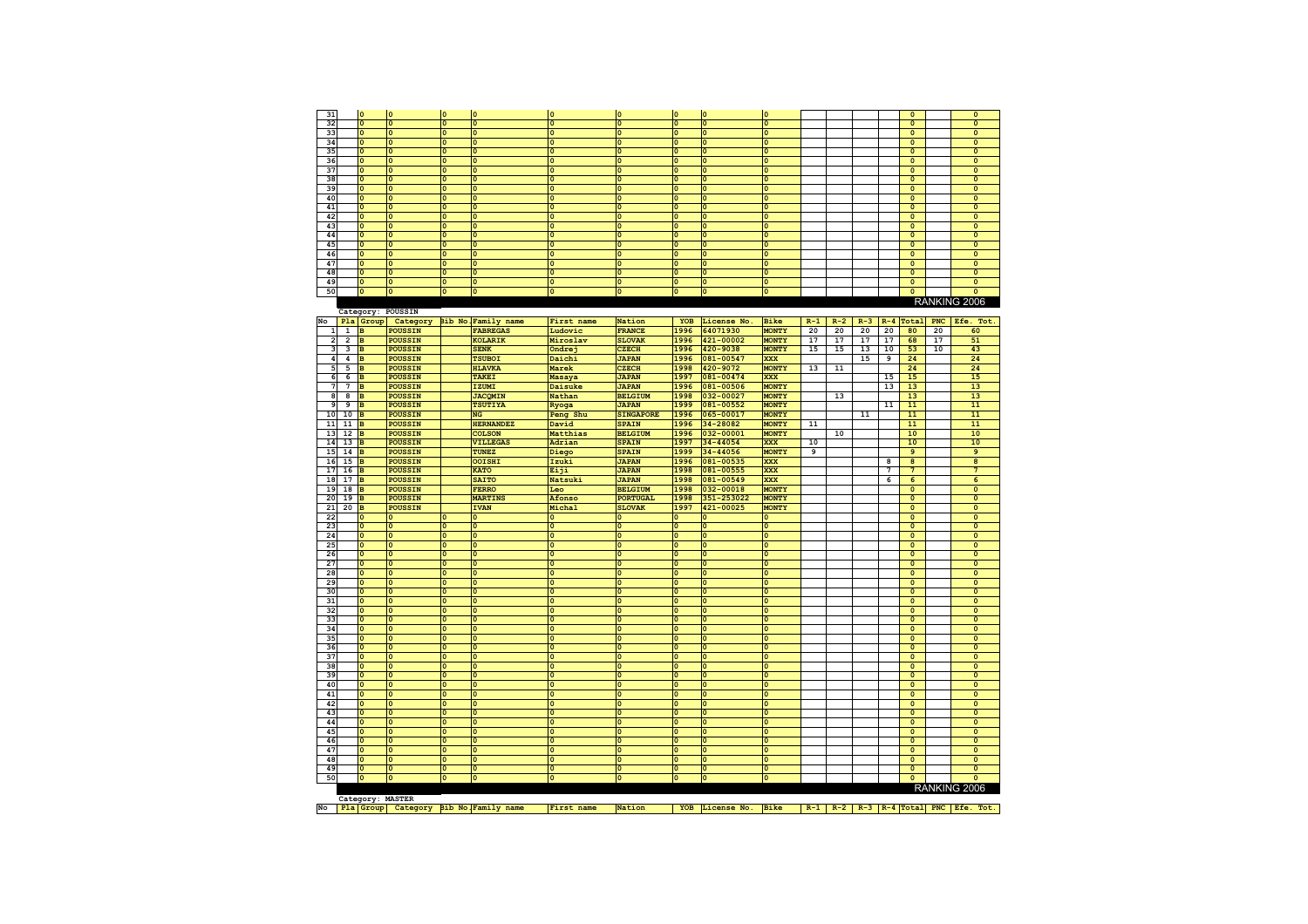| 31                                        |                            |                                  |                                   |                                           |                               |                                           | $\mathbf 0$             | $\overline{0}$             | $\overline{0}$             |       |        |       |          | $\mathbf 0$                            |     | $\mathbf 0$                                 |
|-------------------------------------------|----------------------------|----------------------------------|-----------------------------------|-------------------------------------------|-------------------------------|-------------------------------------------|-------------------------|----------------------------|----------------------------|-------|--------|-------|----------|----------------------------------------|-----|---------------------------------------------|
| 32                                        | $\overline{\circ}$         | Ī٥                               | $\overline{0}$                    | $\overline{0}$                            | $\overline{0}$                | $\overline{0}$                            | $\overline{\mathbf{0}}$ | $\overline{0}$             | $\overline{0}$             |       |        |       |          | $\overline{0}$                         |     | $\overline{0}$                              |
| 33                                        | $\overline{0}$             | $\overline{0}$                   | $\overline{\mathbf{0}}$           | $\overline{0}$                            | $\overline{\circ}$            | $\overline{0}$                            | $\overline{\mathbf{0}}$ | $\overline{0}$             | $\overline{\mathbf{0}}$    |       |        |       |          | $\overline{\mathbf{0}}$                |     | $\overline{\mathbf{0}}$                     |
| 34                                        | $\overline{0}$             | $\Omega$                         | $\mathbf 0$                       | $\Omega$                                  | $\overline{0}$                | $\overline{\mathbf{0}}$                   | $\overline{\mathbf{0}}$ | $\overline{0}$             | $\circ$                    |       |        |       |          | $\overline{\mathbf{0}}$                |     | $\overline{\mathbf{0}}$                     |
| 35                                        | $\overline{0}$             | $\Omega$                         | $\overline{0}$                    | $\overline{0}$                            | $\overline{0}$                | $\overline{0}$                            | $\overline{\mathbf{0}}$ | $\overline{0}$             | $\overline{0}$             |       |        |       |          | $\overline{\mathbf{0}}$                |     | $\overline{0}$                              |
| 36                                        | $\overline{\mathbf{0}}$    | $\overline{\mathbf{0}}$          | $\overline{\mathbf{0}}$           | $\overline{\mathbf{0}}$                   | $\overline{\mathbf{0}}$       | $\overline{\mathbf{0}}$                   | $\overline{\mathbf{0}}$ | $\overline{\mathbf{0}}$    | $\overline{\mathbf{0}}$    |       |        |       |          | $\overline{0}$                         |     | $\overline{\mathbf{0}}$                     |
| 37                                        | $\circ$                    | $\Omega$                         | $\mathbf 0$                       | $\Omega$                                  | O                             | $\pmb{\mathsf{o}}$                        | $\mathbf 0$             | $\circ$                    | $\pmb{\mathsf{o}}$         |       |        |       |          | $\mathbf{0}$                           |     | $\overline{\mathbf{0}}$                     |
| 38                                        | $\circ$                    | $\Omega$                         | $\mathbf 0$                       | $\Omega$                                  | O                             | $\Omega$                                  | $\overline{\mathbf{0}}$ | $\circ$                    | $\Omega$                   |       |        |       |          | $\overline{0}$                         |     | $\overline{\mathbf{0}}$                     |
| 39                                        | $\overline{0}$             | $\Omega$                         | $\Omega$                          | $\Omega$                                  | $\overline{0}$                | $\overline{0}$                            | $\overline{\mathbf{0}}$ | $\overline{0}$             | $\Omega$                   |       |        |       |          | $\overline{0}$                         |     | $\overline{0}$                              |
| 40                                        | $\overline{0}$             | $\mathbf 0$                      | $\mathbf 0$                       |                                           | $\overline{0}$                | $\mathbf 0$                               | $\pmb{\mathsf{o}}$      | $\overline{0}$             | $\mathbf 0$                |       |        |       |          | $\mathbf{0}$                           |     | $\mathbf 0$                                 |
| 41                                        | $\overline{0}$             | $\overline{0}$                   | $\pmb{\mathsf{o}}$                | $\mathbf 0$                               | O                             | $\mathbf 0$                               | $\mathbf 0$             | $\circ$                    | $\overline{0}$             |       |        |       |          | $\mathbf 0$                            |     | $\mathbf 0$                                 |
| 42                                        | $\circ$                    | $\mathbf{0}$                     | $\mathbf 0$                       | $\Omega$                                  | O                             | $\mathbf 0$                               | $\bullet$               | $\circ$                    | $\circ$                    |       |        |       |          | $\mathbf 0$                            |     | $\mathbf 0$                                 |
| 43                                        | $\circ$                    | $\mathbf{0}$                     | $\mathbf 0$                       | $\mathbf 0$<br>$\Omega$                   | O                             | $\mathbf{0}$                              | $\mathbf 0$             | $\mathbf{0}$               | $\pmb{\mathsf{o}}$         |       |        |       |          | $\mathbf{0}$                           |     | $\mathbf{0}$                                |
| 44<br>45                                  | $\overline{0}$<br>$\Omega$ | $\mathbf{0}$<br>$\Omega$         | $\mathbf 0$<br>$\mathbf 0$        | $\Omega$                                  | ١o<br>١o                      | $\mathbf 0$<br>$\Omega$                   | $\circ$<br>$\bullet$    | $\overline{0}$<br>$\Omega$ | $\overline{0}$<br>$\Omega$ |       |        |       |          | $\mathbf{o}$<br>$\mathbf 0$            |     | $\mathbf{0}$<br>$\Omega$                    |
| 46                                        | $\overline{0}$             | $\mathbf 0$                      | $\mathbf{0}$                      | $\Omega$                                  | $\Omega$                      | $\mathbf 0$                               | $\mathbf 0$             | $\Omega$                   | $\mathbf 0$                |       |        |       |          | $\overline{\mathbf{0}}$                |     | $\overline{\mathbf{0}}$                     |
| 47                                        | $\circ$                    | $\mathbf 0$                      | $\mathbf 0$                       | $\mathbf 0$                               | $\bullet$                     | $\mathbf{0}$                              | $\circ$                 | $\Omega$                   | $\mathbf 0$                |       |        |       |          | $\mathbf 0$                            |     | $\mathbf 0$                                 |
| 48                                        | $\overline{0}$             | $\Omega$                         | $\mathbf 0$                       | $\Omega$                                  | ١o                            | $\mathbf 0$                               | $\mathbf 0$             | $\Omega$                   | $\Omega$                   |       |        |       |          | $\overline{\mathbf{0}}$                |     | $\overline{\mathbf{0}}$                     |
| 49                                        | $\Omega$                   | $\Omega$                         | $\overline{0}$                    | $\Omega$                                  | $\overline{0}$                | $\Omega$                                  | $\overline{0}$          | $\overline{0}$             | $\overline{0}$             |       |        |       |          | $\overline{0}$                         |     | $\overline{0}$                              |
| 50                                        | $\circ$                    | $\Omega$                         | $\mathbf 0$                       | $\mathbf 0$                               | O                             | $\pmb{\mathsf{o}}$                        | $\mathbf 0$             | $\circ$                    | $\circ$                    |       |        |       |          | $\mathbf 0$                            |     | $\overline{0}$                              |
|                                           |                            |                                  |                                   |                                           |                               |                                           |                         |                            |                            |       |        |       |          |                                        |     | RANKING 2006                                |
|                                           |                            | Category: POUSSIN                |                                   |                                           |                               |                                           |                         |                            |                            |       |        |       |          |                                        |     |                                             |
| No                                        | Pla Group                  | Category                         |                                   | Bib No. Family name                       | First name                    | Nation                                    | YOB                     | License No.                | <b>Bike</b>                | $R-1$ | $R-2$  | $R-3$ |          | $R-4$ Total                            | PNC | Efe.<br>Tot                                 |
| 1<br>$\mathbf{1}$                         | B                          | POUSSIN                          |                                   | <b>FABREGAS</b>                           | Ludovic                       | <b>FRANCE</b>                             | 1996                    | 64071930                   | <b>MONTY</b>               | 20    | 20     | 20    | 20       | 80                                     | 20  | 60                                          |
| $\overline{\mathbf{2}}$<br>$\overline{2}$ | B                          | <b>POUSSIN</b>                   |                                   | <b>KOLARIK</b>                            | Miroslav                      | <b>SLOVAK</b>                             | 1996                    | 421-00002                  | <b>MONTY</b>               | 17    | 17     | 17    | 17       | 68                                     | 17  | 51                                          |
| 3<br>$\mathbf{3}$                         | B                          | <b>POUSSIN</b>                   |                                   | <b>SENK</b>                               | Ondrej                        | <b>CZECH</b>                              | 1996                    | 420-9038                   | <b>MONTY</b>               | 15    | 15     | 13    | 10       | 53                                     | 10  | 43                                          |
| 4<br>4                                    | B                          | <b>POUSSIN</b>                   |                                   | <b>TSUBOI</b>                             | Daichi                        | <b>JAPAN</b>                              | 1996                    | 081-00547                  | <b>XXX</b>                 |       |        | 15    | 9        | 24                                     |     | 24                                          |
| 5<br>5                                    | B                          | <b>POUSSIN</b>                   |                                   | <b>HLAVKA</b>                             | Marek                         | <b>CZECH</b>                              | 1998                    | 420-9072                   | <b>MONTY</b>               | 13    | $11\,$ |       |          | 24                                     |     | 24                                          |
| 6<br>6<br>$\mathbf{7}$<br>$\overline{7}$  | B<br>B                     | <b>POUSSIN</b><br><b>POUSSIN</b> |                                   | <b>TAKEI</b><br>IZUMI                     | Masaya                        | <b>JAPAN</b><br><b>JAPAN</b>              | 1997<br>1996            | 081-00474<br>081-00506     | <b>XXX</b><br><b>MONTY</b> |       |        |       | 15<br>13 | 15<br>13                               |     | ${\bf 15}$<br>13                            |
| 8<br>8                                    | B                          | <b>POUSSIN</b>                   |                                   | <b>JACQMIN</b>                            | Daisuke<br>Nathan             | <b>BELGIUM</b>                            | 1998                    | 032-00027                  | <b>MONTY</b>               |       | 13     |       |          | 13                                     |     | 13                                          |
| 9<br>9                                    | B                          | <b>POUSSIN</b>                   |                                   | <b>TSUTIYA</b>                            |                               | <b>JAPAN</b>                              | 1999                    | 081-00552                  | <b>MONTY</b>               |       |        |       | 11       | 11                                     |     | 11                                          |
| 10<br>10                                  | E                          | <b>POUSSIN</b>                   |                                   | <b>NG</b>                                 | Ryoga<br>Peng Shu             | <b>SINGAPORE</b>                          | 1996                    | 065-00017                  | <b>MONTY</b>               |       |        | 11    |          | 11                                     |     | 11                                          |
| 11<br>11                                  | E                          | <b>POUSSIN</b>                   |                                   | <b>HERNANDEZ</b>                          | David                         | <b>SPAIN</b>                              | 1996                    | 34-28082                   | <b>MONTY</b>               | 11    |        |       |          | 11                                     |     | 11                                          |
| 13<br>12                                  |                            | <b>POUSSIN</b>                   |                                   | <b>COLSON</b>                             | Matthias                      | <b>BELGIUM</b>                            | 1996                    | 032-00001                  | <b>MONTY</b>               |       | 10     |       |          | 10                                     |     | 10                                          |
| 14<br>13                                  |                            | <b>POUSSIN</b>                   |                                   | VILLEGAS                                  | Adrian                        | <b>SPAIN</b>                              | 1997                    | 34-44054                   | <b>XXX</b>                 | 10    |        |       |          | 10                                     |     | 10                                          |
| 15<br>14                                  |                            | <b>POUSSIN</b>                   |                                   | <b>TUNEZ</b>                              | Diego                         | <b>SPAIN</b>                              | 1999                    | 34-44056                   | <b>MONTY</b>               | 9     |        |       |          | 9                                      |     | $\mathbf 9$                                 |
| 16<br>15                                  | B                          | <b>POUSSIN</b>                   |                                   | OOISHI                                    | Izuki                         | <b>JAPAN</b>                              | 1996                    | 081-00535                  | <b>XXX</b>                 |       |        |       | 8        | 8                                      |     | 8                                           |
| 17<br>16                                  | B                          | <b>POUSSIN</b>                   |                                   | <b>KATO</b>                               | Eiji                          | <b>JAPAN</b>                              | 1998                    | 081-00555                  | <b>XXX</b>                 |       |        |       | 7        | $\overline{7}$                         |     | $\overline{7}$                              |
| 18<br>17                                  | B                          | <b>POUSSIN</b>                   |                                   | <b>SAITO</b>                              | Natsuki                       | <b>JAPAN</b>                              | 1998                    | 081-00549                  | <b>XXX</b>                 |       |        |       | 6        | 6                                      |     | 6                                           |
| 19<br>18                                  | <b>B</b>                   | <b>POUSSIN</b>                   |                                   | <b>FERRO</b>                              | Leo                           | <b>BELGIUM</b>                            | 1998                    | 032-00018                  | <b>MONTY</b>               |       |        |       |          | $\mathbf 0$                            |     | $\mathbf 0$                                 |
| 20<br>19                                  | <b>B</b>                   | <b>POUSSIN</b>                   |                                   | <b>MARTINS</b>                            | Afonso                        | <b>PORTUGAL</b>                           | 1998                    | 351-253022                 | <b>MONTY</b>               |       |        |       |          | $\mathbf{0}$                           |     | $\mathbf{o}$                                |
| 20<br>21<br>22                            | <b>B</b><br>$\Omega$       | <b>POUSSIN</b><br>$\Omega$       | $\Omega$                          | <b>IVAN</b>                               | Michal<br>I٥                  | <b>SLOVAK</b><br>$\Omega$                 | 1997<br>$\mathbf 0$     | 421-00025<br>$\Omega$      | <b>MONTY</b><br>$\Omega$   |       |        |       |          | $\mathbf{0}$<br>$\mathbf 0$            |     | $\mathbf 0$<br>$\mathbf{o}$                 |
| 23                                        | $\Omega$                   | $\Omega$                         | $\mathbf{0}$                      | $\Omega$                                  | ١o                            | $\mathbf{0}$                              | $\overline{0}$          | $\mathbf{0}$               | $\Omega$                   |       |        |       |          | $\mathbf 0$                            |     | $\mathbf{o}$                                |
| 24                                        | $\circ$                    | $\mathbf{0}$                     | $\pmb{\mathsf{o}}$                | $\mathbf 0$                               | $\bullet$                     | $\pmb{\mathsf{o}}$                        | $\bullet$               | $\circ$                    | $\pmb{\mathsf{o}}$         |       |        |       |          | $\mathbf 0$                            |     | $\mathbf 0$                                 |
| 25                                        | $\circ$                    | $\mathbf 0$                      | $\pmb{\mathsf{o}}$                | $\mathbf 0$                               | O                             | $\mathbf 0$                               | $\circ$                 | $\circ$                    | $\mathbf 0$                |       |        |       |          | $\mathbf 0$                            |     | $\mathbf 0$                                 |
| 26                                        | $\circ$                    | $\Omega$                         | $\mathbf 0$                       | $\Omega$                                  | O                             | $\Omega$                                  | $\bullet$               | $\circ$                    | $\Omega$                   |       |        |       |          | $\Omega$                               |     | $\Omega$                                    |
| 27                                        | $\overline{\mathbf{0}}$    | $\overline{0}$                   | $\overline{\mathbf{0}}$           | $\overline{0}$                            | $\overline{\mathbf{0}}$       | $\overline{\mathbf{0}}$                   | $\pmb{\mathsf{o}}$      | $\overline{\mathbf{0}}$    | $\mathbf 0$                |       |        |       |          | $\mathbf 0$                            |     | $\overline{\mathbf{0}}$                     |
| 28                                        | $\mathbf 0$                | $\mathbf 0$                      | $\mathbf 0$                       | O                                         | ١o                            | $\mathbf 0$                               | $\mathbf 0$             | $\circ$                    | $\mathbf 0$                |       |        |       |          | $\mathbf{0}$                           |     | $\mathbf 0$                                 |
| 29                                        | O                          | ١o                               | $\mathbf 0$                       | $\pmb{\mathsf{o}}$                        | O                             | $\circ$                                   | $\mathbf 0$             | $\circ$                    | $\circ$                    |       |        |       |          | $\mathbf 0$                            |     | $\mathbf 0$                                 |
| 30                                        | $\overline{\mathbf{0}}$    | O                                | $\bullet$                         | $\Omega$                                  | O                             | $\circ$                                   | $\circ$                 | $\circ$                    | $\circ$                    |       |        |       |          | $\mathbf 0$                            |     | $\mathbf 0$                                 |
| 31                                        | $\circ$                    | ١o                               | $\circ$                           | $\mathbf 0$                               | 0                             | $\mathbf{0}$                              | $\circ$                 | $\overline{0}$             | $\circ$                    |       |        |       |          | $\mathbf{0}$                           |     | $\mathbf{0}$                                |
| 32                                        | $\circ$                    | I٥                               | $\circ$                           | $\Omega$                                  | O                             | $\circ$                                   | $\circ$                 | $\Omega$                   | $\overline{0}$             |       |        |       |          | $\mathbf{0}$                           |     | $\Omega$                                    |
| 33                                        | l o                        | $\Omega$                         | $\bullet$                         | $\Omega$                                  | ١o<br>$\overline{\mathbf{0}}$ | $\overline{0}$<br>$\overline{\mathbf{0}}$ | $\overline{\mathbf{0}}$ | $\Omega$<br>$\overline{0}$ | $\Omega$<br>$\mathbf{0}$   |       |        |       |          | $\Omega$                               |     | $\Omega$<br>$\overline{\mathbf{0}}$         |
| 34<br>35                                  | $\circ$                    | $\mathbf 0$<br>$\Omega$          | $\pmb{\mathsf{o}}$<br>$\mathbf 0$ | $\mathbf{0}$<br>$\mathbf 0$               | O                             | $\mathbf{0}$                              | $\mathbf 0$             | $\Omega$                   | $\mathbf 0$                |       |        |       |          | $\overline{\textbf{0}}$<br>$\mathbf 0$ |     | $\mathbf 0$                                 |
| 36                                        | <b>0</b><br>$\overline{0}$ | $\Omega$                         | $\Omega$                          | $\Omega$                                  | ١o                            | $\mathbf 0$                               | $\bullet$<br>$\bullet$  | $\Omega$                   | $\Omega$                   |       |        |       |          | $\overline{\mathbf{0}}$                |     | $\overline{\mathbf{0}}$                     |
| 37                                        | $\overline{0}$             | $\mathbf 0$                      | $\mathbf{0}$                      | O                                         | $\overline{\mathbf{0}}$       | $\mathbf{0}$                              | $\overline{\mathbf{0}}$ | $\overline{\mathbf{0}}$    | $\mathbf 0$                |       |        |       |          | $\overline{\mathbf{0}}$                |     | $\overline{\mathbf{0}}$                     |
| 38                                        |                            | $\Omega$                         | $\mathbf 0$                       | Ō                                         | $\bullet$                     | $\pmb{\mathsf{o}}$                        | $\mathbf 0$             | $\circ$                    | $\pmb{\mathsf{o}}$         |       |        |       |          | $\mathbf{0}$                           |     | $\overline{0}$                              |
|                                           | $\overline{0}$             |                                  |                                   | $\Omega$                                  | ١o                            | $\circ$                                   | $\overline{\mathbf{0}}$ | $\circ$                    | $\Omega$                   |       |        |       |          | $\mathbf{0}$                           |     | $\overline{\mathbf{0}}$                     |
| 39                                        | $\overline{0}$             |                                  | $\mathbf 0$                       |                                           |                               |                                           |                         |                            |                            |       |        |       |          |                                        |     |                                             |
| 40                                        | $\overline{0}$             | $\Omega$                         | $\overline{\mathbf{0}}$           | $\Omega$                                  | lo                            | $\overline{0}$                            | $\overline{\mathbf{0}}$ | $\overline{\mathbf{0}}$    | $\overline{0}$             |       |        |       |          | $\overline{0}$                         |     | $\overline{\mathbf{0}}$                     |
| 41                                        | $\circ$                    | $\mathbf 0$                      | $\mathbf 0$                       | $\mathbf 0$                               | O                             | $\circ$                                   | $\pmb{\mathsf{o}}$      | $\circ$                    | $\circ$                    |       |        |       |          | $\circ$                                |     | 0                                           |
| 42                                        | $\overline{0}$             | $\mathbf 0$                      | $\mathbf 0$                       | $\mathbf 0$                               | O                             | $\circ$                                   | $\pmb{\mathsf{o}}$      | $\circ$                    | $\circ$                    |       |        |       |          | $\pmb{\mathsf{0}}$                     |     | 0                                           |
| 43                                        | $\circ$                    | $\Omega$                         | $\mathbf 0$                       | $\circ$                                   | O                             | $\pmb{\mathsf{o}}$                        | $\pmb{\mathsf{o}}$      | $\circ$                    | $\circ$                    |       |        |       |          | $\mathbf{0}$                           |     | $\mathbf 0$                                 |
| 44                                        | $\overline{0}$             | ١o                               | $\pmb{\mathsf{o}}$                | $\Omega$                                  | O                             | $\mathbf 0$                               | $\pmb{\mathsf{o}}$      | $\mathbf{0}$               | $\overline{0}$             |       |        |       |          | $\mathbf 0$                            |     | $\overline{\mathbf{0}}$                     |
| 45                                        | $\Omega$                   | I∩                               | $\mathbf 0$                       | $\Omega$                                  | O                             | $\Omega$                                  | $\circ$                 | $\Omega$                   | $\overline{0}$             |       |        |       |          | $\mathbf{0}$                           |     | $\overline{0}$                              |
| 46                                        | $\overline{0}$             | I۵                               | $\Omega$                          | $\Omega$                                  | ١n                            | ۱n                                        | $\overline{0}$          | $\overline{0}$             | $\Omega$                   |       |        |       |          | $\Omega$                               |     | $\overline{0}$                              |
| 47                                        | $\overline{0}$             | $\overline{0}$                   | $\overline{\mathbf{0}}$           | $\overline{0}$                            | $\overline{\circ}$            | $\overline{0}$                            | $\overline{\mathbf{0}}$ | $\overline{0}$             | $\overline{\mathbf{0}}$    |       |        |       |          | $\overline{\mathbf{0}}$                |     | $\overline{\mathbf{0}}$                     |
| 48                                        | $\Omega$                   | $\Omega$                         | $\mathbf 0$                       | $\Omega$                                  | $\overline{\mathbf{0}}$       | $\overline{\mathbf{0}}$                   | $\bullet$               | $\overline{0}$             | $\circ$                    |       |        |       |          | $\overline{\mathbf{0}}$                |     | $\overline{\mathbf{0}}$                     |
| 49                                        | $\overline{0}$             | $\Omega$                         | $\overline{0}$                    | $\Omega$                                  | lo                            | $\overline{\mathbf{0}}$                   | $\overline{\mathbf{0}}$ | $\overline{0}$             | $\overline{0}$             |       |        |       |          | $\overline{\mathbf{0}}$                |     | $\overline{0}$                              |
| 50                                        | $\overline{0}$             | $\Omega$                         | $\overline{0}$                    | $\Omega$                                  | lo                            | $\overline{0}$                            | $\overline{0}$          | $\overline{0}$             | $\overline{0}$             |       |        |       |          | $\overline{0}$                         |     | $\overline{0}$                              |
|                                           |                            |                                  |                                   |                                           |                               |                                           |                         |                            |                            |       |        |       |          |                                        |     | RANKING 2006                                |
|                                           |                            | Category: MASTER                 |                                   | No Pla Group Category Bib No. Family name | First name                    | Nation                                    |                         | YOB License No.            | <b>Bike</b>                |       |        |       |          |                                        |     | $R-1$ $R-2$ $R-3$ $R-4$ Total PNC Efe. Tot. |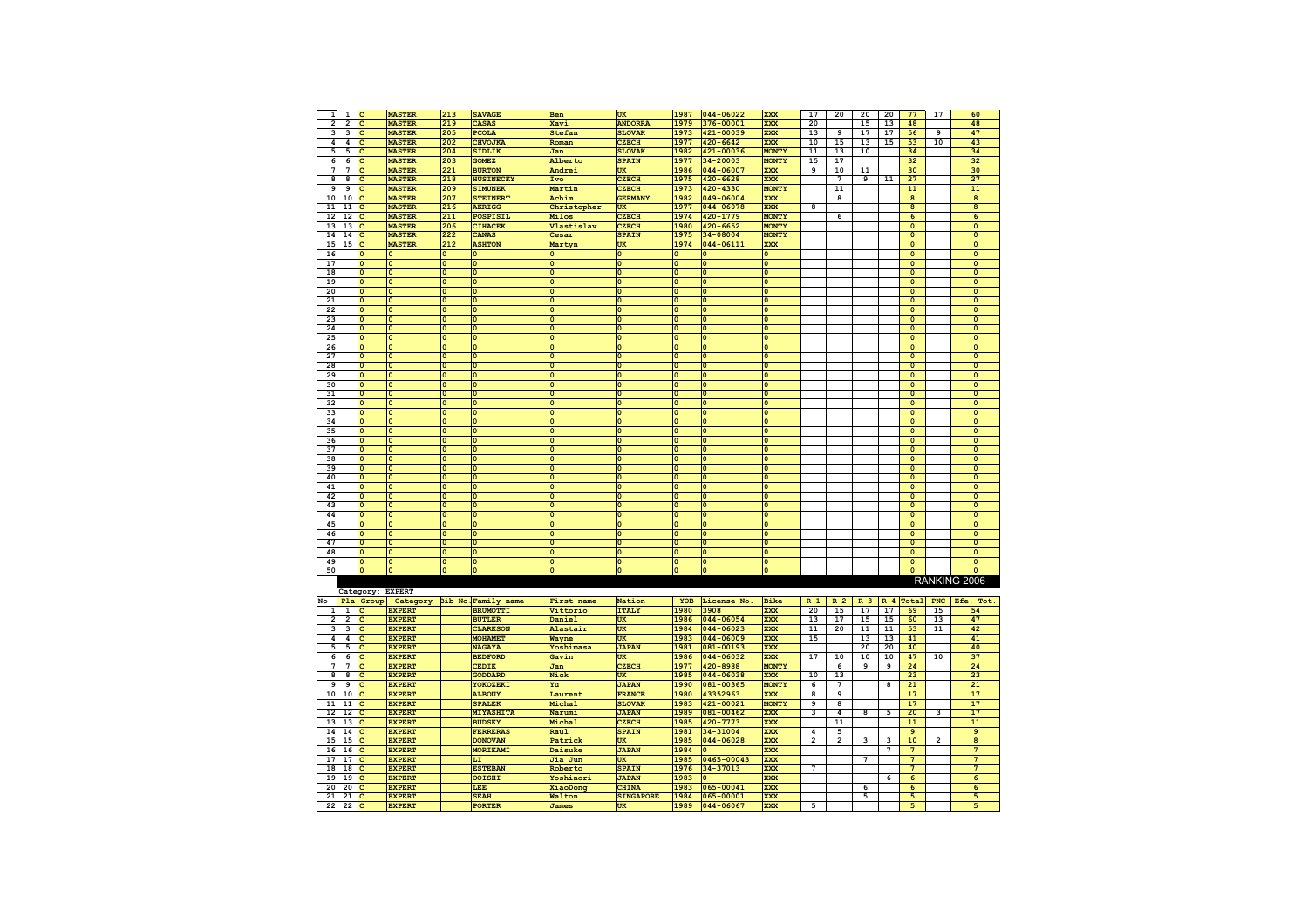| 1                       | $1 \vert c$               |                         | <b>MASTER</b>                  | 213            | <b>SAVAGE</b>                | Ben                     | UK                            | 1987           | $044 - 06022$           | <b>XXX</b>               | 17                       | 20                      | 20    | 20      | 77                               | 17              | 60                                         |
|-------------------------|---------------------------|-------------------------|--------------------------------|----------------|------------------------------|-------------------------|-------------------------------|----------------|-------------------------|--------------------------|--------------------------|-------------------------|-------|---------|----------------------------------|-----------------|--------------------------------------------|
|                         |                           |                         |                                |                |                              |                         |                               |                |                         |                          |                          |                         |       |         |                                  |                 |                                            |
| $\overline{\mathbf{2}}$ | $\overline{\mathbf{2}}$   | $ {\bf c}$              | <b>MASTER</b>                  | 219            | <b>CASAS</b>                 | Xavi                    | <b>ANDORRA</b>                | 1979           | 376-00001               | <b>XXX</b>               | 20                       |                         | 15    | 13      | 48                               |                 | 48                                         |
| 3                       | 3                         | $\overline{c}$          | <b>MASTER</b>                  | 205            | <b>PCOLA</b>                 | Stefan                  | <b>SLOVAK</b>                 | 1973           | 421-00039               | <b>XXX</b>               | 13                       | 9                       | 17    | 17      | 56                               | $\mathbf{Q}$    | 47                                         |
| $\overline{4}$          | 4                         | $\overline{c}$          | <b>MASTER</b>                  | 202            | CHVOJKA                      | Roman                   | <b>CZECH</b>                  | 1977           | $420 - 6642$            | <b>XXX</b>               | 10                       | 15                      | 13    | 15      | 53                               | 10              | 43                                         |
| 5                       | 5                         | $\overline{c}$          | <b>MASTER</b>                  | 204            | <b>SIDLIK</b>                | Jan                     | <b>SLOVAK</b>                 | 1982           | 421-00036               | <b>MONTY</b>             | 11                       | 13                      | 10    |         | 34                               |                 | 34                                         |
| $\overline{6}$          | 6                         | $\overline{c}$          | <b>MASTER</b>                  | 203            | <b>GOMEZ</b>                 | Alberto                 | <b>SPAIN</b>                  | 1977           | $34 - 20003$            | <b>MONTY</b>             | 15                       | 17                      |       |         | 32                               |                 | 32                                         |
| $\overline{7}$          | 7                         | c                       | <b>MASTER</b>                  | 221            | <b>BURTON</b>                | Andrei                  | UK                            | 1986           | 044-06007               | <b>XXX</b>               | 9                        | 10                      | 11    |         | 30                               |                 | 30                                         |
| 8                       | 8                         | $\overline{c}$          | <b>MASTER</b>                  | 218            | <b>HUSINECKY</b>             | Ivo                     | <b>CZECH</b>                  | 1975           | $420 - 6628$            | <b>XXX</b>               |                          | $\overline{7}$          | 9     | 11      | 27                               |                 | 27                                         |
| 9                       | 9                         | $\overline{c}$          |                                | 209            | <b>STMUNEK</b>               |                         |                               | 1973           |                         |                          |                          |                         |       |         |                                  |                 | 11                                         |
|                         |                           |                         | <b>MASTER</b>                  |                |                              | Martin                  | <b>CZECH</b>                  |                | 420-4330                | <b>MONTY</b>             |                          | 11                      |       |         | 11                               |                 |                                            |
| 10                      | 10                        | $\overline{c}$          | <b>MASTER</b>                  | 207            | <b>STEINERT</b>              | Achim                   | <b>GERMANY</b>                | 1982           | 049-06004               | <b>XXX</b>               |                          | 8                       |       |         | $\overline{\mathbf{8}}$          |                 | $\overline{\mathbf{8}}$                    |
| 11                      | 11                        | $\overline{c}$          | <b>MASTER</b>                  | 216            | <b>AKRIGG</b>                | Christopher             | UK                            | 1977           | 044-06078               | <b>XXX</b>               | 8                        |                         |       |         | $\overline{\mathbf{8}}$          |                 | $\overline{\mathbf{8}}$                    |
| 12                      | 12                        | $\overline{c}$          | <b>MASTER</b>                  | 211            | POSPISIL                     | Milos                   | CZECH                         | 1974           | 420-1779                | <b>MONTY</b>             |                          | $\overline{6}$          |       |         | $6\overline{6}$                  |                 | $6\overline{6}$                            |
| 13                      | 13                        | c                       | <b>MASTER</b>                  | 206            | <b>CIHACEK</b>               | Vlastislav              | <b>CZECH</b>                  | 1980           | $420 - 6652$            | <b>MONTY</b>             |                          |                         |       |         | $\mathbf 0$                      |                 | $\mathbf 0$                                |
| 14                      | 14                        | c                       | <b>MASTER</b>                  | 222            | CANAS                        | Cesar                   | <b>SPAIN</b>                  | 1975           | 34-08004                | <b>MONTY</b>             |                          |                         |       |         | $\mathbf 0$                      |                 | $\mathbf 0$                                |
| 15                      | $15$ $\overline{c}$       |                         | <b>MASTER</b>                  | 212            | <b>ASHTON</b>                | Martyn                  | UK                            | 1974           | 044-06111               | <b>XXX</b>               |                          |                         |       |         | $\overline{\mathbf{0}}$          |                 | $\overline{0}$                             |
| 16                      |                           | $\Omega$                | $\Omega$                       | $\Omega$       |                              | $\Omega$                | $\Omega$                      | $\Omega$       | $\Omega$                | ١o                       |                          |                         |       |         | $\overline{0}$                   |                 | $\overline{0}$                             |
|                         |                           | $\Omega$                | lo                             | $\Omega$       | $\Omega$                     | $\Omega$                | $\Omega$                      | $\Omega$       | $\overline{0}$          | ١o                       |                          |                         |       |         | $\overline{0}$                   |                 | $\overline{0}$                             |
| 17                      |                           |                         |                                |                |                              |                         |                               |                |                         |                          |                          |                         |       |         |                                  |                 |                                            |
| 18                      |                           | $\overline{0}$          | 0                              | $\mathbf 0$    | $\Omega$                     | $\mathbf 0$             | $\mathbf 0$                   | $\overline{0}$ | $\mathbf{0}$            | ١o                       |                          |                         |       |         | $\mathbf 0$                      |                 | $\mathbf 0$                                |
| 19                      |                           | $\overline{0}$          | 0                              | $\mathbf 0$    | $\Omega$                     | $\mathbf 0$             | $\mathbf 0$                   | $\overline{0}$ | $\mathbf{0}$            | ١o                       |                          |                         |       |         | $\mathbf 0$                      |                 | $\mathbf 0$                                |
| 20                      |                           | lo                      | 0                              | $\bullet$      | $\mathbf 0$                  | $\pmb{\mathsf{o}}$      | $\mathbf 0$                   | O              | $\circ$                 | ١o                       |                          |                         |       |         | $\mathbf 0$                      |                 | $\mathbf 0$                                |
| 21                      |                           | $\overline{\mathbf{0}}$ | 0                              | $\bullet$      | $\mathbf 0$                  | $\overline{\mathbf{0}}$ | $\mathbf 0$                   | O              | $\circ$                 | O                        |                          |                         |       |         | $\mathbf 0$                      |                 | $\bullet$                                  |
| 22                      |                           | $\overline{\mathbf{0}}$ | ١o                             | $\bullet$      | $\Omega$                     | $\overline{\mathbf{0}}$ | $\mathbf 0$                   | I٥             | $\circ$                 | O                        |                          |                         |       |         | $\mathbf{o}$                     |                 | $\bullet$                                  |
| 23                      |                           | $\overline{\mathbf{0}}$ | ١o                             | $\bullet$      | $\Omega$                     | $\overline{\mathbf{0}}$ | $\mathbf 0$                   | I٥             | $\circ$                 | O                        |                          |                         |       |         | $\mathbf{o}$                     |                 | $\Omega$                                   |
| 24                      |                           | $\overline{\mathbf{0}}$ | 0                              | $\overline{0}$ | $\Omega$                     | $\circ$                 | $\mathbf 0$                   | 0              | $\circ$                 | ١o                       |                          |                         |       |         | $\mathbf{o}$                     |                 | $\Omega$                                   |
|                         |                           |                         |                                |                |                              |                         |                               |                |                         |                          |                          |                         |       |         |                                  |                 |                                            |
| 25                      |                           | 0                       | 0                              | $\mathbf{0}$   | $\Omega$                     | $\circ$                 | $\mathbf 0$                   | 0              | $\circ$                 | ١o                       |                          |                         |       |         | $\mathbf{o}$                     |                 | $\Omega$                                   |
| 26                      |                           | 0                       | 0                              | $\Omega$       | $\Omega$                     | $\overline{0}$          | $\mathbf 0$                   | 0              | $\overline{0}$          | ١o                       |                          |                         |       |         | $\mathbf 0$                      |                 | $\Omega$                                   |
| 27                      |                           | lo                      | $\overline{0}$                 | $\Omega$       | $\Omega$                     | $\Omega$                | $\Omega$                      | O              | $\circ$                 | ١o                       |                          |                         |       |         | $\overline{\mathbf{0}}$          |                 | $\Omega$                                   |
| 28                      |                           | O                       | $\overline{0}$                 | $\Omega$       | $\Omega$                     | $\Omega$                | $\Omega$                      | O              | $\Omega$                | $\Omega$                 |                          |                         |       |         | $\overline{\mathbf{0}}$          |                 | $\Omega$                                   |
| 29                      |                           | O                       | 0                              | $\mathbf{0}$   | $\Omega$                     | $\overline{0}$          | $\mathbf 0$                   | $\mathbf 0$    | $\mathbf 0$             | $\mathbf{0}$             |                          |                         |       |         | $\overline{\mathbf{0}}$          |                 | $\overline{0}$                             |
| 30                      |                           | 0                       | O                              | $\mathbf{0}$   | $\mathbf{o}$                 | $\overline{0}$          | $\mathbf 0$                   | $\circ$        | $\mathbf 0$             | $\mathbf 0$              |                          |                         |       |         | $\overline{\mathbf{0}}$          |                 | $\bullet$                                  |
| 31                      |                           | 0                       | O                              | $\mathbf{0}$   | $\mathbf{o}$                 | $\overline{0}$          | $\mathbf 0$                   | $\circ$        | $\mathbf 0$             | $\mathbf 0$              |                          |                         |       |         | $\overline{\textbf{0}}$          |                 | $\bullet$                                  |
| 32                      |                           | 0                       | O                              | $\Omega$       | $\Omega$                     | $\Omega$                | $\mathbf 0$                   | $\overline{0}$ | $\mathbf 0$             | $\Omega$                 |                          |                         |       |         | $\overline{\mathbf{0}}$          |                 | $\bullet$                                  |
| 33                      |                           | $\circ$                 | $\circ$                        | $\Omega$       | $\Omega$                     | $\Omega$                | Ō                             | $\overline{0}$ | $\overline{0}$          | $\Omega$                 |                          |                         |       |         | $\overline{0}$                   |                 | $\overline{0}$                             |
| 34                      |                           | $\circ$                 | $\overline{0}$                 | $\Omega$       | $\Omega$                     | $\overline{0}$          | Ō                             | $\Omega$       | $\overline{0}$          | $\Omega$                 |                          |                         |       |         | $\overline{0}$                   |                 | $\overline{0}$                             |
|                         |                           |                         |                                |                |                              |                         |                               |                |                         |                          |                          |                         |       |         |                                  |                 |                                            |
| 35                      |                           | $\overline{0}$          | $\overline{0}$                 | $\mathbf{0}$   | $\Omega$                     | $\overline{\mathbf{0}}$ | Ō                             | $\mathbf{0}$   | $\overline{\mathbf{0}}$ | $\mathbf{0}$             |                          |                         |       |         | $\overline{\mathbf{0}}$          |                 | $\overline{\mathbf{0}}$                    |
| 36                      |                           | $\overline{0}$          | $\overline{0}$                 | 0              | $\Omega$                     | $\mathbf 0$             | O                             | $\mathbf 0$    | $\mathbf{0}$            | $\mathbf 0$              |                          |                         |       |         | $\mathbf 0$                      |                 | $\pmb{\mathsf{o}}$                         |
| 37                      |                           | $\mathbf 0$             | $\overline{0}$                 | $\mathbf 0$    | $\Omega$                     | $\mathbf 0$             | Ō                             | $\mathbf 0$    | $\mathbf{0}$            | $\pmb{\mathsf{o}}$       |                          |                         |       |         | $\mathbf 0$                      |                 | $\Omega$                                   |
| 38                      |                           | $\mathbf 0$             | $\overline{0}$                 | 0              | $\Omega$                     | $\mathbf 0$             | $\Omega$                      | $\mathbf 0$    | $\Omega$                | $\Omega$                 |                          |                         |       |         | $\overline{\mathbf{0}}$          |                 | $\Omega$                                   |
|                         |                           |                         |                                |                |                              |                         |                               |                |                         |                          |                          |                         |       |         |                                  |                 |                                            |
| 39                      |                           | $\Omega$                | lo                             | $\Omega$       | $\Omega$                     | $\overline{0}$          | $\Omega$                      | $\Omega$       | $\overline{0}$          | lo                       |                          |                         |       |         | $\overline{0}$                   |                 | $\overline{0}$                             |
|                         |                           | $\Omega$                | $\overline{0}$                 | $\Omega$       | $\Omega$                     | $\overline{0}$          | $\Omega$                      | $\Omega$       | $\overline{0}$          | l٥                       |                          |                         |       |         | $\overline{0}$                   |                 | $\overline{0}$                             |
| 40                      |                           |                         |                                |                |                              |                         |                               |                |                         |                          |                          |                         |       |         |                                  |                 |                                            |
| 41                      |                           | $\mathbf 0$             | $\overline{0}$                 | $\mathbf{0}$   | $\overline{0}$               | $\overline{\mathbf{0}}$ | $\mathbf 0$                   | $\mathbf{0}$   | $\overline{\mathbf{0}}$ | $\overline{0}$           |                          |                         |       |         | $\overline{\mathbf{0}}$          |                 | $\overline{\mathbf{0}}$                    |
| 42                      |                           | $\circ$                 | 0                              | $\mathbf 0$    | $\mathbf 0$                  | $\mathbf 0$             | $\mathbf 0$                   | $\mathbf 0$    | $\pmb{\mathsf{o}}$      | $\overline{0}$           |                          |                         |       |         | $\pmb{\mathsf{o}}$               |                 | $\mathbf 0$                                |
| 43                      |                           | $\pmb{\mathsf{o}}$      | 0                              | $\mathbf 0$    | $\mathbf 0$                  | $\mathbf 0$             | $\mathbf 0$                   | $\mathbf 0$    | $\pmb{\mathsf{o}}$      | $\overline{0}$           |                          |                         |       |         | $\pmb{\mathsf{o}}$               |                 | $\mathbf 0$                                |
| 44                      |                           | $\circ$                 | 0                              | $\bullet$      | $\Omega$                     | $\mathbf 0$             | $\mathbf 0$                   | $\bullet$      | $\mathbf{0}$            | $\overline{0}$           |                          |                         |       |         | $\mathbf 0$                      |                 | $\mathbf 0$                                |
| 45                      |                           | $\circ$                 | lo                             | $\bullet$      | $\Omega$                     | $\mathbf 0$             | $\mathbf 0$                   | O              | $\mathbf{0}$            | $\circ$                  |                          |                         |       |         | $\mathbf 0$                      |                 | $\mathbf 0$                                |
| 46                      |                           | O                       | lo                             | $\bullet$      | $\Omega$                     | $\overline{\mathbf{0}}$ | $\mathbf 0$                   | O              | $\circ$                 | $\Omega$                 |                          |                         |       |         | $\overline{\mathbf{0}}$          |                 | $\Omega$                                   |
| 47                      |                           | lo                      | ١o                             | $\overline{0}$ | $\Omega$                     | $\overline{0}$          | $\mathbf 0$                   | O              | $\overline{0}$          | $\overline{0}$           |                          |                         |       |         | $\overline{\mathbf{0}}$          |                 | $\overline{\mathbf{0}}$                    |
| 48                      |                           | O                       | I٥                             | $\bullet$      | $\Omega$                     | $\overline{0}$          | $\mathbf 0$                   | O              | $\overline{0}$          | ١o                       |                          |                         |       |         | $\overline{\mathbf{0}}$          |                 | $\Omega$                                   |
| 49                      |                           | O                       | lo                             | $\Omega$       | I۵                           | $\overline{0}$          | $\mathbf 0$                   | O              | $\overline{0}$          | ١o                       |                          |                         |       |         | $\overline{0}$                   |                 | $\Omega$                                   |
|                         |                           | $\overline{\mathbf{0}}$ | $\overline{0}$                 | $\Omega$       | $\Omega$                     | $\overline{\mathbf{0}}$ | $\mathbf 0$                   | $\overline{0}$ | $\circ$                 | $\overline{\mathsf{0}}$  |                          |                         |       |         | $\overline{0}$                   |                 | $\Omega$                                   |
| 50                      |                           |                         |                                |                |                              |                         |                               |                |                         |                          |                          |                         |       |         |                                  |                 |                                            |
|                         |                           |                         |                                |                |                              |                         |                               |                |                         |                          |                          |                         |       |         |                                  |                 | RANKING 2006                               |
|                         |                           | Category: EXPERT        |                                |                |                              |                         |                               |                |                         |                          |                          |                         |       |         |                                  |                 |                                            |
| No                      | Pla                       | Group                   | Category                       |                | Bib No. Family name          | First name              | Nation                        | YOB            | License No.             | <b>Bike</b>              | $R-1$                    | $R-2$                   | $R-3$ | $R - 4$ | Total                            | PNC             | Efe.<br>Tot.                               |
| $\mathbf{1}$            | $\mathbf{1}$              | c                       | <b>EXPERT</b>                  |                | <b>BRUMOTTI</b>              | Vittorio                | <b>ITALY</b>                  | 1980           | 3908                    | <b>XXX</b>               | 20                       | 15                      | 17    | 17      | 69                               | $\overline{1}5$ | 54                                         |
| $\overline{\mathbf{2}}$ | $\overline{2}$            | c                       | <b>EXPERT</b>                  |                | <b>BUTLER</b>                | Daniel                  | UK                            | 1986           | 044-06054               | <b>XXX</b>               | 13                       | 17                      | 15    | 15      | 60                               | 13              | 47                                         |
| 3                       | 3                         | <b>C</b>                | <b>EXPERT</b>                  |                | <b>CLARKSON</b>              | Alastair                | UK                            | 1984           | $044 - 06023$           | <b>XXX</b>               | 11                       | 20                      | 11    | 11      | 53                               | 11              | 42                                         |
| 4                       | 4                         | $\mathbf C$             | <b>EXPERT</b>                  |                | <b>MOHAMET</b>               | Wayne                   | UK                            | 1983           | 044-06009               | <b>XXX</b>               | 15                       |                         | 13    | 13      | 41                               |                 | 41                                         |
| 5                       | 5                         | <b>C</b>                | <b>EXPERT</b>                  |                | <b>NAGAYA</b>                | Yoshimasa               | <b>JAPAN</b>                  | 1981           | 081-00193               | <b>XXX</b>               |                          |                         | 20    | 20      | 40                               |                 | 40                                         |
| 6                       | 6                         | <b>C</b>                | <b>EXPERT</b>                  |                | <b>BEDFORD</b>               | Gavin                   | UK                            | 1986           |                         | <b>XXX</b>               | 17                       | 10                      | 10    | 10      | 47                               | 10              | 37                                         |
|                         |                           |                         |                                |                |                              |                         |                               |                | 044-06032               |                          |                          |                         |       |         |                                  |                 |                                            |
| 7                       | 7                         | c                       | <b>EXPERT</b>                  |                | CEDIK                        | Jan                     | <b>CZECH</b>                  | 1977           | 420-8988                | <b>MONTY</b>             |                          | 6                       | 9     | 9       | 24                               |                 | 24                                         |
| 8                       | 8                         | $\mathbf c$             | <b>EXPERT</b>                  |                | <b>GODDARD</b>               | Nick                    | UK                            | 1985           | 044-06038               | <b>XXX</b>               | 10                       | 13                      |       |         | 23                               |                 | 23                                         |
| 9                       | 9                         | $\mathbf{C}$            | <b>EXPERT</b>                  |                | YOKOZEKI                     | Yu                      | <b>JAPAN</b>                  | 1990           | 081-00365               | <b>MONTY</b>             | 6                        | 7                       |       | 8       | 21                               |                 | 21                                         |
| 10                      | 10                        | $\mathbf{C}$            | <b>EXPERT</b>                  |                | <b>ALBOUY</b>                | Laurent                 | FRANCE                        | 1980           | 43352963                | <b>XXX</b>               | 8                        | 9                       |       |         | $\overline{17}$                  |                 | 17                                         |
| 11                      | 11                        | $\mathbf C$             | <b>EXPERT</b>                  |                | <b>SPALEK</b>                | Michal                  | <b>SLOVAK</b>                 | 1983           | 421-00021               | <b>MONTY</b>             | 9                        | 8                       |       |         | 17                               |                 | 17                                         |
| 12                      | 12                        |                         | <b>EXPERT</b>                  |                | MIYASHITA                    | Narumi                  | <b>JAPAN</b>                  | 1989           | 081-00462               | <b>XXX</b>               | 3                        | 4                       | 8     | 5       | 20                               | з               | 17                                         |
| 13                      | 13                        |                         | <b>EXPERT</b>                  |                | <b>BUDSKY</b>                | Michal                  | <b>CZECH</b>                  | 1985           | 420-7773                | <b>XXX</b>               |                          | 11                      |       |         | $11$                             |                 | 11                                         |
| 14                      | 14                        |                         | <b>EXPERT</b>                  |                | <b>FERRERAS</b>              | Raul                    | <b>SPAIN</b>                  | 1981           | 34-31004                | <b>XXX</b>               | 4                        | 5                       |       |         | $\mathbf 9$                      |                 | $\mathbf 9$                                |
| 15                      | 15                        |                         | <b>EXPERT</b>                  |                | <b>DONOVAN</b>               | Patrick                 | UK                            | 1985           | 044-06028               | <b>XXX</b>               | $\overline{\mathbf{2}}$  | $\overline{\mathbf{2}}$ | 3     | з       | 10                               | $\overline{2}$  | 8                                          |
| 16                      | 16                        | lc                      | <b>EXPERT</b>                  |                | MORIKAMI                     | Daisuke                 | <b>JAPAN</b>                  | 1984           | $\Omega$                | <b>XXX</b>               |                          |                         |       | 7       | $\overline{7}$                   |                 | $\overline{7}$                             |
|                         |                           |                         |                                |                |                              |                         |                               |                |                         |                          |                          |                         | 7     |         | $\overline{7}$                   |                 | $\overline{7}$                             |
| 17                      | $17$ $\vert$ C            |                         | <b>EXPERT</b>                  |                | LI                           | Jia Jun                 | UK                            | 1985           | 0465-00043              | <b>XXX</b>               |                          |                         |       |         | $\overline{7}$                   |                 | $\overline{7}$                             |
| 18                      | 18                        | Ic                      | <b>EXPERT</b>                  |                | <b>ESTEBAN</b>               | Roberto                 | <b>SPAIN</b>                  | 1976           | 34-37013<br>$\Omega$    | <b>XXX</b>               | 7                        |                         |       |         |                                  |                 |                                            |
| 19                      | 19 <sup>°</sup>           |                         | <b>EXPERT</b>                  |                | OOISHI                       | Yoshinori               | <b>JAPAN</b>                  | 1983           |                         | <b>XXX</b>               |                          |                         |       | 6       | $\overline{\mathbf{6}}$          |                 | 6                                          |
| 20                      | 20 C                      |                         | <b>EXPERT</b>                  |                | LEE                          | XiaoDong                | <b>CHINA</b>                  | 1983           | 065-00041               | <b>XXX</b>               |                          |                         | 6     |         | $6\overline{6}$                  |                 | 6                                          |
| 21<br>22                | 21<br>$22$ $\overline{c}$ | $\overline{c}$          | <b>EXPERT</b><br><b>EXPERT</b> |                | <b>SEAH</b><br><b>PORTER</b> | Walton<br><b>James</b>  | <b>SINGAPORE</b><br><b>UK</b> | 1984<br>1989   | 065-00001<br>044-06067  | <b>XXX</b><br><b>XXX</b> | $\overline{\phantom{a}}$ |                         | 5     |         | $\overline{5}$<br>$\overline{5}$ |                 | $\overline{5}$<br>$\overline{\phantom{a}}$ |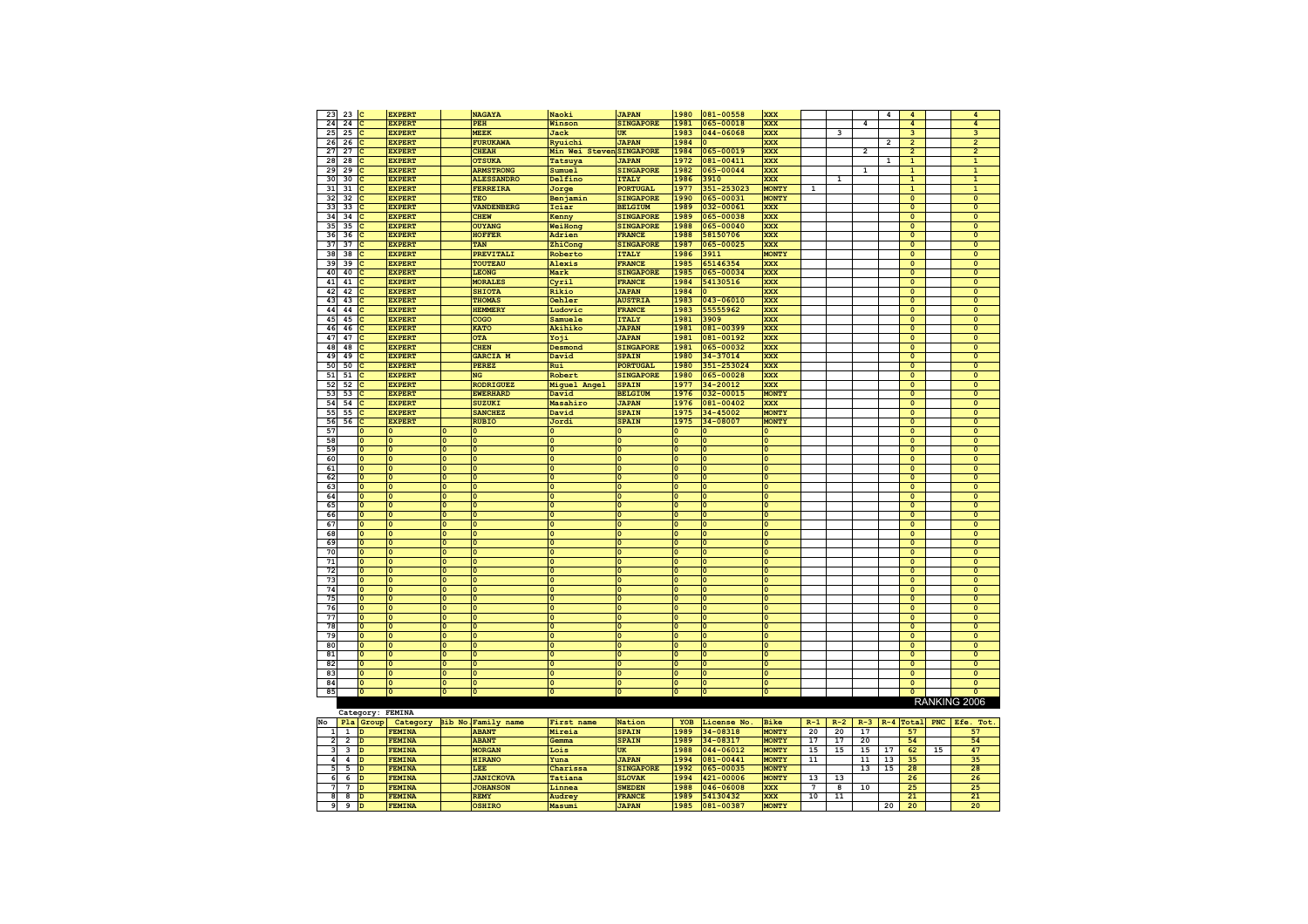| 23                      | 23 $ c $                |                    | <b>EXPERT</b>  |                         | <b>NAGAYA</b>       | Naoki                   | <b>JAPAN</b>            | 1980                    | 081-00558                      | <b>XXX</b>              |                 |       |                | 4              | 4                       |            | $\overline{\mathbf{A}}$ |
|-------------------------|-------------------------|--------------------|----------------|-------------------------|---------------------|-------------------------|-------------------------|-------------------------|--------------------------------|-------------------------|-----------------|-------|----------------|----------------|-------------------------|------------|-------------------------|
| 24                      | 24                      | Ιc                 | <b>EXPERT</b>  |                         | PEH                 | Winson                  | <b>SINGAPORE</b>        | 1981                    | 065-00018                      | <b>XXX</b>              |                 |       | 4              |                | $\overline{\mathbf{A}}$ |            | $\boldsymbol{\Lambda}$  |
| 25                      | 25                      | Тc                 | <b>EXPERT</b>  |                         | <b>MEEK</b>         | Jack                    | UK                      | 1983                    | 044-06068                      | <b>XXX</b>              |                 | 3     |                |                | $\overline{\mathbf{3}}$ |            | ঽ                       |
| 26                      | 26                      | $\mathbf C$        | <b>EXPERT</b>  |                         | <b>FURUKAWA</b>     | Ryuichi                 | <b>JAPAN</b>            | 1984                    | n                              | <b>XXX</b>              |                 |       |                | $\overline{2}$ | $\overline{2}$          |            | $\overline{2}$          |
| 27                      | 27                      | <b>C</b>           | <b>EXPERT</b>  |                         | <b>CHEAH</b>        | Min Wei StevenSINGAPORE |                         | 1984                    | 065-00019                      | <b>XXX</b>              |                 |       | $\overline{2}$ |                | $\overline{2}$          |            | $\overline{2}$          |
| 28                      | 28                      | $\mathbf{C}$       | <b>EXPERT</b>  |                         | <b>OTSUKA</b>       |                         | <b>JAPAN</b>            | 1972                    | 081-00411                      | <b>XXX</b>              |                 |       |                | $\overline{1}$ | $\overline{1}$          |            | $\overline{1}$          |
| 29                      | 29                      | $\overline{c}$     | <b>EXPERT</b>  |                         | <b>ARMSTRONG</b>    | Tatsuya                 | <b>SINGAPORE</b>        | 1982                    |                                | <b>XXX</b>              |                 |       | ī              |                | $\overline{1}$          |            | $\overline{1}$          |
|                         |                         |                    |                |                         |                     | Sumuel                  |                         |                         | 065-00044                      |                         |                 |       |                |                |                         |            |                         |
| 30                      | 30                      | $\mathbf{C}$       | <b>EXPERT</b>  |                         | <b>ALESSANDRO</b>   | Delfino                 | <b>ITALY</b>            | 1986                    | 3910                           | <b>XXX</b>              |                 | 1     |                |                | ${\bf 1}$               |            | $\mathbf{1}$            |
| 31                      | 31                      | $\mathbf C$        | <b>EXPERT</b>  |                         | <b>FERREIRA</b>     | Jorge                   | <b>PORTUGAL</b>         | 1977                    | 351-253023                     | <b>MONTY</b>            | $\mathbf 1$     |       |                |                | ${\bf 1}$               |            | $\mathbf{1}$            |
| 32                      | 32                      | $\mathbf C$        | <b>EXPERT</b>  |                         | <b>TEO</b>          | Benjamin                | <b>SINGAPORE</b>        | 1990                    | 065-00031                      | <b>MONTY</b>            |                 |       |                |                | $\overline{\mathbf{0}}$ |            | $\overline{0}$          |
| 33                      | 33                      |                    | <b>EXPERT</b>  |                         | <b>VANDENBERG</b>   | Iciar                   | <b>BELGIUM</b>          | 1989                    | 032-00061                      | <b>XXX</b>              |                 |       |                |                | $\overline{\mathbf{0}}$ |            | $\overline{\mathbf{0}}$ |
| 34                      | 34                      |                    | <b>EXPERT</b>  |                         | <b>CHEW</b>         | Kenny                   | <b>SINGAPORE</b>        | 1989                    | 065-00038                      | <b>XXX</b>              |                 |       |                |                | $\mathbf 0$             |            | $\mathbf 0$             |
| 35                      | 35                      | C                  | <b>EXPERT</b>  |                         | <b>OUYANG</b>       | WeiHong                 | <b>SINGAPORE</b>        | 1988                    | 065-00040                      | <b>XXX</b>              |                 |       |                |                | $\mathbf 0$             |            | $\mathbf 0$             |
| 36                      | 36                      | lc                 | <b>EXPERT</b>  |                         | <b>HOFFER</b>       | Adrien                  | <b>FRANCE</b>           | 1988                    | 58150706                       | <b>XXX</b>              |                 |       |                |                | $\mathbf 0$             |            | $\Omega$                |
|                         |                         |                    |                |                         |                     |                         |                         |                         |                                |                         |                 |       |                |                |                         |            | $\Omega$                |
| 37                      | 37                      | $\mathbf C$        | <b>EXPERT</b>  |                         | TAN                 | ZhiCong                 | <b>SINGAPORE</b>        | 1987                    | 065-00025                      | <b>XXX</b>              |                 |       |                |                | $\mathbf{0}$            |            |                         |
| 38                      | 38                      | $\mathbf C$        | <b>EXPERT</b>  |                         | PREVITALI           | Roberto                 | <b>ITALY</b>            | 1986                    | 3911                           | <b>MONTY</b>            |                 |       |                |                | $\mathbf 0$             |            | $\Omega$                |
| 39                      | 39                      | <b>C</b>           | <b>EXPERT</b>  |                         | <b>TOUTEAU</b>      | Alexis                  | <b>FRANCE</b>           | 1985                    | 65146354                       | <b>XXX</b>              |                 |       |                |                | $\overline{0}$          |            | $\Omega$                |
| 40                      | 40                      | C                  | <b>EXPERT</b>  |                         | <b>LEONG</b>        | Mark                    | <b>SINGAPORE</b>        | 1985                    | 065-00034                      | <b>XXX</b>              |                 |       |                |                | $\overline{\mathbf{0}}$ |            | $\overline{0}$          |
| 41                      | 41                      | c                  | <b>EXPERT</b>  |                         | <b>MORALES</b>      | Cyril                   | <b>FRANCE</b>           | 1984                    | 54130516                       | <b>XXX</b>              |                 |       |                |                | $\overline{\mathbf{0}}$ |            | $\overline{0}$          |
| 42                      | 42                      | c                  | <b>EXPERT</b>  |                         | <b>SHIOTA</b>       | Rikio                   | <b>JAPAN</b>            | 1984                    | $\Omega$                       | <b>XXX</b>              |                 |       |                |                | $\overline{\mathbf{0}}$ |            | $\overline{0}$          |
| 43                      | 43                      | $\mathbf{C}$       | <b>EXPERT</b>  |                         | <b>THOMAS</b>       | Oehler                  | <b>AUSTRIA</b>          | 1983                    | 043-06010                      | <b>XXX</b>              |                 |       |                |                | $\overline{0}$          |            | $\overline{0}$          |
| 44                      | 44                      | C                  | <b>EXPERT</b>  |                         | <b>HEMMERY</b>      | Ludovic                 | <b>FRANCE</b>           | 1983                    | 55555962                       | <b>XXX</b>              |                 |       |                |                | $\overline{\mathbf{0}}$ |            | $\overline{\mathbf{0}}$ |
| 45                      | 45                      |                    | <b>EXPERT</b>  |                         | COGO                | Samuele                 | <b>ITALY</b>            | 1981                    | 3909                           | <b>XXX</b>              |                 |       |                |                | $\mathbf 0$             |            | $\Omega$                |
|                         |                         | c                  |                |                         |                     |                         |                         |                         |                                |                         |                 |       |                |                |                         |            |                         |
| 46                      | 46                      | C                  | <b>EXPERT</b>  |                         | <b>KATO</b>         | Akihiko                 | <b>JAPAN</b>            | 1981                    | 081-00399                      | <b>XXX</b>              |                 |       |                |                | $\overline{\mathbf{0}}$ |            | $\overline{0}$          |
| 47                      | 47                      |                    | <b>EXPERT</b>  |                         | <b>OTA</b>          | Yoji                    | <b>JAPAN</b>            | 1981                    | 081-00192                      | <b>XXX</b>              |                 |       |                |                | $\overline{\mathbf{0}}$ |            | $\overline{0}$          |
| 48                      | 48                      |                    | <b>EXPERT</b>  |                         | <b>CHEN</b>         | Desmond                 | <b>SINGAPORE</b>        | 1981                    | 065-00032                      | <b>XXX</b>              |                 |       |                |                | $\pmb{\mathsf{o}}$      |            | $\mathbf 0$             |
| 49                      | 49                      |                    | <b>EXPERT</b>  |                         | <b>GARCIA M</b>     | David                   | <b>SPAIN</b>            | 1980                    | 34-37014                       | <b>XXX</b>              |                 |       |                |                | $\mathbf 0$             |            | $\mathbf 0$             |
| 50                      | 50                      |                    | <b>EXPERT</b>  |                         | <b>PEREZ</b>        | Rui                     | <b>PORTUGAL</b>         | 1980                    | 351-253024                     | <b>XXX</b>              |                 |       |                |                | $\overline{\mathbf{0}}$ |            | $\mathbf 0$             |
| 51                      | 51                      |                    | <b>EXPERT</b>  |                         | NG                  | Robert                  | <b>SINGAPORE</b>        | 1980                    | 065-00028                      | <b>XXX</b>              |                 |       |                |                | $\overline{\mathbf{0}}$ |            | $\mathbf 0$             |
| 52                      | 52                      |                    | <b>EXPERT</b>  |                         | <b>RODRIGUEZ</b>    | Miguel Angel            | <b>SPAIN</b>            | 1977                    | 34-20012                       | <b>XXX</b>              |                 |       |                |                | $\overline{\mathbf{0}}$ |            | $\Omega$                |
| 53                      | 53                      | $\epsilon$         | <b>EXPERT</b>  |                         | <b>EWERHARD</b>     | David                   | <b>BELGIUM</b>          | 1976                    | 032-00015                      | MONTY                   |                 |       |                |                | $\overline{0}$          |            | $\Omega$                |
| 54                      |                         | $\epsilon$         |                |                         | <b>SUZUKI</b>       |                         | <b>JAPAN</b>            | 1976                    | 081-00402                      | <b>XXX</b>              |                 |       |                |                | $\overline{\mathbf{0}}$ |            | $\overline{0}$          |
|                         | 54                      |                    | <b>EXPERT</b>  |                         |                     | Masahiro                |                         |                         |                                |                         |                 |       |                |                |                         |            |                         |
| 55                      | 55                      | $\overline{c}$     | <b>EXPERT</b>  |                         | <b>SANCHEZ</b>      | David                   | <b>SPAIN</b>            | 1975                    | 34-45002                       | <b>MONTY</b>            |                 |       |                |                | $\overline{\mathbf{0}}$ |            | $\overline{0}$          |
| 56                      | $56$ $C$                |                    | <b>EXPERT</b>  |                         | <b>RUBIO</b>        | Jordi                   | <b>SPAIN</b>            | 1975                    | 34-08007                       | <b>MONTY</b>            |                 |       |                |                | $\overline{\mathbf{0}}$ |            | $\overline{0}$          |
| 57                      |                         | $\Omega$           | $\Omega$       | $\Omega$                | $\Omega$            | $\Omega$                | $\Omega$                | n                       | n                              | $\Omega$                |                 |       |                |                | $\overline{\mathbf{0}}$ |            | $\overline{0}$          |
| 58                      |                         | $\overline{0}$     | $\overline{0}$ | $\overline{0}$          | $\Omega$            | $\overline{0}$          | $\overline{0}$          | $\overline{0}$          | $\Omega$                       | $\overline{0}$          |                 |       |                |                | $\overline{0}$          |            | $\overline{0}$          |
| 59                      |                         | $\mathbf 0$        | $\overline{0}$ | 0                       | $\Omega$            | $\mathbf 0$             | $\pmb{\mathsf{o}}$      | $\Omega$                | $\Omega$                       | $\overline{0}$          |                 |       |                |                | $\overline{\mathbf{0}}$ |            | $\pmb{\mathsf{o}}$      |
| 60                      |                         | $\mathbf{0}$       | $\overline{0}$ | 0                       | $\Omega$            | $\mathbf 0$             | $\Omega$                | $\Omega$                | $\Omega$                       | $\overline{0}$          |                 |       |                |                | $\overline{\mathbf{0}}$ |            | $\Omega$                |
|                         |                         |                    |                |                         |                     |                         |                         |                         |                                |                         |                 |       |                |                |                         |            |                         |
|                         |                         |                    |                |                         |                     |                         |                         |                         |                                |                         |                 |       |                |                |                         |            |                         |
| 61                      |                         | $\Omega$           | $\Omega$       | $\overline{0}$          | $\Omega$            | $\Omega$                | $\Omega$                | $\Omega$                | $\Omega$                       | $\Omega$                |                 |       |                |                | $\overline{\mathbf{0}}$ |            | $\overline{0}$          |
| 62                      |                         | $\mathbf 0$        | $\overline{0}$ | $\mathbf 0$             | $\Omega$            | $\mathbf 0$             | $\mathbf 0$             | $\mathbf 0$             | $\mathbf 0$                    | $\overline{0}$          |                 |       |                |                | $\overline{\mathbf{0}}$ |            | $\overline{\mathbf{0}}$ |
| 63                      |                         | $\pmb{\mathsf{o}}$ | $\overline{0}$ | $\mathbf 0$             | $\Omega$            | $\mathbf 0$             | $\mathbf 0$             | $\mathbf 0$             | $\mathbf 0$                    | $\overline{0}$          |                 |       |                |                | $\mathbf 0$             |            | $\mathbf 0$             |
| 64                      |                         | $\mathbf 0$        | $\overline{0}$ | $\bullet$               | $\mathbf 0$         | $\mathbf 0$             | $\pmb{\mathsf{o}}$      | $\bullet$               | $\mathbf 0$                    | $\overline{0}$          |                 |       |                |                | $\mathbf{o}$            |            | $\mathbf 0$             |
| 65                      |                         | $\circ$            | $\circ$        | $\Omega$                | $\Omega$            | $\mathbf 0$             | $\pmb{\mathsf{o}}$      | $\Omega$                | $\mathbf 0$                    | $\circ$                 |                 |       |                |                | $\mathbf 0$             |            | $\Omega$                |
| 66                      |                         | $\pmb{\mathsf{o}}$ | $\overline{0}$ | $\overline{0}$          | $\Omega$            | $\mathbf 0$             | $\mathbf 0$             | $\overline{0}$          | $\pmb{\mathsf{o}}$             | $\overline{0}$          |                 |       |                |                | $\mathbf 0$             |            | $\Omega$                |
|                         |                         |                    | $\overline{0}$ | $\overline{0}$          | $\Omega$            | $\mathbf 0$             | $\mathbf 0$             | $\overline{0}$          |                                | $\overline{0}$          |                 |       |                |                | $\mathbf 0$             |            | $\Omega$                |
| 67                      |                         | $\pmb{\mathsf{o}}$ | $\Omega$       | $\Omega$                | $\Omega$            | $\Omega$                | $\Omega$                | $\Omega$                | $\pmb{\mathsf{o}}$<br>$\Omega$ | $\Omega$                |                 |       |                |                | $\Omega$                |            | $\Omega$                |
| 68                      |                         | $\mathbf 0$        |                |                         | $\Omega$            |                         |                         |                         |                                | $\Omega$                |                 |       |                |                |                         |            | $\overline{0}$          |
| 69                      |                         | $\pmb{\mathsf{o}}$ | $\Omega$       | $\Omega$                |                     | $\Omega$                | $\Omega$                | $\Omega$                | $\Omega$                       |                         |                 |       |                |                | $\overline{\mathbf{0}}$ |            |                         |
| 70                      |                         | $\mathbf{o}$       | $\mathbf{0}$   | $\mathbf 0$             | $\Omega$            | $\mathbf 0$             | $\mathbf 0$             | $\mathbf 0$             | 0                              | $\Omega$                |                 |       |                |                | $\mathbf{o}$            |            | $\overline{0}$          |
| 71                      |                         | $\mathbf 0$        | $\Omega$       | $\mathbf 0$             | $\Omega$            | $\Omega$                | $\mathbf 0$             | $\mathbf 0$             | $\mathbf 0$                    | $\Omega$                |                 |       |                |                | $\overline{\mathbf{0}}$ |            | $\overline{0}$          |
| 72                      |                         | $\Omega$           | $\Omega$       | $\Omega$                | $\Omega$            | $\Omega$                | $\Omega$                | $\Omega$                | $\Omega$                       | $\Omega$                |                 |       |                |                | $\overline{0}$          |            | $\overline{0}$          |
| 73                      |                         | $\mathbf 0$        | $\overline{0}$ | $\overline{\mathbf{0}}$ | $\Omega$            | $\overline{\mathbf{0}}$ | $\mathbf 0$             | $\mathbf{0}$            | $\mathbf 0$                    | $\Omega$                |                 |       |                |                | $\overline{\mathbf{0}}$ |            | $\overline{\mathbf{0}}$ |
| 74                      |                         | $\mathbf 0$        | $\Omega$       | 0                       |                     | $\mathbf 0$             | $\pmb{\mathsf{o}}$      | $\mathbf 0$             | $\Omega$                       | $\Omega$                |                 |       |                |                | $\mathbf 0$             |            | $\pmb{\mathsf{o}}$      |
| 75                      |                         | $\Omega$           | $\overline{0}$ | $\overline{\mathbf{0}}$ | $\Omega$            | $\Omega$                | $\Omega$                | $\Omega$                | $\Omega$                       | $\overline{0}$          |                 |       |                |                | $\pmb{\mathsf{o}}$      |            | $\overline{0}$          |
| 76                      |                         | $\Omega$           | $\overline{0}$ | $\overline{0}$          | $\Omega$            | $\overline{0}$          | $\Omega$                | $\Omega$                | $\Omega$                       | $\overline{0}$          |                 |       |                |                | $\overline{0}$          |            | $\overline{0}$          |
|                         |                         |                    |                |                         | $\Omega$            |                         |                         |                         |                                |                         |                 |       |                |                |                         |            |                         |
| 77                      |                         | $\mathbf 0$        | $\mathbf 0$    | $\pmb{\mathsf{o}}$      |                     | $\mathbf 0$             | $\mathbf 0$             | $\mathbf 0$             | $\mathbf 0$                    | $\mathbf 0$             |                 |       |                |                | $\pmb{\mathsf{o}}$      |            | $\pmb{\mathsf{o}}$      |
| 78                      |                         | $\mathbf 0$        | $\overline{0}$ | $\bullet$               | $\Omega$            | $\mathbf 0$             | 0                       | $\mathbf 0$             | $\mathbf 0$                    | $\mathbf 0$             |                 |       |                |                | $\mathbf 0$             |            | $\mathbf 0$             |
| 79                      |                         | $\mathbf{0}$       | $\overline{0}$ | $\bullet$               | $\Omega$            | $\mathbf 0$             | $\pmb{\mathsf{o}}$      | $\circ$                 | $\mathbf 0$                    | $\Omega$                |                 |       |                |                | $\mathbf 0$             |            | $\mathbf 0$             |
| 80                      |                         | $\mathbf 0$        | $\overline{0}$ | $\mathbf{0}$            | $\Omega$            | $\mathbf 0$             | $\pmb{\mathsf{o}}$      | $\overline{0}$          | $\mathbf 0$                    | $\overline{0}$          |                 |       |                |                | $\overline{\mathbf{0}}$ |            | $\mathbf 0$             |
| 81                      |                         | $\Omega$           | $\overline{0}$ | I٥                      | $\Omega$            | $\mathbf 0$             | $\overline{0}$          | $\Omega$                | $\Omega$                       | $\overline{0}$          |                 |       |                |                | $\mathbf 0$             |            | $\Omega$                |
| 82                      |                         | $\Omega$           | $\Omega$       | ١o                      | $\Omega$            | $\Omega$                | $\Omega$                | I۵                      | $\Omega$                       | $\Omega$                |                 |       |                |                | $\overline{0}$          |            | $\Omega$                |
| 83                      |                         | $\overline{0}$     | $\overline{0}$ | $\overline{0}$          | I۵                  | $\Omega$                | $\overline{0}$          | ١n                      | $\overline{0}$                 | $\overline{0}$          |                 |       |                |                | $\overline{0}$          |            | $\Omega$                |
| 84                      |                         | $\overline{0}$     | $\overline{0}$ | $\overline{\mathbf{0}}$ | ١o                  | $\overline{\mathbf{0}}$ | $\overline{\mathbf{0}}$ | $\overline{\mathbf{0}}$ | $\overline{\mathbf{0}}$        | $\overline{\mathbf{0}}$ |                 |       |                |                | $\overline{\textbf{0}}$ |            | $\overline{0}$          |
|                         |                         | $\Omega$           | $\overline{0}$ | $\overline{0}$          | ١o                  | $\Omega$                | $\overline{0}$          | $\Omega$                | $\Omega$                       | $\Omega$                |                 |       |                |                | $\overline{0}$          |            | $\Omega$                |
| 85                      |                         |                    |                |                         |                     |                         |                         |                         |                                |                         |                 |       |                |                |                         |            |                         |
|                         |                         |                    |                |                         |                     |                         |                         |                         |                                |                         |                 |       |                |                |                         |            | RANKING 2006            |
|                         |                         | Category: FEMINA   |                |                         |                     |                         |                         |                         |                                |                         |                 |       |                |                |                         |            |                         |
| No                      | Pla                     | Group              | Category       |                         | Bib No. Family name | First name              | Nation                  | YOB                     | License No.                    | <b>Bike</b>             | $R-1$           | $R-2$ | $R-3$          | $R - 4$        | Total                   | <b>PNC</b> | Tot<br>Efe.             |
| 1                       | 1                       |                    | FEMINA         |                         | <b>ABANT</b>        | Mireia                  | <b>SPAIN</b>            | 1989                    | 34-08318                       | <b>MONTY</b>            | 20              | 20    | 17             |                | 57                      |            | 57                      |
| $\overline{\mathbf{2}}$ | $\overline{\mathbf{2}}$ | D                  | FEMINA         |                         | <b>ABANT</b>        | Gemma                   | <b>SPAIN</b>            | 1989                    | 34-08317                       | <b>MONTY</b>            | 17              | 17    | 20             |                | 54                      |            | 54                      |
|                         |                         | D                  |                |                         |                     |                         |                         |                         |                                |                         |                 |       |                |                |                         |            | 47                      |
| з                       | з                       |                    | FEMINA         |                         | <b>MORGAN</b>       | Lois                    | UK                      | 1988                    | 044-06012                      | <b>MONTY</b>            | 15              | 15    | 15             | 17             | 62                      | 15         |                         |
| 4                       | 4                       | D                  | FEMINA         |                         | <b>HIRANO</b>       | Yuna                    | <b>JAPAN</b>            | 1994                    | 081-00441                      | <b>MONTY</b>            | 11              |       | 11             | 13             | 35                      |            | 35                      |
| 5                       | 5                       | D                  | FEMINA         |                         | LEE                 | Charissa                | <b>SINGAPORE</b>        | 1992                    | 065-00035                      | <b>MONTY</b>            |                 |       | 13             | 15             | 28                      |            | 28                      |
| 6                       | 6                       | D                  | FEMINA         |                         | <b>JANICKOVA</b>    | Tatiana                 | <b>SLOVAK</b>           | 1994                    | 421-00006                      | <b>MONTY</b>            | 13              | 13    |                |                | 26                      |            | 26                      |
| 7                       | 7                       | D                  | <b>FEMINA</b>  |                         | <b>JOHANSON</b>     | Linnea                  | <b>SWEDEN</b>           | 1988                    | 046-06008                      | <b>XXX</b>              | $7\phantom{.0}$ | 8     | 10             |                | 25                      |            | 25                      |
| 8                       | 8                       | D                  | FEMINA         |                         | <b>REMY</b>         | Audrey                  | <b>FRANCE</b>           | 1989                    | 54130432                       | <b>XXX</b>              | 10              | 11    |                |                | 21                      |            | 21                      |
| 9                       | 9                       | D                  | <b>FEMINA</b>  |                         | <b>OSHIRO</b>       | Masumi                  | <b>JAPAN</b>            | 1985                    | 081-00387                      | <b>MONTY</b>            |                 |       |                | 20             | 20                      |            | 20                      |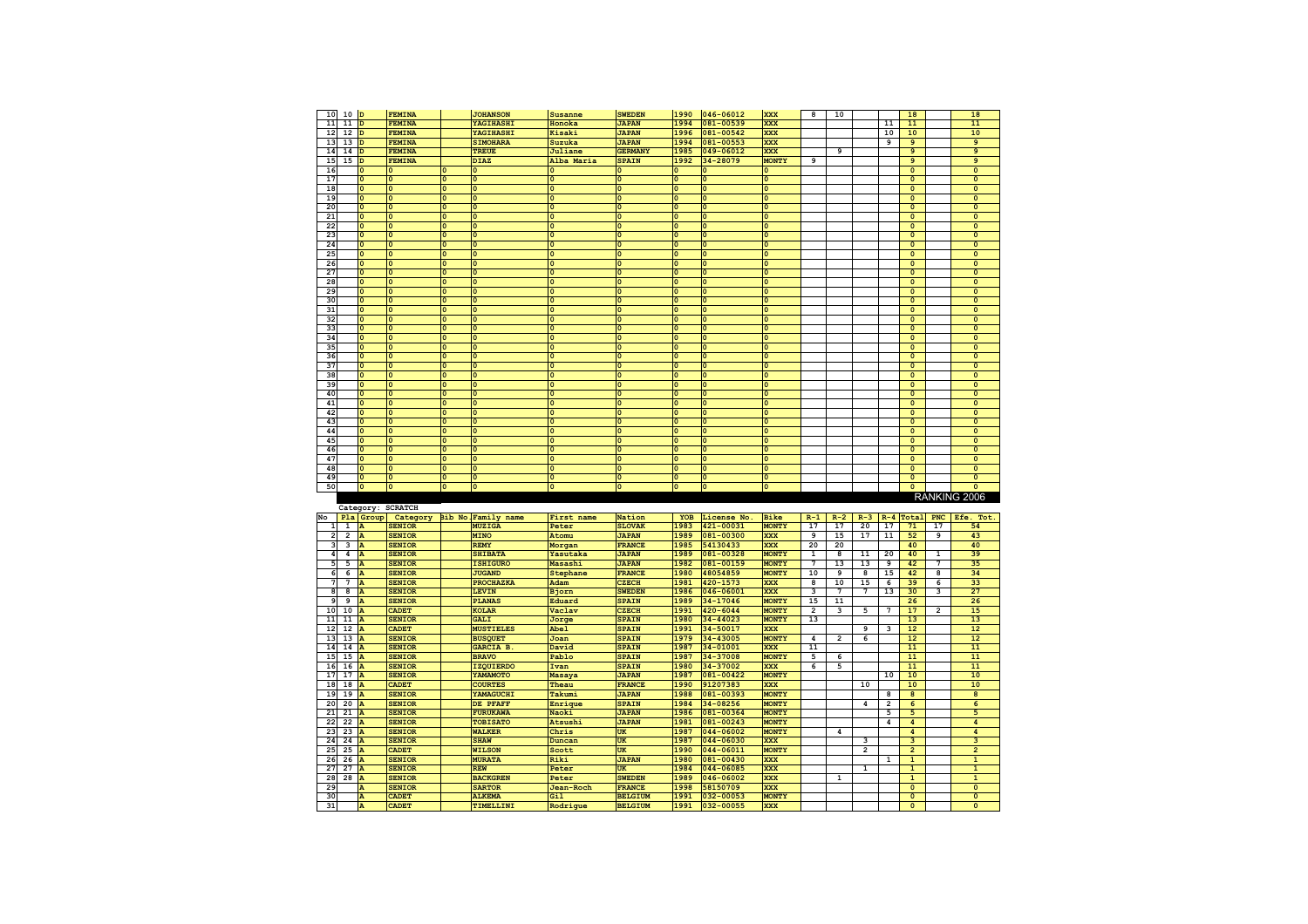| 10                      | 10                  | D                       | <b>FEMINA</b>          |                         | <b>JOHANSON</b>                   | <b>Susanne</b>          | SWEDEN                       | 1990                      | 046-06012               | <b>XXX</b>                 | 8                       | 10                      |                          |                         | 18                           |                         | 18                          |
|-------------------------|---------------------|-------------------------|------------------------|-------------------------|-----------------------------------|-------------------------|------------------------------|---------------------------|-------------------------|----------------------------|-------------------------|-------------------------|--------------------------|-------------------------|------------------------------|-------------------------|-----------------------------|
| 11                      | 11                  | D                       | FEMINA                 |                         | YAGIHASHI                         | Honoka                  | <b>JAPAN</b>                 | 1994                      | 081-00539               | <b>XXX</b>                 |                         |                         |                          | 11                      | 11                           |                         | 11                          |
| 12                      | 12                  | D                       | FEMINA                 |                         | YAGIHASHI                         | Kisaki                  | <b>JAPAN</b>                 | 1996                      | 081-00542               | <b>XXX</b>                 |                         |                         |                          | 10                      | 10                           |                         | 10                          |
| 13                      | 13                  | <b>n</b>                | FEMINA                 |                         | <b>SIMOHARA</b>                   | Suzuka                  | <b>JAPAN</b>                 | 1994                      | 081-00553               | <b>XXX</b>                 |                         |                         |                          | 9                       | 9                            |                         | 9                           |
| 14                      | 14                  | D                       | <b>FEMINA</b>          |                         | <b>TREUE</b>                      | Juliane                 | <b>GERMANY</b>               | 1985                      | 049-06012               | <b>XXX</b>                 |                         | 9                       |                          |                         | 9                            |                         | 9                           |
| 15                      | $15$ D              |                         | FEMINA                 |                         | <b>DIAZ</b>                       | Alba Maria              | <b>SPAIN</b>                 | 1992                      | 34-28079                | <b>MONTY</b>               | 9                       |                         |                          |                         | $\overline{9}$               |                         | $\mathbf{Q}$                |
| 16                      |                     | $\Omega$                | $\Omega$               | $\overline{0}$          | I٥                                | $\Omega$                | n                            | $\Omega$                  | $\Omega$                | $\Omega$                   |                         |                         |                          |                         | $\overline{0}$               |                         | $\overline{0}$              |
| 17                      |                     | $\overline{0}$          | $\Omega$               | $\overline{\mathbf{0}}$ | lo                                | $\overline{0}$          | $\Omega$                     | $\overline{0}$            | $\overline{0}$          | $\overline{0}$             |                         |                         |                          |                         | $\overline{\mathbf{0}}$      |                         | $\overline{0}$              |
| 18                      |                     | $\Omega$                | $\Omega$               | $\bullet$               | l٥                                | $\Omega$                | $\Omega$                     | $\Omega$                  | $\Omega$                | $\circ$                    |                         |                         |                          |                         | $\pmb{\mathsf{o}}$           |                         | $\mathbf 0$                 |
| 19                      |                     | $\overline{0}$          | $\Omega$               | $\bullet$               | $\overline{\mathsf{0}}$           | $\overline{\mathbf{0}}$ | $\Omega$                     | $\overline{0}$            | $\overline{0}$          | $\overline{\mathbf{0}}$    |                         |                         |                          |                         | $\overline{\mathbf{0}}$      |                         | $\overline{\mathbf{0}}$     |
| 20                      |                     | $\overline{0}$          | $\overline{0}$         | $\overline{0}$          | lo                                | $\overline{0}$          | $\Omega$                     | $\overline{0}$            | $\overline{0}$          | $\overline{0}$             |                         |                         |                          |                         | $\overline{\mathbf{0}}$      |                         | $\overline{0}$              |
| 21                      |                     | $\overline{0}$          | $\overline{0}$         | $\overline{0}$          | lo                                | $\overline{0}$          | $\overline{0}$               | $\overline{0}$            | $\overline{0}$          | $\overline{0}$             |                         |                         |                          |                         | $\overline{0}$               |                         | $\overline{0}$              |
| 22                      |                     | $\overline{\mathbf{0}}$ | $\overline{0}$         | $\overline{\mathbf{0}}$ | $\overline{0}$                    | $\overline{\mathbf{0}}$ | $\overline{0}$               | $\overline{\mathbf{0}}$   | $\overline{0}$          | $\overline{\mathbf{0}}$    |                         |                         |                          |                         | $\overline{\mathbf{0}}$      |                         | $\overline{\mathbf{0}}$     |
| 23                      |                     | $\mathbf 0$             | $\mathbf 0$            | $\mathbf 0$             | lo                                | $\mathbf 0$             | $\Omega$                     | $\mathbf 0$               | $\mathbf 0$             | $\overline{0}$             |                         |                         |                          |                         | 0                            |                         | $\Omega$                    |
| 24                      |                     | $\Omega$                | $\Omega$               | $\overline{\mathbf{0}}$ | lo                                | $\overline{\mathbf{0}}$ | $\Omega$                     | $\Omega$                  | $\Omega$                | $\circ$                    |                         |                         |                          |                         | $\overline{\mathbf{0}}$      |                         | $\overline{0}$              |
| 25                      |                     | $\Omega$                | $\Omega$               | $\overline{\mathbf{0}}$ | O                                 | $\overline{0}$          | $\Omega$                     | $\Omega$                  | $\overline{0}$          | $\overline{0}$             |                         |                         |                          |                         | $\overline{\mathbf{0}}$      |                         | $\overline{0}$              |
| 26                      |                     | $\mathbf 0$             | $\mathbf 0$            | $\overline{\mathbf{0}}$ | $\overline{0}$                    | $\overline{\mathbf{0}}$ | Ō                            | $\overline{0}$            | $\overline{\mathbf{0}}$ | $\overline{0}$             |                         |                         |                          |                         | $\overline{\mathbf{0}}$      |                         | $\overline{\mathbf{0}}$     |
| 27                      |                     | $\mathbf 0$             | $\mathbf 0$            | $\pmb{\mathsf{o}}$      | lo                                | $\mathbf 0$             | O                            | $\mathbf 0$               | $\mathbf 0$             | $\bullet$                  |                         |                         |                          |                         | $\bullet$                    |                         | $\pmb{\mathsf{o}}$          |
| 28                      |                     | $\mathbf 0$             | $\pmb{\mathsf{o}}$     | $\mathbf 0$             | ١o                                | $\mathbf 0$             | $\mathbf 0$                  | $\bullet$                 | $\mathbf 0$             | $\pmb{\mathsf{o}}$         |                         |                         |                          |                         | $\mathbf{o}$                 |                         | $\mathbf 0$                 |
| 29                      |                     | $\circ$                 | $\circ$                | $\bullet$               | ١o                                | $\mathbf 0$             | $\pmb{\mathsf{o}}$           | $\bullet$                 | $\mathbf 0$             | $\circ$                    |                         |                         |                          |                         | $\mathbf{o}$                 |                         | $\mathbf 0$                 |
| 30                      |                     | $\mathbf{0}$            | $\overline{0}$         | $\mathbf 0$             | I٥                                | $\pmb{\mathsf{o}}$      | $\mathbf 0$                  | $\mathbf{0}$              | $\pmb{\mathsf{o}}$      | $\mathbf 0$                |                         |                         |                          |                         | $\mathbf 0$                  |                         | $\mathbf{0}$                |
| 31                      |                     | $\overline{0}$          | $\overline{0}$         | $\mathbf 0$             | O                                 | $\mathbf 0$             | $\Omega$                     | $\mathbf 0$               | $\mathbf 0$             | $\overline{0}$             |                         |                         |                          |                         | $\mathbf{0}$                 |                         | $\Omega$                    |
| 32                      |                     | $\mathbf{0}$            | $\Omega$               | $\mathbf 0$             | ١o                                | $\mathbf 0$             | $\Omega$                     | $\Omega$                  | $\mathbf 0$             | $\overline{0}$             |                         |                         |                          |                         | $\mathbf{o}$                 |                         | $\Omega$                    |
| 33                      |                     | $\Omega$                | $\Omega$               | $\mathbf 0$             | ١o                                | $\overline{0}$          | $\Omega$                     | $\Omega$                  | $\Omega$                | $\Omega$                   |                         |                         |                          |                         | $\overline{0}$               |                         | $\Omega$                    |
| 34                      |                     | $\Omega$                | $\Omega$               | $\mathbf 0$             | lo                                | $\overline{0}$          | $\Omega$                     | $\Omega$                  | $\Omega$                | $\Omega$                   |                         |                         |                          |                         | $\overline{0}$               |                         | $\Omega$                    |
| 35                      |                     | $\mathbf{0}$            | $\mathbf 0$            | $\mathbf 0$             | ١o                                | $\mathbf 0$             | O                            | $\mathbf{0}$              | $\mathbf 0$             | $\overline{0}$             |                         |                         |                          |                         | $\overline{\mathbf{0}}$      |                         | $\Omega$                    |
| 36                      |                     | $\mathbf{0}$            | $\Omega$               | $\mathbf 0$             | ١o                                | $\mathbf 0$             | O                            | $\mathbf{0}$              | $\mathbf 0$             | $\Omega$                   |                         |                         |                          |                         | $\overline{\mathbf{0}}$      |                         | $\Omega$                    |
| 37                      |                     | $\Omega$                | $\Omega$               | $\mathbf{0}$            | lo                                | $\Omega$                | O                            | $\Omega$                  | $\Omega$                | $\Omega$                   |                         |                         |                          |                         | $\overline{\mathbf{0}}$      |                         | $\overline{0}$              |
| 38                      |                     | $\Omega$                | $\Omega$               | $\Omega$                | lo                                | $\overline{0}$          | n                            | $\overline{0}$            | $\Omega$                | $\Omega$                   |                         |                         |                          |                         | $\overline{0}$               |                         | $\overline{0}$              |
| 39                      |                     | $\mathbf 0$             | $\Omega$               | $\mathbf 0$             | lo                                | 0                       |                              | $\mathbf 0$               | $\mathbf 0$             | $\Omega$                   |                         |                         |                          |                         | 0                            |                         | $\Omega$                    |
| 40                      |                     | $\Omega$                | $\Omega$               | $\mathbf 0$             | 0                                 | $\mathbf 0$             |                              | $\mathbf 0$               | $\Omega$                | $\Omega$                   |                         |                         |                          |                         | 0                            |                         | $\Omega$                    |
| 41                      |                     | $\Omega$                | $\Omega$               | $\Omega$                | 0                                 | $\Omega$                | $\Omega$                     | $\Omega$                  | $\Omega$                | $\overline{0}$             |                         |                         |                          |                         | $\overline{\mathbf{0}}$      |                         | $\Omega$                    |
| 42                      |                     | $\Omega$                | $\Omega$               | $\overline{0}$          | lo                                | $\overline{0}$          | $\Omega$                     | $\Omega$                  | $\overline{0}$          | $\overline{0}$             |                         |                         |                          |                         | $\overline{\mathbf{0}}$      |                         | $\overline{0}$              |
| 43                      |                     | $\mathbf 0$             | $\mathbf 0$            | $\pmb{\mathsf{o}}$      | $\overline{0}$                    | $\overline{\mathbf{0}}$ | Ō                            | $\mathbf 0$               | $\overline{\mathbf{0}}$ | $\mathbf 0$                |                         |                         |                          |                         | $\overline{\mathbf{0}}$      |                         | $\overline{\mathbf{0}}$     |
| 44                      |                     | 0                       | $\mathbf 0$            | $\mathbf 0$             | lo                                | $\mathbf 0$             | O                            | $\mathbf 0$               | $\mathbf 0$             | $\mathbf 0$                |                         |                         |                          |                         | 0                            |                         | $\pmb{\mathsf{o}}$          |
| 45                      |                     | $\mathbf 0$             | $\Omega$               | $\pmb{\mathsf{o}}$      | lo                                | $\mathbf 0$             | $\Omega$                     | $\overline{\mathbf{0}}$   | $\mathbf 0$             | $\overline{0}$             |                         |                         |                          |                         | 0                            |                         | $\mathbf 0$                 |
| 46                      |                     | $\mathbf 0$             | $\Omega$               | $\overline{\mathbf{0}}$ | lo                                | $\mathbf 0$             | $\Omega$<br>$\Omega$         | $\circ$<br>$\overline{0}$ | $\Omega$<br>$\Omega$    | $\Omega$<br>$\Omega$       |                         |                         |                          |                         | 0<br>$\overline{\mathbf{0}}$ |                         | $\mathbf 0$<br>$\mathbf{0}$ |
| 47                      |                     | $\mathbf{0}$            | $\Omega$               | $\pmb{\mathsf{o}}$      | ١o                                | $\Omega$                |                              |                           |                         |                            |                         |                         |                          |                         |                              |                         |                             |
|                         |                     |                         |                        |                         |                                   |                         |                              |                           |                         |                            |                         |                         |                          |                         |                              |                         |                             |
| 48                      |                     | $\Omega$                | $\overline{0}$         | $\overline{0}$          | I٥                                | $\Omega$                | $\Omega$                     | $\Omega$                  | $\Omega$                | $\Omega$                   |                         |                         |                          |                         | $\overline{\mathbf{0}}$      |                         | $\Omega$                    |
| 49                      |                     | $\overline{0}$          | $\Omega$               | $\Omega$                | lo                                | $\Omega$                | $\Omega$                     | $\Omega$                  | $\Omega$                | $\Omega$                   |                         |                         |                          |                         | $\overline{\mathbf{0}}$      |                         | $\Omega$                    |
| 50                      |                     | $\overline{\mathbf{0}}$ | $\Omega$               | $\Omega$                | lo                                | $\overline{0}$          | $\Omega$                     | $\overline{\mathbf{0}}$   | $\overline{0}$          | $\overline{0}$             |                         |                         |                          |                         | $\overline{0}$               |                         | $\Omega$                    |
|                         |                     |                         |                        |                         |                                   |                         |                              |                           |                         |                            |                         |                         |                          |                         |                              |                         | RANKING 2006                |
|                         |                     |                         | Category: SCRATCH      |                         |                                   |                         |                              |                           |                         |                            |                         |                         |                          |                         |                              |                         |                             |
| No                      | Pla                 | Group                   | Category               |                         | Bib No. Family name               | First name              | Nation                       | YOB                       | License No.             | <b>Bike</b>                | $R-1$                   | $R-2$                   | $R-3$                    |                         | $R-4$ Total                  | PNC                     | Efe.<br>Tot.                |
| 1                       | $\mathbf{1}$        | A                       | <b>SENIOR</b>          |                         | MUZIGA                            | Peter                   | <b>SLOVAK</b>                | 1983                      | 421-00031               | <b>MONTY</b>               | 17                      | 17                      | 20                       | 17                      | 71                           | 17                      | 54                          |
| $\overline{\mathbf{c}}$ | $\overline{2}$      | A                       | <b>SENIOR</b>          |                         | <b>MINO</b>                       | Atomu                   | <b>JAPAN</b>                 | 1989                      | 081-00300               | <b>XXX</b>                 | 9                       | 15                      | 17                       | ${\bf 11}$              | 52                           | 9                       | 43                          |
| 3                       | 3                   | A                       | <b>SENIOR</b>          |                         | <b>REMY</b>                       | Morgan                  | FRANCE                       | 1985                      | 54130433                | <b>XXX</b>                 | 20                      | 20                      |                          |                         | 40                           |                         | 40                          |
| $\boldsymbol{4}$        | 4                   | A                       | <b>SENIOR</b>          |                         | <b>SHIBATA</b>                    | Yasutaka                | <b>JAPAN</b>                 | 1989                      | 081-00328               | <b>MONTY</b>               | $\mathbf 1$             | 8                       | 11                       | 20                      | 40                           | 1                       | 39                          |
| 5                       | 5                   | A                       | <b>SENIOR</b>          |                         | <b>ISHIGURO</b>                   | Masashi                 | <b>JAPAN</b>                 | 1982                      | 081-00159               | <b>MONTY</b>               | 7                       | 13                      | 13                       | 9                       | 42                           | 7                       | 35                          |
| 6                       | $\overline{6}$      | A                       | <b>SENIOR</b>          |                         | <b>JUGAND</b>                     | Stephane                | FRANCE                       | 1980                      | 48054859                | <b>MONTY</b>               | 10                      | 9                       | 8                        | 15                      | 42                           | 8                       | 34                          |
| 7                       | $\boldsymbol{7}$    | A                       | <b>SENIOR</b>          |                         | <b>PROCHAZKA</b>                  | Adam                    | <b>CZECH</b>                 | 1981                      | 420-1573                | <b>XXX</b>                 | 8                       | 10                      | 15                       | 6                       | 39                           | 6                       | 33                          |
| 8                       | 8                   |                         | <b>SENIOR</b>          |                         | LEVIN                             | Bjorn                   | SWEDEN                       | 1986                      | 046-06001               | <b>XXX</b>                 | 3                       | 7                       | $\overline{\phantom{a}}$ | 13                      | 30                           | з                       | 27                          |
| 9                       | 9                   |                         | <b>SENIOR</b>          |                         | <b>PLANAS</b>                     | Eduard                  | <b>SPAIN</b>                 | 1989                      | 34-17046                | <b>MONTY</b>               | 15                      | 11                      |                          |                         | 26                           |                         | 26                          |
| 10                      | 10                  |                         | <b>CADET</b>           |                         | <b>KOLAR</b>                      | Vaclav                  | <b>CZECH</b>                 | 1991                      | $420 - 6044$            | <b>MONTY</b>               | $\overline{\mathbf{2}}$ | 3                       | 5                        | $\overline{7}$          | 17                           | $\overline{\mathbf{2}}$ | 15                          |
| ${\bf 11}$              | 11                  | A                       | <b>SENIOR</b>          |                         | <b>GALI</b>                       | Jorge                   | <b>SPAIN</b>                 | 1980                      | 34-44023                | <b>MONTY</b>               | 13                      |                         |                          |                         | 13                           |                         | 13                          |
| 12                      | 12                  | $\overline{\mathbf{A}}$ | <b>CADET</b>           |                         | <b>MUSTIELES</b>                  | <b>Abel</b>             | <b>SPAIN</b>                 | 1991                      | 34-50017                | <b>XXX</b>                 |                         |                         | 9                        | з                       | 12                           |                         | 12                          |
| 13                      | 13                  | $\overline{\mathbf{A}}$ | <b>SENIOR</b>          |                         | <b>BUSQUET</b>                    | Joan                    | <b>SPAIN</b>                 | 1979                      | $34 - 43005$            | MONTY                      | 4                       | $\overline{\mathbf{2}}$ | $\overline{6}$           |                         | 12                           |                         | 12                          |
| 14                      | 14                  |                         | <b>SENIOR</b>          |                         | <b>GARCIA B</b>                   | David                   | <b>SPAIN</b>                 | 1987                      | $34 - 01001$            | <b>XXX</b>                 | $\overline{11}$         |                         |                          |                         | 11                           |                         | 11                          |
| 15                      | 15                  | A<br>A                  | <b>SENIOR</b>          |                         | <b>BRAVO</b>                      | Pablo                   | <b>SPAIN</b>                 | 1987                      | 34-37008                | <b>MONTY</b>               | 5                       | 6                       |                          |                         | 11                           |                         | 11                          |
| 16<br>17                | 16                  | A                       | <b>SENIOR</b>          |                         | <b>IZQUIERDO</b>                  | Ivan                    | <b>SPAIN</b>                 | 1980                      | 34-37002                | <b>XXX</b>                 | 6                       | 5                       |                          |                         | 11                           |                         | 11                          |
| 18                      | 17                  | A                       | <b>SENIOR</b><br>CADET |                         | <b>YAMAMOTO</b><br><b>COURTES</b> | Masaya                  | <b>JAPAN</b>                 | 1987<br>1990              | 081-00422               | <b>MONTY</b><br><b>XXX</b> |                         |                         |                          | 10                      | 10                           |                         | 10<br>10                    |
| 19                      | 18<br>19            | A                       | <b>SENIOR</b>          |                         | YAMAGUCHI                         | Theau                   | FRANCE                       | 1988                      | 91207383                | <b>MONTY</b>               |                         |                         | 10                       | 8                       | 10<br>8                      |                         | 8                           |
| 20                      | 20                  | A                       | <b>SENIOR</b>          |                         | <b>DE PFAFF</b>                   | Takumi                  | <b>JAPAN</b><br><b>SPAIN</b> | 1984                      | 081-00393<br>34-08256   | <b>MONTY</b>               |                         |                         | 4                        | $\overline{\mathbf{2}}$ | 6                            |                         | 6                           |
| 21                      | 21                  | A                       | <b>SENIOR</b>          |                         | <b>FURUKAWA</b>                   | Enrique<br>Naoki        | <b>JAPAN</b>                 | 1986                      | 081-00364               | <b>MONTY</b>               |                         |                         |                          | 5                       | 5                            |                         | $\overline{5}$              |
| 22                      | 22                  | A                       | <b>SENIOR</b>          |                         | <b>TOBISATO</b>                   | Atsushi                 | <b>JAPAN</b>                 | 1981                      | 081-00243               | <b>MONTY</b>               |                         |                         |                          | 4                       | 4                            |                         | $\overline{a}$              |
| 23                      | 23                  |                         | <b>SENIOR</b>          |                         | <b>WALKER</b>                     | Chris                   | UK                           | 1987                      | 044-06002               | <b>MONTY</b>               |                         | 4                       |                          |                         | $\overline{4}$               |                         | $\overline{a}$              |
| 24                      | 24                  |                         | <b>SENIOR</b>          |                         | <b>SHAW</b>                       | Duncan                  | UK                           | 1987                      | 044-06030               | <b>XXX</b>                 |                         |                         | 3                        |                         | 3                            |                         | 3                           |
| 25                      | 25                  |                         | CADET                  |                         | <b>WILSON</b>                     | Scott                   | UK                           | 1990                      | 044-06011               | <b>MONTY</b>               |                         |                         | $\overline{2}$           |                         | $\overline{\mathbf{2}}$      |                         | $\overline{a}$              |
| 26                      | 26                  |                         | <b>SENIOR</b>          |                         | <b>MURATA</b>                     | Riki                    | <b>JAPAN</b>                 | 1980                      | 081-00430               | <b>XXX</b>                 |                         |                         |                          | 1                       | ${\bf 1}$                    |                         | 1                           |
| 27                      | 27                  | A                       | <b>SENIOR</b>          |                         | <b>REW</b>                        | Peter                   | UK                           | 1984                      | 044-06085               | <b>XXX</b>                 |                         |                         | $\mathbf 1$              |                         | ${\bf 1}$                    |                         | $\mathbf{1}$                |
| 28                      | $28$ $\overline{A}$ |                         | <b>SENIOR</b>          |                         | <b>BACKGREN</b>                   |                         | <b>SWEDEN</b>                | 1989                      | 046-06002               | <b>XXX</b>                 |                         | 1                       |                          |                         | 1                            |                         | 1                           |
| 29                      |                     | A                       | <b>SENIOR</b>          |                         | <b>SARTOR</b>                     | Peter<br>Jean-Roch      | <b>FRANCE</b>                | 1998                      | 58150709                | <b>XXX</b>                 |                         |                         |                          |                         | 0                            |                         | $\Omega$                    |
| 30                      |                     | A                       | <b>CADET</b>           |                         | <b>ALKEMA</b>                     | Gil                     | <b>BELGIUM</b>               | 1991                      | 032-00053               | <b>MONTY</b>               |                         |                         |                          |                         | $\overline{\mathbf{0}}$      |                         | $\Omega$                    |
| 31                      |                     | $\mathbf{A}$            | CADET                  |                         | TIMELLINI                         | Rodrigue                | <b>BELGIUM</b>               | 1991                      | 032-00055               | <b>XXX</b>                 |                         |                         |                          |                         | $\overline{\mathbf{0}}$      |                         | $\Omega$                    |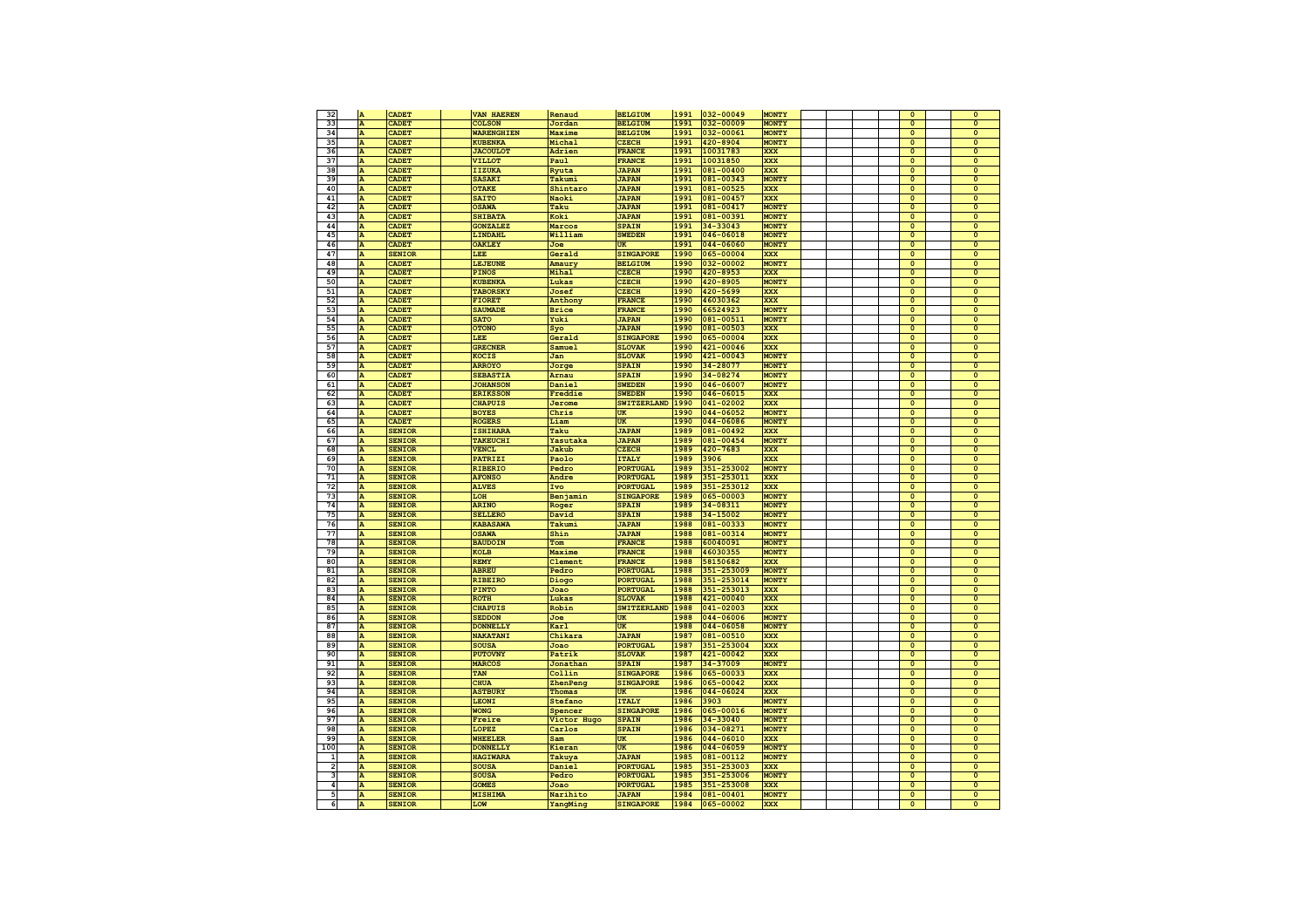| 32     |                         | <b>CADET</b>                   | <b>VAN HAEREN</b> | Renaud               | <b>BELGIUM</b>                   |              | 1991 032-00049         | <b>MONTY</b>               |  | $\mathbf 0$                    | $\mathbf{0}$            |
|--------|-------------------------|--------------------------------|-------------------|----------------------|----------------------------------|--------------|------------------------|----------------------------|--|--------------------------------|-------------------------|
|        |                         |                                |                   |                      |                                  |              |                        |                            |  |                                |                         |
| 33     | A                       | <b>CADET</b>                   | <b>COLSON</b>     | Jordan               | <b>BELGIUM</b>                   | 1991         | $ 032 - 00009 $        | <b>MONTY</b>               |  | $\mathbf 0$                    | $\Omega$                |
| 34     | A                       | CADET                          | <b>WARENGHIEN</b> | Maxime               | <b>BELGIUM</b>                   | 1991         | 032-00061              | <b>MONTY</b>               |  | $\mathbf 0$                    | $\Omega$                |
| 35     | A                       | CADET                          | <b>KUBENKA</b>    | Michal               | <b>CZECH</b>                     | 1991         | 420-8904               | <b>MONTY</b>               |  | $\Omega$                       | $\Omega$                |
| 36     | A                       | CADET                          | <b>JACOULOT</b>   | Adrien               | <b>FRANCE</b>                    | 1991         | 10031783               | <b>XXX</b>                 |  | $\Omega$                       | $\Omega$                |
| 37     | A                       | CADET                          | <b>VILLOT</b>     |                      | <b>FRANCE</b>                    | 1991         | 10031850               | <b>XXX</b>                 |  | $\Omega$                       | $\Omega$                |
|        |                         |                                |                   | Paul                 |                                  |              |                        |                            |  |                                |                         |
| 38     | A                       | CADET                          | <b>IIZUKA</b>     | Ryuta                | <b>JAPAN</b>                     | 1991         | 081-00400              | <b>XXX</b>                 |  | $\overline{0}$                 | $\overline{0}$          |
| 39     | A                       | <b>CADET</b>                   | <b>SASAKI</b>     | Takumi               | <b>JAPAN</b>                     | 1991         | 081-00343              | <b>MONTY</b>               |  | $\overline{0}$                 | $\Omega$                |
| 40     | A                       | CADET                          | <b>OTAKE</b>      | Shintaro             | <b>JAPAN</b>                     | 1991         | 081-00525              | <b>XXX</b>                 |  | $\overline{\mathbf{0}}$        | $\Omega$                |
| 41     | A                       | <b>CADET</b>                   | <b>SAITO</b>      |                      | <b>JAPAN</b>                     | 1991         | 081-00457              | <b>XXX</b>                 |  | $\pmb{\mathsf{o}}$             | $\mathbf{0}$            |
|        |                         |                                |                   | Naoki                |                                  |              |                        |                            |  |                                |                         |
| 42     | A                       | <b>CADET</b>                   | <b>OSAWA</b>      | Taku                 | <b>JAPAN</b>                     | 1991         | $081 - 00417$          | <b>MONTY</b>               |  | $\pmb{\mathsf{o}}$             | $\mathbf{0}$            |
| 43     | A                       | <b>CADET</b>                   | <b>SHIBATA</b>    | Koki                 | <b>JAPAN</b>                     | 1991         | 081-00391              | <b>MONTY</b>               |  | $\pmb{\mathsf{o}}$             | $\mathbf{0}$            |
| 44     | A                       | <b>CADET</b>                   | <b>GONZALEZ</b>   | Marcos               | <b>SPAIN</b>                     | 1991         | 34-33043               | <b>MONTY</b>               |  | $\mathbf{o}$                   | $\mathbf 0$             |
| 45     | A                       | <b>CADET</b>                   | <b>LINDAHL</b>    | William              | <b>SWEDEN</b>                    | 1991         | 046-06018              | <b>MONTY</b>               |  | $\overline{\mathbf{0}}$        | $\Omega$                |
|        |                         |                                |                   |                      |                                  |              |                        |                            |  |                                |                         |
| 46     | A                       | CADET                          | <b>OAKLEY</b>     | Joe                  | UK                               | 1991         | 044-06060              | <b>MONTY</b>               |  | $\overline{0}$                 | $\overline{0}$          |
| 47     | A                       | <b>SENIOR</b>                  | LEE               | Gerald               | <b>SINGAPORE</b>                 | 1990         | 065-00004              | <b>XXX</b>                 |  | $\overline{0}$                 | $\overline{0}$          |
| 48     | A                       | CADET                          | <b>LEJEUNE</b>    | Amaury               | <b>BELGIUM</b>                   | 1990         | $032 - 00002$          | <b>MONTY</b>               |  | $\overline{0}$                 | $\overline{0}$          |
| 49     | A                       | CADET                          | <b>PINOS</b>      | Mihal                | <b>CZECH</b>                     | 1990         | $420 - 8953$           | <b>XXX</b>                 |  | $\overline{0}$                 | $\overline{0}$          |
|        |                         |                                |                   |                      |                                  |              |                        |                            |  |                                |                         |
| 50     | A                       | CADET                          | <b>KUBENKA</b>    | Lukas                | <b>CZECH</b>                     | 1990         | $420 - 8905$           | <b>MONTY</b>               |  | $\overline{\mathbf{0}}$        | $\overline{\mathbf{0}}$ |
| 51     | A                       | CADET                          | <b>TABORSKY</b>   | Josef                | <b>CZECH</b>                     | 1990         | 420-5699               | XXX                        |  | $\mathbf 0$                    | $\mathbf{0}$            |
| 52     | A                       | CADET                          | <b>FIORET</b>     | Anthony              | <b>FRANCE</b>                    | 1990         | 46030362               | <b>XXX</b>                 |  | $\pmb{\mathsf{o}}$             | $\mathbf{0}$            |
| 53     | A                       | CADET                          | <b>SAUMADE</b>    | <b>Brice</b>         | <b>FRANCE</b>                    | 1990         | 66524923               | <b>MONTY</b>               |  | $\mathbf 0$                    | $\Omega$                |
|        |                         |                                |                   |                      |                                  |              |                        |                            |  |                                |                         |
| 54     | A                       | <b>CADET</b>                   | <b>SATO</b>       | Yuki                 | <b>JAPAN</b>                     | 1990         | 081-00511              | <b>MONTY</b>               |  | $\Omega$                       | $\Omega$                |
| 55     | A                       | <b>CADET</b>                   | <b>OTONO</b>      | Syo                  | <b>JAPAN</b>                     | 1990         | 081-00503              | <b>XXX</b>                 |  | $\Omega$                       | $\Omega$                |
| 56     | A                       | <b>CADET</b>                   | LEE               | Gerald               | <b>SINGAPORE</b>                 | 1990         | 065-00004              | <b>XXX</b>                 |  | $\Omega$                       | $\Omega$                |
| 57     | A                       | <b>CADET</b>                   | <b>GRECNER</b>    | Samuel               | <b>SLOVAK</b>                    | 1990         | $421 - 00046$          | <b>XXX</b>                 |  | $\Omega$                       | $\Omega$                |
|        |                         |                                |                   |                      |                                  |              |                        |                            |  |                                |                         |
| 58     | A                       | <b>CADET</b>                   | <b>KOCIS</b>      | Jan                  | <b>SLOVAK</b>                    | 1990         | $421 - 00043$          | <b>MONTY</b>               |  | $\Omega$                       | $\Omega$                |
| 59     | A                       | <b>CADET</b>                   | <b>ARROYO</b>     | Jorge                | <b>SPAIN</b>                     | 1990         | 34-28077               | <b>MONTY</b>               |  | $\Omega$                       | $\Omega$                |
| 60     | A                       | <b>CADET</b>                   | <b>SEBASTIA</b>   | Arnau                | <b>SPAIN</b>                     | 1990         | 34-08274               | <b>MONTY</b>               |  | $\mathbf 0$                    | $\mathbf 0$             |
| 61     | A                       | <b>CADET</b>                   | <b>JOHANSON</b>   | <b>Daniel</b>        | <b>SWEDEN</b>                    | 1990         | 046-06007              | <b>MONTY</b>               |  | $\mathbf 0$                    | $\mathbf{0}$            |
|        |                         |                                |                   |                      |                                  |              |                        |                            |  |                                |                         |
| 62     | A                       | <b>CADET</b>                   | <b>ERIKSSON</b>   | Freddie              | <b>SWEDEN</b>                    | 1990         | 046-06015              | <b>XXX</b>                 |  | $\mathbf 0$                    | $\mathbf 0$             |
| 63     | $\overline{\mathbf{A}}$ | <b>CADET</b>                   | <b>CHAPUIS</b>    | Jerome               | <b>SWITZERLAND</b>               | 1990         | 041-02002              | <b>XXX</b>                 |  | $\mathbf 0$                    | $\mathbf 0$             |
| 64     | $\overline{\mathbf{A}}$ | <b>CADET</b>                   | <b>BOYES</b>      | Chris                | <b>UK</b>                        | 1990         | 044-06052              | <b>MONTY</b>               |  | $\mathbf 0$                    | $\mathbf 0$             |
|        |                         | <b>CADET</b>                   | <b>ROGERS</b>     |                      | <b>UK</b>                        | 1990         | 044-06086              | <b>MONTY</b>               |  | $\mathbf 0$                    | $\mathbf 0$             |
| 65     | $\overline{\mathbf{A}}$ |                                |                   | Liam                 |                                  |              |                        |                            |  |                                |                         |
| 66     | A                       | <b>SENIOR</b>                  | <b>ISHIHARA</b>   | Taku                 | <b>JAPAN</b>                     | 1989         | 081-00492              | <b>XXX</b>                 |  | $\mathbf 0$                    | $\mathbf 0$             |
| 67     | A                       | <b>SENIOR</b>                  | <b>TAKEUCHI</b>   | Yasutaka             | <b>JAPAN</b>                     | 1989         | 081-00454              | <b>MONTY</b>               |  | $\mathbf 0$                    | $\mathbf 0$             |
| 68     | A                       | <b>SENIOR</b>                  | <b>VENCL</b>      | Jakub                | <b>CZECH</b>                     | 1989         | 420-7683               | <b>XXX</b>                 |  | $\mathbf 0$                    | $\Omega$                |
|        |                         |                                |                   |                      |                                  | 1989         | 3906                   |                            |  | $\mathbf{0}$                   | $\mathbf{0}$            |
| 69     | A                       | <b>SENIOR</b>                  | PATRIZI           | Paolo                | <b>ITALY</b>                     |              |                        | xxx                        |  |                                |                         |
| 70     | A                       | <b>SENIOR</b>                  | <b>RIBERIO</b>    | Pedro                | <b>PORTUGAL</b>                  | 1989         | 351-253002             | <b>MONTY</b>               |  | $\mathbf{0}$                   | $\mathbf{0}$            |
| 71     | A                       | <b>SENIOR</b>                  | <b>AFONSO</b>     | Andre                | <b>PORTUGAL</b>                  | 1989         | 351-253011             | <b>XXX</b>                 |  | $\mathbf 0$                    | $\mathbf{0}$            |
| 72     | A                       | <b>SENIOR</b>                  | <b>ALVES</b>      | Ivo                  | <b>PORTUGAL</b>                  | 1989         | 351-253012             | <b>XXX</b>                 |  | $\mathbf 0$                    | $\mathbf 0$             |
|        |                         |                                |                   |                      |                                  | 1989         |                        | <b>MONTY</b>               |  | $\Omega$                       |                         |
| 73     | $\overline{\mathbf{A}}$ | <b>SENIOR</b>                  | LOH               | Benjamin             | <b>SINGAPORE</b>                 |              | 065-00003              |                            |  |                                | $\mathbf 0$             |
| 74     | A                       | <b>SENIOR</b>                  | <b>ARINO</b>      | Roger                | <b>SPAIN</b>                     | 1989         | 34-08311               | <b>MONTY</b>               |  | $\Omega$                       | $\Omega$                |
| 75     | A                       | <b>SENIOR</b>                  | <b>SELLERO</b>    | David                | <b>SPAIN</b>                     | 1988         | 34-15002               | <b>MONTY</b>               |  | $\Omega$                       | $\Omega$                |
| 76     | A                       | <b>SENIOR</b>                  | <b>KABASAWA</b>   | Takumi               | <b>JAPAN</b>                     | 1988         | 081-00333              | <b>MONTY</b>               |  | $\Omega$                       | $\overline{0}$          |
| 77     |                         | <b>SENIOR</b>                  | <b>OSAWA</b>      | Shin                 | <b>JAPAN</b>                     | 1988         | 081-00314              | <b>MONTY</b>               |  | $\Omega$                       | $\overline{0}$          |
|        | A                       |                                |                   |                      |                                  |              |                        |                            |  |                                |                         |
| 78     | A                       | <b>SENIOR</b>                  | <b>BAUDOIN</b>    | Tom                  | FRANCE                           | 1988         | 60040091               | <b>MONTY</b>               |  | $\overline{\mathbf{0}}$        | $\overline{\mathbf{0}}$ |
| 79     | A                       | <b>SENIOR</b>                  | <b>KOLB</b>       | Maxime               | <b>FRANCE</b>                    | 1988         | 46030355               | <b>MONTY</b>               |  | $\mathbf{o}$                   | $\mathbf 0$             |
| 80     | A                       | <b>SENIOR</b>                  | <b>REMY</b>       | Clement              | <b>FRANCE</b>                    | 1988         | 58150682               | <b>XXX</b>                 |  | $\bullet$                      | $\mathbf 0$             |
| 81     |                         | <b>SENIOR</b>                  | <b>ABREU</b>      | Pedro                | <b>PORTUGAL</b>                  | 1988         | 351-253009             | <b>MONTY</b>               |  | $\bullet$                      | $\mathbf 0$             |
|        | A                       |                                |                   |                      |                                  |              |                        |                            |  |                                |                         |
| 82     | A                       | <b>SENIOR</b>                  | <b>RIBEIRO</b>    | Diogo                | <b>PORTUGAL</b>                  | 1988         | 351-253014             | <b>MONTY</b>               |  | $\overline{\mathbf{0}}$        | $\mathbf 0$             |
| 83     | A                       | <b>SENIOR</b>                  | <b>PINTO</b>      | Joao                 | <b>PORTUGAL</b>                  | 1988         | 351-253013             | <b>XXX</b>                 |  | $\overline{0}$                 | $\overline{\mathbf{0}}$ |
| 84     | $\overline{\mathbf{A}}$ | <b>SENIOR</b>                  | <b>ROTH</b>       | Lukas                | <b>SLOVAK</b>                    | 1988         | $421 - 00040$          | <b>XXX</b>                 |  | $\overline{0}$                 | $\overline{0}$          |
| 85     | A                       | <b>SENIOR</b>                  | <b>CHAPUIS</b>    | Robin                | <b>SWITZERLAND</b>               | 1988         | $041 - 02003$          | xxx                        |  | $\overline{0}$                 | $\overline{0}$          |
|        |                         | <b>SENIOR</b>                  | <b>SEDDON</b>     |                      | UK                               | 1988         | 044-06006              | MONTY                      |  | $\overline{0}$                 | $\overline{0}$          |
| 86     | A                       |                                |                   | Joe                  |                                  |              |                        |                            |  |                                |                         |
| 87     | A                       | <b>SENIOR</b>                  | <b>DONNELLY</b>   | Karl                 | UK                               | 1988         | 044-06058              | MONTY                      |  | $\overline{0}$                 | $\overline{0}$          |
| 88     |                         |                                |                   |                      |                                  |              |                        |                            |  | $\overline{\mathbf{0}}$        | $\overline{\mathbf{0}}$ |
|        |                         | <b>SENIOR</b>                  | <b>NAKATANI</b>   |                      | <b>JAPAN</b>                     | 1987         | 081-00510              |                            |  |                                | $\mathbf{0}$            |
|        | A                       |                                |                   | Chikara              |                                  |              |                        | xxx                        |  |                                |                         |
| 89     | A                       | <b>SENIOR</b>                  | <b>SOUSA</b>      | Joao                 | <b>PORTUGAL</b>                  | 1987         | 351-253004             | xxx                        |  | $\pmb{\mathsf{o}}$             |                         |
| 90     | A                       | <b>SENIOR</b>                  | <b>PUTOVNY</b>    | Patrik               | <b>SLOVAK</b>                    | 1987         | 421-00042              | xxx                        |  | $\pmb{\mathsf{o}}$             | $\mathbf{0}$            |
| 91     | A                       | <b>SENIOR</b>                  | <b>MARCOS</b>     | Jonathan             | <b>SPAIN</b>                     | 1987         | 34-37009               | <b>MONTY</b>               |  | $\Omega$                       | $\mathbf 0$             |
| 92     | A                       | <b>SENIOR</b>                  | TAN               | Collin               | <b>SINGAPORE</b>                 | 1986         | 065-00033              | <b>XXX</b>                 |  | $\Omega$                       | $\mathbf 0$             |
|        |                         |                                |                   |                      |                                  |              |                        |                            |  |                                |                         |
| 93     | A                       | <b>SENIOR</b>                  | <b>CHUA</b>       | ZhenPeng             | <b>SINGAPORE</b>                 | 1986         | 065-00042              | xxx                        |  | $\Omega$                       | $\Omega$                |
| 94     | A                       | <b>SENIOR</b>                  | <b>ASTBURY</b>    | Thomas               | UK                               | 1986         | 044-06024              | <b>XXX</b>                 |  | $\Omega$                       | $\overline{0}$          |
| 95     | A                       | <b>SENIOR</b>                  | LEONI             | Stefano              | <b>ITALY</b>                     | 1986         | 3903                   | <b>MONTY</b>               |  | $\Omega$                       | $\overline{0}$          |
| 96     | A                       | <b>SENIOR</b>                  | <b>WONG</b>       | Spencer              | <b>SINGAPORE</b>                 | 1986         | 065-00016              | <b>MONTY</b>               |  | $\overline{0}$                 | $\overline{0}$          |
|        |                         |                                |                   |                      |                                  |              |                        |                            |  |                                |                         |
| 97     | A                       | <b>SENIOR</b>                  | Freire            | Victor Hugo          | <b>SPAIN</b>                     | 1986         | 34-33040               | <b>MONTY</b>               |  | $\overline{\mathbf{0}}$        | $\overline{\mathbf{0}}$ |
| 98     | A                       | <b>SENIOR</b>                  | LOPEZ             | Carlos               | <b>SPAIN</b>                     | 1986         | 034-08271              | <b>MONTY</b>               |  | $\mathbf 0$                    | $\mathbf 0$             |
| 99     | A                       | <b>SENIOR</b>                  | WHEELER           | Sam                  | UK                               | 1986         | 044-06010              | <b>XXX</b>                 |  | $\mathbf{o}$                   | $\mathbf 0$             |
| 100    | A                       | <b>SENIOR</b>                  | <b>DONNELLY</b>   | Kieran               | UK                               | 1986         | 044-06059              | <b>MONTY</b>               |  | $\mathbf 0$                    | $\mathbf 0$             |
|        |                         |                                |                   |                      |                                  |              |                        |                            |  |                                |                         |
| 1      | A                       | <b>SENIOR</b>                  | <b>HAGIWARA</b>   | Takuya               | <b>JAPAN</b>                     | 1985         | 081-00112              | <b>MONTY</b>               |  | $\mathbf 0$                    | $\mathbf 0$             |
| 2      | A                       | <b>SENIOR</b>                  | <b>SOUSA</b>      | Daniel               | <b>PORTUGAL</b>                  | 1985         | 351-253003             | xxx                        |  | $\mathbf 0$                    | $\mathbf{0}$            |
| 3      | A                       | <b>SENIOR</b>                  | <b>SOUSA</b>      | Pedro                | <b>PORTUGAL</b>                  | 1985         | 351-253006             | <b>MONTY</b>               |  | $\mathbf 0$                    | $\mathbf{0}$            |
| 4      | A                       | <b>SENIOR</b>                  | <b>GOMES</b>      | Joao                 | <b>PORTUGAL</b>                  | 1985         | 351-253008             | xxx                        |  | $\mathbf 0$                    | $\mathbf{0}$            |
|        |                         |                                |                   |                      |                                  |              |                        |                            |  |                                |                         |
| 5<br>6 | A<br>A                  | <b>SENIOR</b><br><b>SENIOR</b> | MISHIMA<br>LOW    | Narihito<br>YangMing | <b>JAPAN</b><br><b>SINGAPORE</b> | 1984<br>1984 | 081-00401<br>065-00002 | <b>MONTY</b><br><b>XXX</b> |  | $\pmb{\mathsf{o}}$<br>$\Omega$ | $\mathbf 0$<br>$\Omega$ |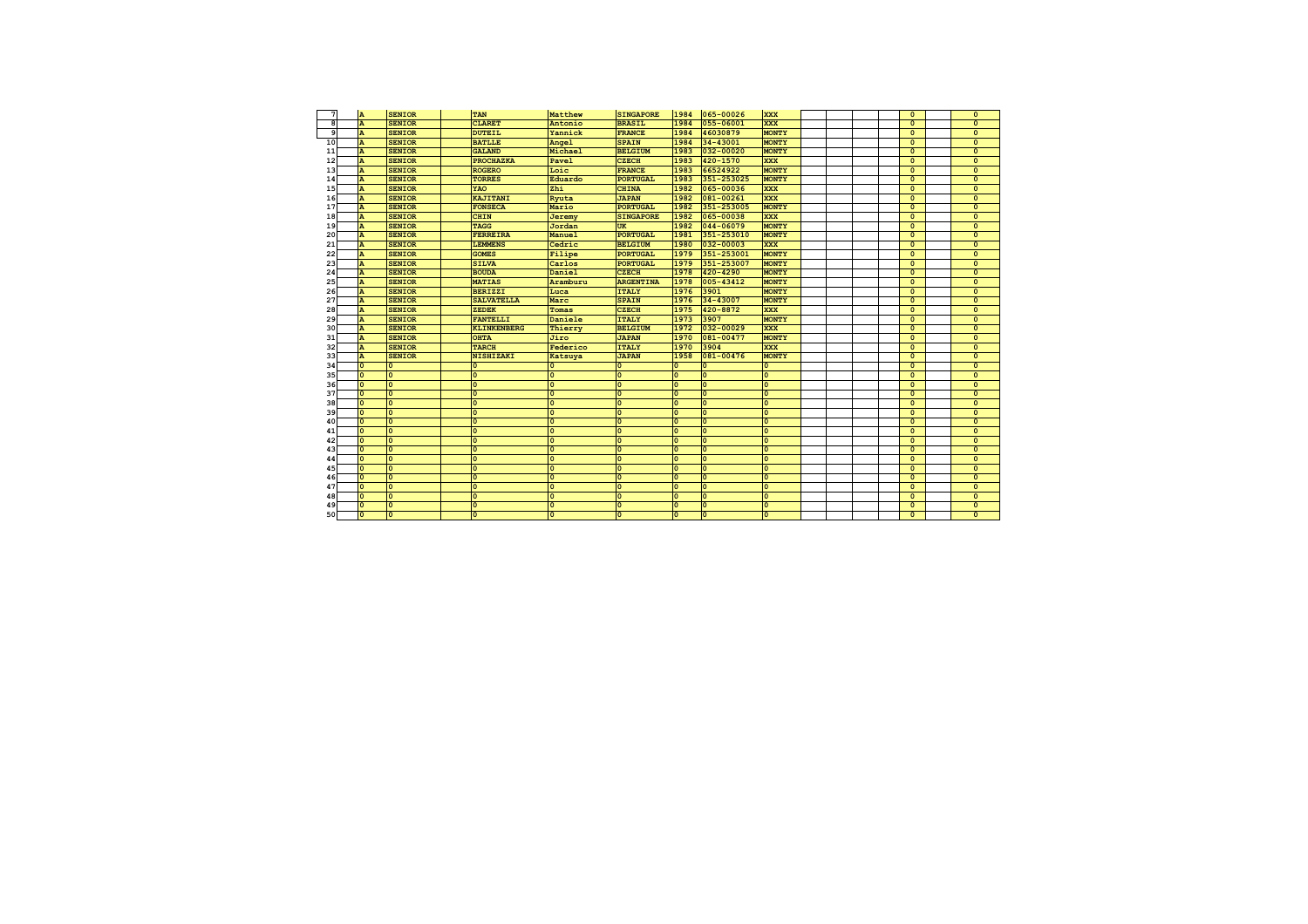| $\overline{7}$ | A              | <b>SENIOR</b>  | TAN                | Matthew        | <b>SINGAPORE</b> | 1984           | 065-00026      | <b>XXX</b>     |  | $\Omega$     | $\Omega$       |
|----------------|----------------|----------------|--------------------|----------------|------------------|----------------|----------------|----------------|--|--------------|----------------|
| 8              | A              | <b>SENIOR</b>  | <b>CLARET</b>      | Antonio        | <b>BRASIL</b>    | 1984           | 055-06001      | <b>XXX</b>     |  | $\Omega$     | $\Omega$       |
| 9              | A              | <b>SENIOR</b>  | <b>DUTEIL</b>      | Yannick        | <b>FRANCE</b>    | 1984           | 46030879       | <b>MONTY</b>   |  | $\mathbf{0}$ | $\Omega$       |
| 10             | A              | <b>SENIOR</b>  | <b>BATLLE</b>      | Angel          | <b>SPAIN</b>     | 1984           | $34 - 43001$   | <b>MONTY</b>   |  | $\Omega$     | $\Omega$       |
| 11             | A              | <b>SENIOR</b>  | <b>GALAND</b>      | Michael        | <b>BELGIUM</b>   | 1983           | 032-00020      | <b>MONTY</b>   |  | $\mathbf{0}$ | $\mathbf{0}$   |
| 12             | A              | <b>SENIOR</b>  | <b>PROCHAZKA</b>   | Pavel          | <b>CZECH</b>     | 1983           | $420 - 1570$   | <b>XXX</b>     |  | $\mathbf{0}$ | $\mathbf{0}$   |
| 13             | A              | <b>SENIOR</b>  | <b>ROGERO</b>      | Loic           | <b>FRANCE</b>    | 1983           | 66524922       | <b>MONTY</b>   |  | $\mathbf{0}$ | $\mathbf{0}$   |
| 14             | A              | <b>SENIOR</b>  | <b>TORRES</b>      | Eduardo        | <b>PORTUGAL</b>  | 1983           | 351-253025     | <b>MONTY</b>   |  | $\Omega$     | $\Omega$       |
| 15             | A              | <b>SENIOR</b>  | YAO                | Zhi            | <b>CHINA</b>     | 1982           | 065-00036      | <b>XXX</b>     |  | $\Omega$     | $\Omega$       |
| 16             | A              | <b>SENIOR</b>  | KAJITANI           | Ryuta          | <b>JAPAN</b>     | 1982           | 081-00261      | <b>XXX</b>     |  | $\Omega$     | $\Omega$       |
| 17             | A              | <b>SENIOR</b>  | <b>FONSECA</b>     | Mario          | <b>PORTUGAL</b>  | 1982           | 351-253005     | <b>MONTY</b>   |  | $\Omega$     | $\Omega$       |
| 18             | A              | <b>SENIOR</b>  | <b>CHIN</b>        | Jeremy         | <b>SINGAPORE</b> | 1982           | 065-00038      | <b>XXX</b>     |  | $\mathbf{0}$ | $\mathbf{0}$   |
| 19             | A              | <b>SENIOR</b>  | TAGG               | Jordan         | UK               | 1982           | 044-06079      | <b>MONTY</b>   |  | $\Omega$     | $\Omega$       |
| 20             | A              | <b>SENIOR</b>  | FERREIRA           | <b>Manuel</b>  | <b>PORTUGAL</b>  | 1981           | 351-253010     | <b>MONTY</b>   |  | $\mathbf{0}$ | $\mathbf{0}$   |
| 21             | A              | <b>SENIOR</b>  | <b>LEMMENS</b>     | Cedric         | <b>BELGIUM</b>   | 1980           | 032-00003      | <b>XXX</b>     |  | $\mathbf{0}$ | $\mathbf{0}$   |
| 22             | A              | <b>SENIOR</b>  | <b>GOMES</b>       | Filipe         | <b>PORTUGAL</b>  | 1979           | 351-253001     | <b>MONTY</b>   |  | $\mathbf{0}$ | $\Omega$       |
| 23             | A              | <b>SENIOR</b>  | <b>SILVA</b>       | Carlos         | <b>PORTUGAL</b>  | 1979           | 351-253007     | <b>MONTY</b>   |  | $\Omega$     | $\Omega$       |
| 24             | A              | <b>SENIOR</b>  | <b>BOUDA</b>       | Daniel         | <b>CZECH</b>     | 1978           | 420-4290       | <b>MONTY</b>   |  | $\Omega$     | $\Omega$       |
| 25             | A              | <b>SENIOR</b>  | <b>MATIAS</b>      | Aramburu       | <b>ARGENTINA</b> | 1978           | $005 - 43412$  | <b>MONTY</b>   |  | $\Omega$     | $\overline{0}$ |
| 26             | A              | <b>SENIOR</b>  | <b>BERIZZI</b>     | Luca           | <b>ITALY</b>     | 1976           | 3901           | <b>MONTY</b>   |  | $\Omega$     | $\Omega$       |
| 27             | A              | <b>SENIOR</b>  | <b>SALVATELLA</b>  | Marc           | <b>SPAIN</b>     | 1976           | $34 - 43007$   | <b>MONTY</b>   |  | $\mathbf{0}$ | $\mathbf{0}$   |
| 28             | A              | <b>SENIOR</b>  | <b>ZEDEK</b>       | Tomas          | <b>CZECH</b>     | 1975           | 420-8872       | <b>XXX</b>     |  | $\mathbf{0}$ | $\mathbf{0}$   |
| 29             | A              | <b>SENIOR</b>  | <b>FANTELLI</b>    | Daniele        | <b>ITALY</b>     | 1973           | 3907           | <b>MONTY</b>   |  | $\mathbf{0}$ | $\Omega$       |
| 30             | A              | <b>SENIOR</b>  | <b>KLINKENBERG</b> | Thierry        | <b>BELGIUM</b>   | 1972           | 032-00029      | <b>XXX</b>     |  | $\mathbf{0}$ | $\mathbf{0}$   |
| 31             | A              | <b>SENIOR</b>  | <b>OHTA</b>        | Jiro           | <b>JAPAN</b>     | 1970           | 081-00477      | <b>MONTY</b>   |  | $\Omega$     | $\Omega$       |
| 32             | A              | <b>SENIOR</b>  | <b>TARCH</b>       | Federico       | <b>ITALY</b>     | 1970           | 3904           | <b>XXX</b>     |  | $\Omega$     | $\Omega$       |
| 33             | A              | <b>SENIOR</b>  | <b>NISHIZAKI</b>   | Katsuya        | <b>JAPAN</b>     | 1958           | $081 - 00476$  | <b>MONTY</b>   |  | $\Omega$     | $\Omega$       |
| 34             | $\overline{0}$ | $\mathbf{0}$   | n                  | $\Omega$       | $\mathbf{0}$     | $\overline{0}$ | $\mathbf{0}$   | $\mathbf{0}$   |  | $\mathbf{0}$ | $\Omega$       |
| 35             | $\mathbf{0}$   | $\mathbf{0}$   | $\Omega$           | $\overline{0}$ | $\mathbf{0}$     | $\overline{0}$ | $\mathbf{0}$   | $\mathbf{0}$   |  | $\Omega$     | $\Omega$       |
| 36             | $\Omega$       | $\Omega$       | $\Omega$           | $\Omega$       | Ō                | $\Omega$       | $\Omega$       | $\mathbf{0}$   |  | $\mathbf{0}$ | $\mathbf{0}$   |
| 37             | $\overline{0}$ | $\mathbf{0}$   | $\Omega$           | $\overline{0}$ | $\mathbf{0}$     | $\overline{0}$ | $\mathbf{0}$   | $\mathbf{0}$   |  | $\mathbf{0}$ | $\mathbf{0}$   |
| 38             | $\overline{0}$ | $\mathbf{0}$   | $\mathbf{0}$       | $\overline{0}$ | $\mathbf{0}$     | $\overline{0}$ | $\mathbf{0}$   | $\mathbf{0}$   |  | $\mathbf{0}$ | $\mathbf{0}$   |
| 39             | $\overline{0}$ | $\overline{0}$ | $\Omega$           | $\overline{0}$ | Ō                | $\overline{0}$ | $\overline{0}$ | $\overline{0}$ |  | $\mathbf{0}$ | $\Omega$       |
| 40             | $\Omega$       | $\overline{0}$ | $\Omega$           | $\overline{0}$ | $\Omega$         | $\mathbf{0}$   | $\Omega$       | $\mathbf{0}$   |  | $\Omega$     | $\Omega$       |
| 41             | $\Omega$       | $\Omega$       | $\Omega$           | $\Omega$       | $\Omega$         | $\Omega$       | $\Omega$       | $\Omega$       |  | $\mathbf{0}$ | $\mathbf{0}$   |
| 42             | $\overline{0}$ | $\Omega$       | $\Omega$           | $\overline{0}$ | Ō                | $\Omega$       | $\overline{0}$ | $\Omega$       |  | $\Omega$     | $\Omega$       |
| 43             | $\overline{0}$ | $\overline{0}$ | $\Omega$           | $\overline{0}$ | Ō                | $\mathbf{0}$   | $\overline{0}$ | $\mathbf{0}$   |  | $\Omega$     | $\Omega$       |
| 44             | $\overline{0}$ | $\Omega$       | $\Omega$           | $\overline{0}$ | $\Omega$         | $\overline{0}$ | $\mathbf{0}$   | $\mathbf{0}$   |  | $\mathbf{0}$ | $\mathbf{0}$   |
| 45             | $\mathbf{0}$   | $\Omega$       | $\Omega$           | $\overline{0}$ | $\mathbf{0}$     | $\mathbf{0}$   | $\mathbf{0}$   | $\mathbf{0}$   |  | $\Omega$     | $\Omega$       |
| 46             | $\mathbf{0}$   | $\Omega$       | $\Omega$           | $\overline{0}$ | $\Omega$         | $\Omega$       | $\mathbf{0}$   | $\mathbf{0}$   |  | $\mathbf{0}$ | $\mathbf{0}$   |
| 47             | $\overline{0}$ | $\mathbf{0}$   | $\Omega$           | $\overline{0}$ | $\mathbf{0}$     | $\overline{0}$ | $\mathbf{0}$   | $\mathbf{0}$   |  | $\mathbf{0}$ | $\mathbf{0}$   |
| 48             | $\Omega$       | $\overline{0}$ | $\Omega$           | $\overline{0}$ | Ō                | $\Omega$       | $\overline{0}$ | $\Omega$       |  | $\Omega$     | $\Omega$       |
| 49             | $\Omega$       | $\Omega$       | $\Omega$           | $\Omega$       | Ò                | $\Omega$       | $\Omega$       | $\Omega$       |  | $\Omega$     | $\Omega$       |
| 50             | $\Omega$       | $\Omega$       | $\Omega$           | $\Omega$       | $\Omega$         | $\Omega$       | $\Omega$       | $\Omega$       |  | $\Omega$     | $\Omega$       |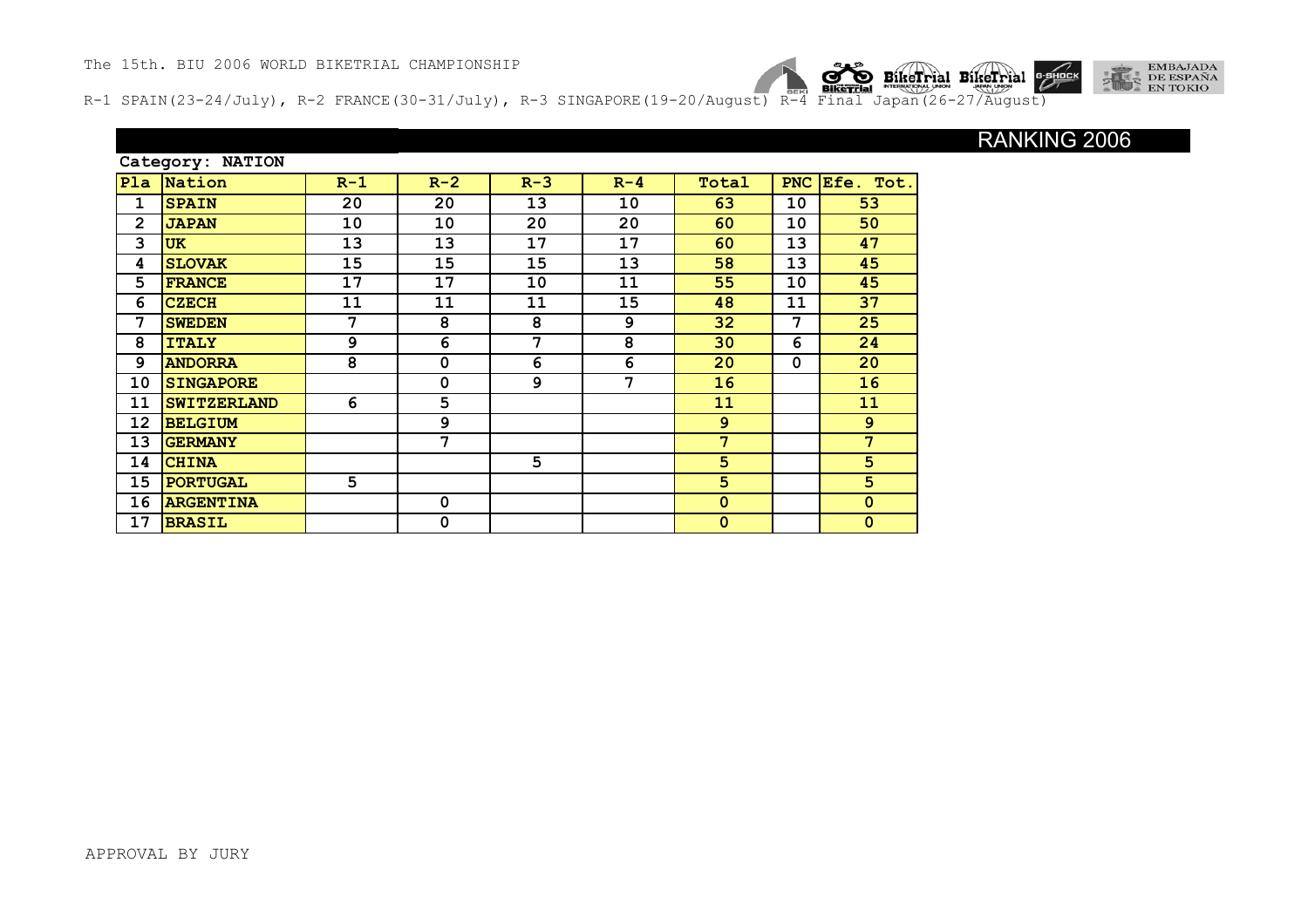R-1 SPAIN(23-24/July), R-2 FRANCE(30-31/July), R-3 SINGAPORE(19-20/August) R-4 Final Japan(26-27/August)

## **Category: NATION**

| P1a          | Nation             | $R-1$ | $R-2$          | $R-3$          | $R - 4$ | Total          |             | PNC Efe. Tot.   |
|--------------|--------------------|-------|----------------|----------------|---------|----------------|-------------|-----------------|
| 1            | <b>SPAIN</b>       | 20    | 20             | 13             | 10      | 63             | 10          | 53              |
| $\mathbf{2}$ | <b>JAPAN</b>       | 10    | 10             | 20             | 20      | 60             | 10          | 50              |
| 3            | <b>UK</b>          | 13    | 13             | 17             | 17      | 60             | 13          | 47              |
| 4            | <b>SLOVAK</b>      | 15    | 15             | 15             | 13      | 58             | 13          | 45              |
| 5            | <b>FRANCE</b>      | 17    | 17             | 10             | 11      | 55             | 10          | 45              |
| 6            | <b>CZECH</b>       | 11    | 11             | 11             | 15      | 48             | 11          | 37              |
| 7            | <b>SWEDEN</b>      | 7     | 8              | 8              | 9       | 32             | 7           | 25              |
| 8            | <b>ITALY</b>       | 9     | $\overline{6}$ | $\overline{7}$ | 8       | 30             | 6           | 24              |
| 9            | <b>ANDORRA</b>     | 8     | $\mathbf 0$    | 6              | 6       | 20             | $\mathbf 0$ | 20              |
| 10           | <b>SINGAPORE</b>   |       | $\mathbf 0$    | 9              | 7       | 16             |             | 16              |
| 11           | <b>SWITZERLAND</b> | 6     | 5              |                |         | 11             |             | 11              |
| 12           | <b>BELGIUM</b>     |       | 9              |                |         | 9 <sup>°</sup> |             | 9 <sup>°</sup>  |
| 13           | <b>GERMANY</b>     |       | $\overline{7}$ |                |         | $\overline{7}$ |             | $7\phantom{.0}$ |
| 14           | <b>CHINA</b>       |       |                | 5              |         | 5              |             | 5               |
| 15           | <b>PORTUGAL</b>    | 5     |                |                |         | 5              |             | 5 <sub>5</sub>  |
| 16           | <b>ARGENTINA</b>   |       | 0              |                |         | $\mathbf 0$    |             | $\mathbf 0$     |
| 17           | <b>BRASIL</b>      |       | $\mathbf 0$    |                |         | $\mathbf 0$    |             | $\mathbf 0$     |



RANKING 2006